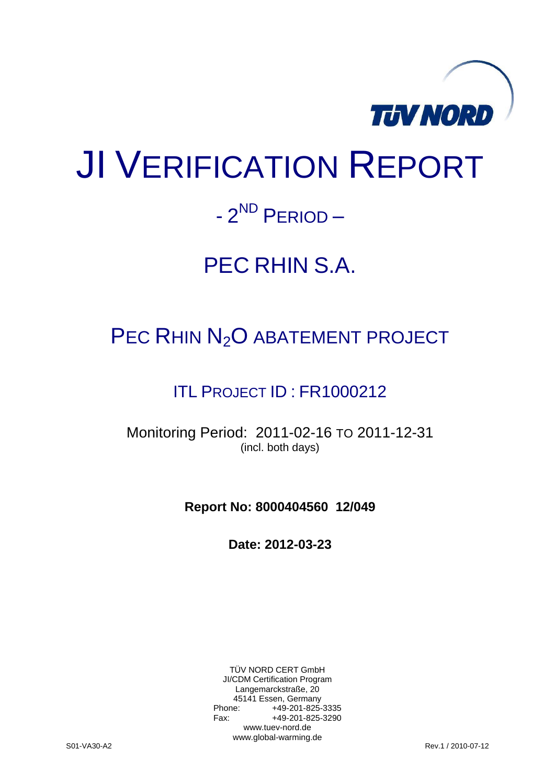

# JI VERIFICATION REPORT

## - 2<sup>ND</sup> PERIOD –

## PEC RHIN S.A.

### PEC RHIN N<sub>2</sub>O ABATEMENT PROJECT

### ITL PROJECT ID : FR1000212

Monitoring Period: 2011-02-16 TO 2011-12-31 (incl. both days)

**Report No: 8000404560 12/049**

**Date: 2012-03-23**

TÜV NORD CERT GmbH JI/CDM Certification Program Langemarckstraße, 20 45141 Essen, Germany<br>+49-201-825-49 +49-201-825-3335 Fax: +49-201-825-3290 www.tuev-nord.de www.global-warming.de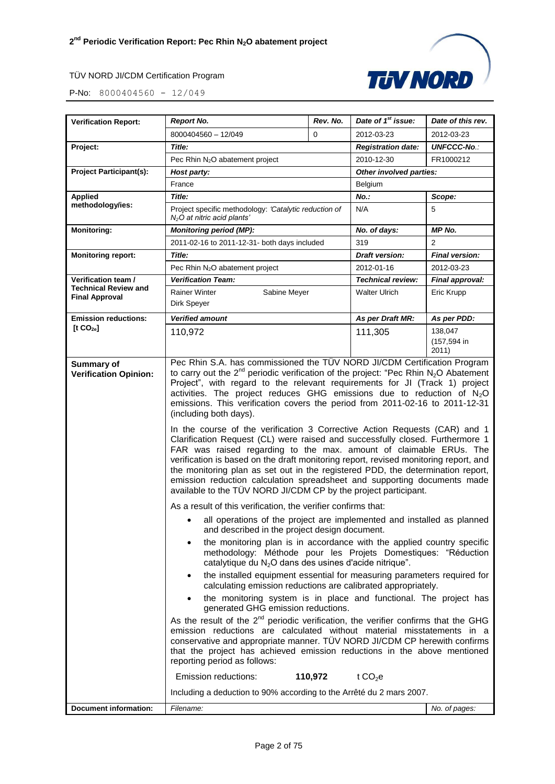P-No: 8000404560 - 12/049

| <b>Verification Report:</b>                                                                                                                                                                                                                                                                                                                                           | <b>Report No.</b>                                                                                                                                                                                                                                                                                                                                                                                                                                                                                                                                                                                                                                                                                                                                                                                                                                                                                                                                                                                                                                                                                                                                                                                                                                                                                                                                           | Rev. No. | Date of 1 <sup>st</sup> issue: | Date of this rev.               |
|-----------------------------------------------------------------------------------------------------------------------------------------------------------------------------------------------------------------------------------------------------------------------------------------------------------------------------------------------------------------------|-------------------------------------------------------------------------------------------------------------------------------------------------------------------------------------------------------------------------------------------------------------------------------------------------------------------------------------------------------------------------------------------------------------------------------------------------------------------------------------------------------------------------------------------------------------------------------------------------------------------------------------------------------------------------------------------------------------------------------------------------------------------------------------------------------------------------------------------------------------------------------------------------------------------------------------------------------------------------------------------------------------------------------------------------------------------------------------------------------------------------------------------------------------------------------------------------------------------------------------------------------------------------------------------------------------------------------------------------------------|----------|--------------------------------|---------------------------------|
|                                                                                                                                                                                                                                                                                                                                                                       | 8000404560 - 12/049                                                                                                                                                                                                                                                                                                                                                                                                                                                                                                                                                                                                                                                                                                                                                                                                                                                                                                                                                                                                                                                                                                                                                                                                                                                                                                                                         | $\Omega$ | 2012-03-23                     | 2012-03-23                      |
| Project:                                                                                                                                                                                                                                                                                                                                                              | Title:                                                                                                                                                                                                                                                                                                                                                                                                                                                                                                                                                                                                                                                                                                                                                                                                                                                                                                                                                                                                                                                                                                                                                                                                                                                                                                                                                      |          | <b>Registration date:</b>      | <b>UNFCCC-No.:</b>              |
|                                                                                                                                                                                                                                                                                                                                                                       | Pec Rhin N <sub>2</sub> O abatement project                                                                                                                                                                                                                                                                                                                                                                                                                                                                                                                                                                                                                                                                                                                                                                                                                                                                                                                                                                                                                                                                                                                                                                                                                                                                                                                 |          | 2010-12-30                     | FR1000212                       |
| <b>Project Participant(s):</b>                                                                                                                                                                                                                                                                                                                                        | Host party:                                                                                                                                                                                                                                                                                                                                                                                                                                                                                                                                                                                                                                                                                                                                                                                                                                                                                                                                                                                                                                                                                                                                                                                                                                                                                                                                                 |          | Other involved parties:        |                                 |
|                                                                                                                                                                                                                                                                                                                                                                       | France                                                                                                                                                                                                                                                                                                                                                                                                                                                                                                                                                                                                                                                                                                                                                                                                                                                                                                                                                                                                                                                                                                                                                                                                                                                                                                                                                      |          | Belgium                        |                                 |
| <b>Applied</b>                                                                                                                                                                                                                                                                                                                                                        | Title:                                                                                                                                                                                                                                                                                                                                                                                                                                                                                                                                                                                                                                                                                                                                                                                                                                                                                                                                                                                                                                                                                                                                                                                                                                                                                                                                                      |          | $No.$ :                        | Scope:                          |
| methodology/ies:                                                                                                                                                                                                                                                                                                                                                      | Project specific methodology: 'Catalytic reduction of<br>$N2O$ at nitric acid plants'                                                                                                                                                                                                                                                                                                                                                                                                                                                                                                                                                                                                                                                                                                                                                                                                                                                                                                                                                                                                                                                                                                                                                                                                                                                                       |          | N/A                            | 5                               |
| <b>Monitoring:</b>                                                                                                                                                                                                                                                                                                                                                    | <b>Monitoring period (MP):</b>                                                                                                                                                                                                                                                                                                                                                                                                                                                                                                                                                                                                                                                                                                                                                                                                                                                                                                                                                                                                                                                                                                                                                                                                                                                                                                                              |          | No. of days:                   | MP No.                          |
|                                                                                                                                                                                                                                                                                                                                                                       | 2011-02-16 to 2011-12-31- both days included                                                                                                                                                                                                                                                                                                                                                                                                                                                                                                                                                                                                                                                                                                                                                                                                                                                                                                                                                                                                                                                                                                                                                                                                                                                                                                                |          | 319                            | 2                               |
| <b>Monitoring report:</b>                                                                                                                                                                                                                                                                                                                                             | Title:                                                                                                                                                                                                                                                                                                                                                                                                                                                                                                                                                                                                                                                                                                                                                                                                                                                                                                                                                                                                                                                                                                                                                                                                                                                                                                                                                      |          | <b>Draft version:</b>          | <b>Final version:</b>           |
|                                                                                                                                                                                                                                                                                                                                                                       | Pec Rhin N <sub>2</sub> O abatement project                                                                                                                                                                                                                                                                                                                                                                                                                                                                                                                                                                                                                                                                                                                                                                                                                                                                                                                                                                                                                                                                                                                                                                                                                                                                                                                 |          | 2012-01-16                     | 2012-03-23                      |
| Verification team /                                                                                                                                                                                                                                                                                                                                                   | <b>Verification Team:</b>                                                                                                                                                                                                                                                                                                                                                                                                                                                                                                                                                                                                                                                                                                                                                                                                                                                                                                                                                                                                                                                                                                                                                                                                                                                                                                                                   |          | <b>Technical review:</b>       | Final approval:                 |
| <b>Technical Review and</b><br><b>Final Approval</b>                                                                                                                                                                                                                                                                                                                  | <b>Rainer Winter</b><br>Sabine Meyer<br>Dirk Speyer                                                                                                                                                                                                                                                                                                                                                                                                                                                                                                                                                                                                                                                                                                                                                                                                                                                                                                                                                                                                                                                                                                                                                                                                                                                                                                         |          | <b>Walter Ulrich</b>           | Eric Krupp                      |
| <b>Emission reductions:</b>                                                                                                                                                                                                                                                                                                                                           | Verified amount                                                                                                                                                                                                                                                                                                                                                                                                                                                                                                                                                                                                                                                                                                                                                                                                                                                                                                                                                                                                                                                                                                                                                                                                                                                                                                                                             |          | As per Draft MR:               | As per PDD:                     |
| [t CO <sub>2e</sub> ]                                                                                                                                                                                                                                                                                                                                                 | 110,972                                                                                                                                                                                                                                                                                                                                                                                                                                                                                                                                                                                                                                                                                                                                                                                                                                                                                                                                                                                                                                                                                                                                                                                                                                                                                                                                                     |          | 111,305                        | 138,047<br>(157,594 in<br>2011) |
|                                                                                                                                                                                                                                                                                                                                                                       | emissions. This verification covers the period from 2011-02-16 to 2011-12-31<br>(including both days).<br>In the course of the verification 3 Corrective Action Requests (CAR) and 1<br>Clarification Request (CL) were raised and successfully closed. Furthermore 1<br>FAR was raised regarding to the max. amount of claimable ERUs. The<br>verification is based on the draft monitoring report, revised monitoring report, and<br>the monitoring plan as set out in the registered PDD, the determination report,<br>emission reduction calculation spreadsheet and supporting documents made<br>available to the TÜV NORD JI/CDM CP by the project participant.<br>As a result of this verification, the verifier confirms that:<br>all operations of the project are implemented and installed as planned<br>and described in the project design document.<br>the monitoring plan is in accordance with the applied country specific<br>methodology: Méthode pour les Projets Domestiques: "Réduction<br>catalytique du N <sub>2</sub> O dans des usines d'acide nitrique".<br>the installed equipment essential for measuring parameters required for<br>٠<br>calculating emission reductions are calibrated appropriately.<br>the monitoring system is in place and functional. The project has<br>$\bullet$<br>generated GHG emission reductions. |          |                                |                                 |
| As the result of the $2^{nd}$ periodic verification, the verifier confirms that the GHG<br>emission reductions are calculated without material misstatements in a<br>conservative and appropriate manner. TUV NORD JI/CDM CP herewith confirms<br>that the project has achieved emission reductions in the above mentioned<br>reporting period as follows:<br>110,972 |                                                                                                                                                                                                                                                                                                                                                                                                                                                                                                                                                                                                                                                                                                                                                                                                                                                                                                                                                                                                                                                                                                                                                                                                                                                                                                                                                             |          |                                |                                 |
|                                                                                                                                                                                                                                                                                                                                                                       | Emission reductions:                                                                                                                                                                                                                                                                                                                                                                                                                                                                                                                                                                                                                                                                                                                                                                                                                                                                                                                                                                                                                                                                                                                                                                                                                                                                                                                                        |          | t $CO2e$                       |                                 |

**Document information:** *Filename: No. of pages:*

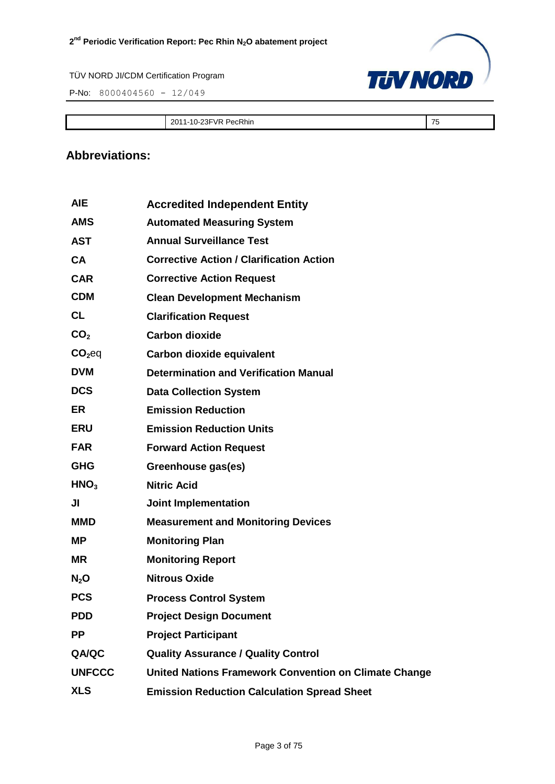P-No: 8000404560 - 12/049



2011-10-23FVR PecRhin 2011-10-23FVR PecRhin 2011-10-23FVR PecRhin 2012

#### **Abbreviations:**

| <b>AIE</b>         | <b>Accredited Independent Entity</b>                         |
|--------------------|--------------------------------------------------------------|
| <b>AMS</b>         | <b>Automated Measuring System</b>                            |
| <b>AST</b>         | <b>Annual Surveillance Test</b>                              |
| <b>CA</b>          | <b>Corrective Action / Clarification Action</b>              |
| <b>CAR</b>         | <b>Corrective Action Request</b>                             |
| <b>CDM</b>         | <b>Clean Development Mechanism</b>                           |
| <b>CL</b>          | <b>Clarification Request</b>                                 |
| CO <sub>2</sub>    | <b>Carbon dioxide</b>                                        |
| CO <sub>2</sub> eq | Carbon dioxide equivalent                                    |
| <b>DVM</b>         | <b>Determination and Verification Manual</b>                 |
| <b>DCS</b>         | <b>Data Collection System</b>                                |
| <b>ER</b>          | <b>Emission Reduction</b>                                    |
| <b>ERU</b>         | <b>Emission Reduction Units</b>                              |
| <b>FAR</b>         | <b>Forward Action Request</b>                                |
| <b>GHG</b>         | Greenhouse gas(es)                                           |
| HNO <sub>3</sub>   | <b>Nitric Acid</b>                                           |
| JI                 | <b>Joint Implementation</b>                                  |
| <b>MMD</b>         | <b>Measurement and Monitoring Devices</b>                    |
| ΜP                 | <b>Monitoring Plan</b>                                       |
| <b>MR</b>          | <b>Monitoring Report</b>                                     |
| $N_2$ O            | <b>Nitrous Oxide</b>                                         |
| <b>PCS</b>         | <b>Process Control System</b>                                |
| <b>PDD</b>         | <b>Project Design Document</b>                               |
| <b>PP</b>          | <b>Project Participant</b>                                   |
| QA/QC              | <b>Quality Assurance / Quality Control</b>                   |
| <b>UNFCCC</b>      | <b>United Nations Framework Convention on Climate Change</b> |
| <b>XLS</b>         | <b>Emission Reduction Calculation Spread Sheet</b>           |
|                    |                                                              |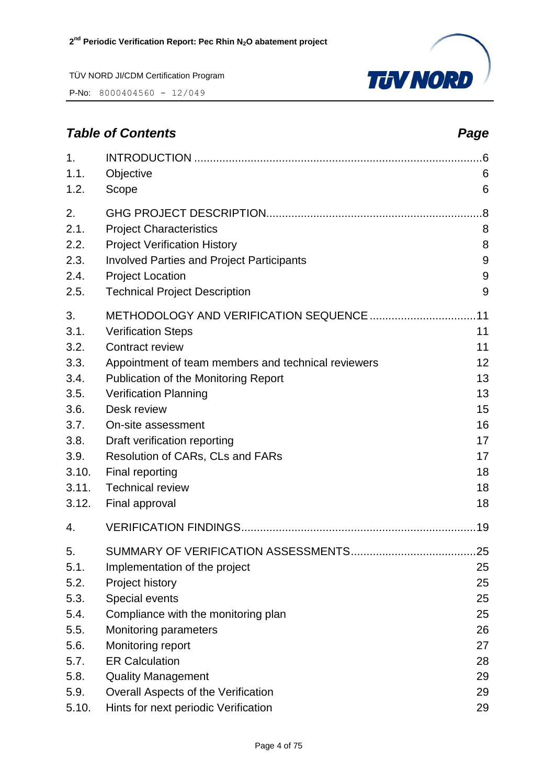P-No: 8000404560 - 12/049



#### 1. INTRODUCTION [............................................................................................6](#page-5-0) 1.1. [Objective](#page-5-1) 6 1.2. [Scope](#page-5-2) 6 2. [GHG PROJECT DESCRIPTION.....................................................................8](#page-7-0) 2.1. [Project Characteristics](#page-7-1) 8 2.2. [Project Verification History](#page-7-2) 8 2.3. [Involved Parties and Project Participants](#page-8-0) 9 2.4. [Project Location](#page-8-1) 9 2.5. [Technical Project Description](#page-8-2) 9 3. [METHODOLOGY AND VERIFICATION SEQUENCE..................................11](#page-10-0) 3.1. [Verification Steps](#page-10-1) 11 3.2. [Contract review](#page-10-2) 11 3.3. [Appointment of team members and technical reviewers](#page-11-0) 12 3.4. [Publication of the Monitoring Report](#page-12-0) 13 3.5. [Verification Planning](#page-12-1) 13 3.6. [Desk review](#page-14-0) 15 3.7. [On-site assessment](#page-15-0) and the contract of the contract of the contract of the contract of the contract of the contract of the contract of the contract of the contract of the contract of the contract of the contract of th 3.8. [Draft verification reporting](#page-16-0) 17 3.9. [Resolution of CARs, CLs and FARs](#page-16-1) 17 3.10. [Final reporting](#page-17-0) 18 3.11. [Technical review](#page-17-1) 18 3.12. [Final approval](#page-17-2) and the set of the set of the set of the set of the set of the set of the set of the set of the set of the set of the set of the set of the set of the set of the set of the set of the set of the set of 4. [VERIFICATION FINDINGS...........................................................................19](#page-18-0) 5. [SUMMARY OF VERIFICATION ASSESSMENTS........................................25](#page-24-0) 5.1. [Implementation of the project](#page-24-1) 25 5.2. [Project history](#page-24-2) 25 5.3. [Special events](#page-24-3) 25 5.4. [Compliance with the monitoring plan](#page-24-4) 25 5.5. [Monitoring parameters](#page-25-0) 26 5.6. [Monitoring report](#page-26-0) 27

*Table of Contents Page*

- 5.7. [ER Calculation](#page-27-0) 28 5.8. [Quality Management](#page-28-0) 29
- 5.9. [Overall Aspects of the Verification](#page-28-1) 29 5.10. [Hints for next periodic Verification](#page-28-2) 29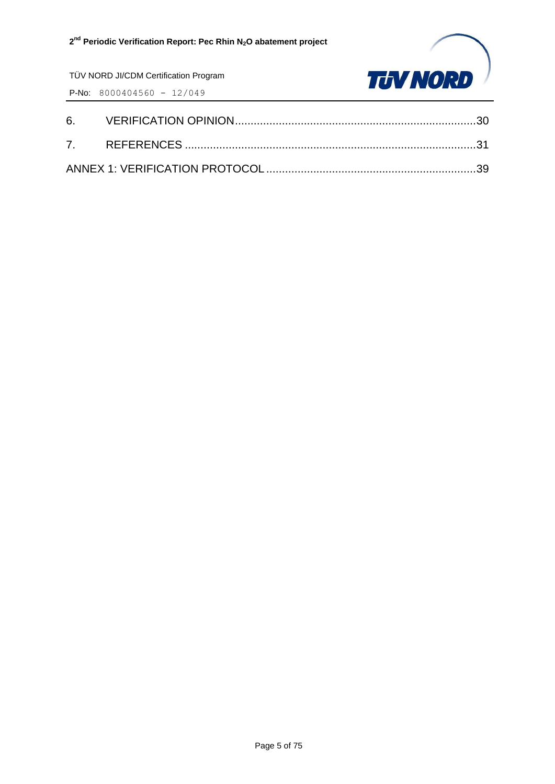

TÜV NORD JI/CDM Certification Program P-No: 8000404560 - 12/049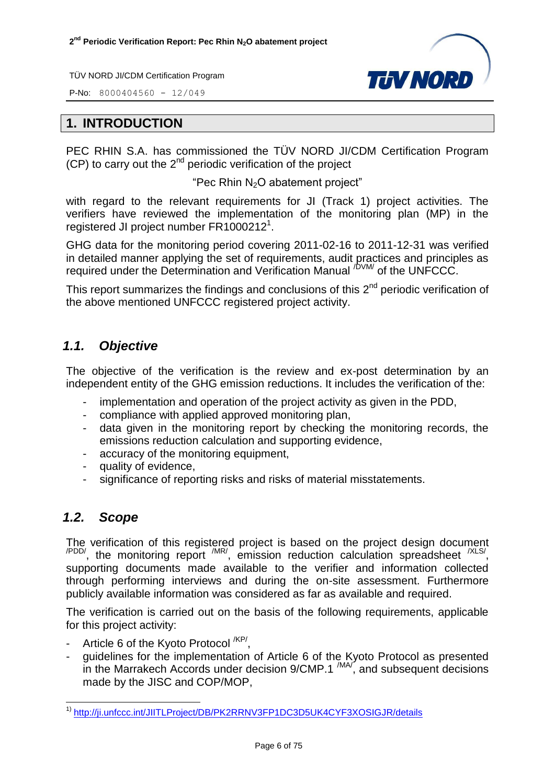P-No: 8000404560 - 12/049



#### <span id="page-5-0"></span>**1. INTRODUCTION**

PEC RHIN S.A. has commissioned the TÜV NORD JI/CDM Certification Program  $(CP)$  to carry out the  $2^{nd}$  periodic verification of the project

"Pec Rhin N2O abatement project"

with regard to the relevant requirements for JI (Track 1) project activities. The verifiers have reviewed the implementation of the monitoring plan (MP) in the registered JI project number FR1000212<sup>1</sup>.

GHG data for the monitoring period covering 2011-02-16 to 2011-12-31 was verified in detailed manner applying the set of requirements, audit practices and principles as required under the Determination and Verification Manual <sup>/DVM/</sup> of the UNFCCC.

This report summarizes the findings and conclusions of this  $2^{nd}$  periodic verification of the above mentioned UNFCCC registered project activity.

#### <span id="page-5-1"></span>*1.1. Objective*

The objective of the verification is the review and ex-post determination by an independent entity of the GHG emission reductions. It includes the verification of the:

- implementation and operation of the project activity as given in the PDD,
- compliance with applied approved monitoring plan,
- data given in the monitoring report by checking the monitoring records, the emissions reduction calculation and supporting evidence,
- accuracy of the monitoring equipment,
- quality of evidence,
- significance of reporting risks and risks of material misstatements.

#### <span id="page-5-2"></span>*1.2. Scope*

The verification of this registered project is based on the project design document  $\mu_{\text{PDD}}$ , the monitoring report  $\mu_{\text{IR}}$ , emission reduction calculation spreadsheet  $\mu_{\text{SND}}$ supporting documents made available to the verifier and information collected through performing interviews and during the on-site assessment. Furthermore publicly available information was considered as far as available and required.

The verification is carried out on the basis of the following requirements, applicable for this project activity:

- Article 6 of the Kyoto Protocol <sup>/KP/</sup>,
- guidelines for the implementation of Article 6 of the Kyoto Protocol as presented in the Marrakech Accords under decision 9/CMP.1<sup>/MA/</sup>, and subsequent decisions made by the JISC and COP/MOP,

 $\overline{a}$ <sup>1)</sup> <http://ji.unfccc.int/JIITLProject/DB/PK2RRNV3FP1DC3D5UK4CYF3XOSIGJR/details>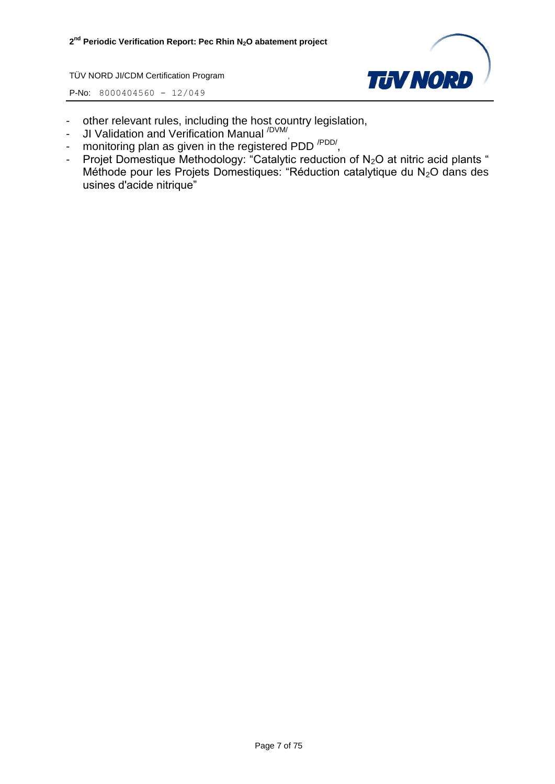

- other relevant rules, including the host country legislation,
- JI Validation and Verification Manual <sup>/DVM/</sup>,
- monitoring plan as given in the registered PDD<sup>/PDD/</sup>,
- Projet Domestique Methodology: "Catalytic reduction of N<sub>2</sub>O at nitric acid plants " Méthode pour les Projets Domestiques: "Réduction catalytique du  $N_2O$  dans des usines d'acide nitrique"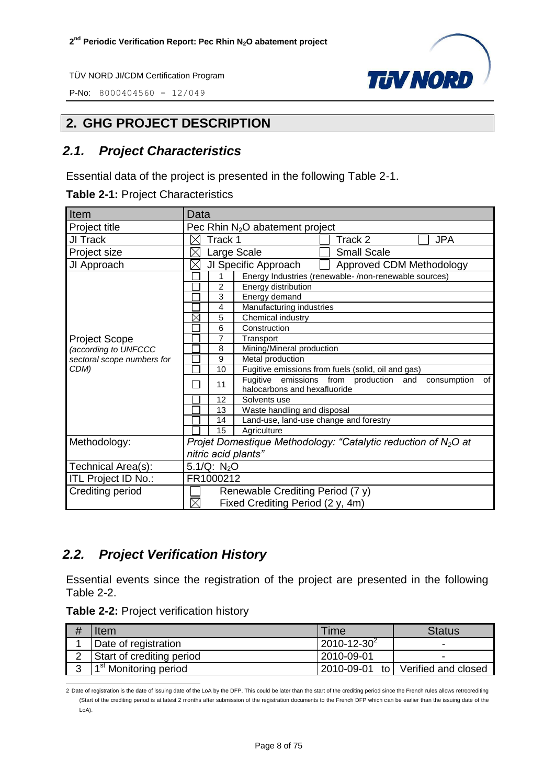**P-No:** 8000404560 - 12/049



#### <span id="page-7-0"></span>**2. GHG PROJECT DESCRIPTION**

#### <span id="page-7-1"></span>*2.1. Project Characteristics*

Essential data of the project is presented in the following Table 2-1.

| Item                       | Data                                                                                              |  |  |  |  |
|----------------------------|---------------------------------------------------------------------------------------------------|--|--|--|--|
| Project title              | Pec Rhin N <sub>2</sub> O abatement project                                                       |  |  |  |  |
| JI Track                   | Track 1<br><b>JPA</b><br>Track 2                                                                  |  |  |  |  |
| Project size               | <b>Small Scale</b><br>Large Scale                                                                 |  |  |  |  |
| JI Approach                | JI Specific Approach<br>Approved CDM Methodology<br>$\times$                                      |  |  |  |  |
|                            | Energy Industries (renewable-/non-renewable sources)<br>1                                         |  |  |  |  |
|                            | $\overline{2}$<br>Energy distribution                                                             |  |  |  |  |
|                            | 3<br>Energy demand                                                                                |  |  |  |  |
|                            | 4<br>Manufacturing industries                                                                     |  |  |  |  |
|                            | $\boxtimes$<br>Chemical industry<br>5                                                             |  |  |  |  |
|                            | Construction<br>6                                                                                 |  |  |  |  |
| <b>Project Scope</b>       | 7<br>Transport                                                                                    |  |  |  |  |
| (according to UNFCCC       | Mining/Mineral production<br>8                                                                    |  |  |  |  |
| sectoral scope numbers for | 9<br>Metal production                                                                             |  |  |  |  |
| CDM)                       | 10<br>Fugitive emissions from fuels (solid, oil and gas)                                          |  |  |  |  |
|                            | Fugitive emissions from production and<br>consumption<br>of<br>11<br>halocarbons and hexafluoride |  |  |  |  |
|                            | 12<br>Solvents use                                                                                |  |  |  |  |
|                            | Waste handling and disposal<br>13                                                                 |  |  |  |  |
|                            | Land-use, land-use change and forestry<br>14                                                      |  |  |  |  |
|                            | 15<br>Agriculture                                                                                 |  |  |  |  |
| Methodology:               | Projet Domestique Methodology: "Catalytic reduction of $N_2O$ at                                  |  |  |  |  |
|                            |                                                                                                   |  |  |  |  |
|                            | nitric acid plants"                                                                               |  |  |  |  |
| Technical Area(s):         | 5.1/Q: $N_2O$                                                                                     |  |  |  |  |
| ITL Project ID No.:        | FR1000212                                                                                         |  |  |  |  |
| Crediting period           | Renewable Crediting Period (7 y)                                                                  |  |  |  |  |
|                            | $\times$<br>Fixed Crediting Period (2 y, 4m)                                                      |  |  |  |  |

#### <span id="page-7-2"></span>*2.2. Project Verification History*

Essential events since the registration of the project are presented in the following Table 2-2.

| Table 2-2: Project verification history |  |  |
|-----------------------------------------|--|--|
|-----------------------------------------|--|--|

|   | ltem                              | Time               | <b>Status</b>                     |
|---|-----------------------------------|--------------------|-----------------------------------|
|   | Date of registration              | $2010 - 12 - 30^2$ | ٠                                 |
|   | Start of crediting period         | l 2010-09-01       | -                                 |
| ົ | 1 <sup>st</sup> Monitoring period |                    | 2010-09-01 to Verified and closed |

 2 Date of registration is the date of issuing date of the LoA by the DFP. This could be later than the start of the crediting period since the French rules allows retrocrediting (Start of the crediting period is at latest 2 months after submission of the registration documents to the French DFP which can be earlier than the issuing date of the LoA).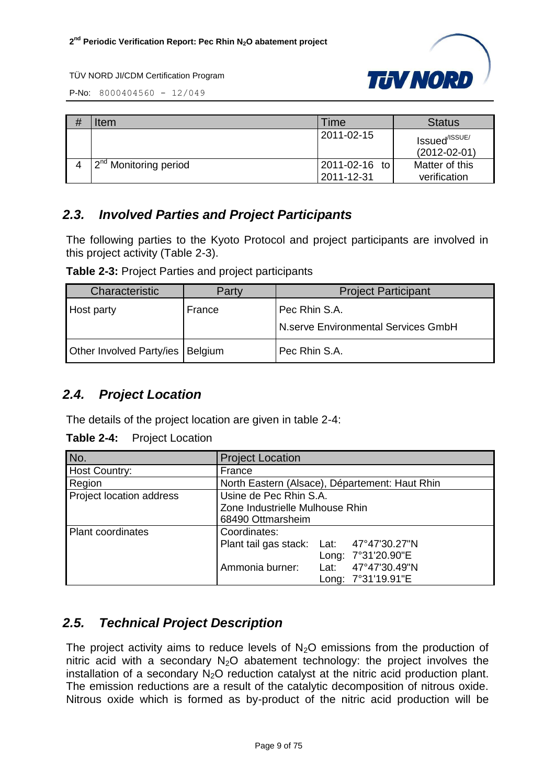

P-No: 8000404560 - 12/049

| # | Item                               | <b>Time</b>                 | <b>Status</b>                                   |
|---|------------------------------------|-----------------------------|-------------------------------------------------|
|   |                                    | l 2011-02-15                | Issued <sup>/ISSUE/</sup><br>$(2012 - 02 - 01)$ |
|   | 12 <sup>nd</sup> Monitoring period | 2011-02-16 to<br>2011-12-31 | Matter of this<br>verification                  |

#### <span id="page-8-0"></span>*2.3. Involved Parties and Project Participants*

The following parties to the Kyoto Protocol and project participants are involved in this project activity (Table 2-3).

**Table 2-3:** Project Parties and project participants

| Characteristic           | Party          | <b>Project Participant</b>                           |
|--------------------------|----------------|------------------------------------------------------|
| <b>Host party</b>        | France         | Pec Rhin S.A.<br>N.serve Environmental Services GmbH |
| Other Involved Party/ies | <b>Belgium</b> | Pec Rhin S.A.                                        |

#### <span id="page-8-1"></span>*2.4. Project Location*

The details of the project location are given in table 2-4:

**Table 2-4:** Project Location

| No.                      | <b>Project Location</b>                        |      |                    |
|--------------------------|------------------------------------------------|------|--------------------|
| Host Country:            | France                                         |      |                    |
| Region                   | North Eastern (Alsace), Département: Haut Rhin |      |                    |
| Project location address | Usine de Pec Rhin S.A.                         |      |                    |
|                          | Zone Industrielle Mulhouse Rhin                |      |                    |
|                          | 68490 Ottmarsheim                              |      |                    |
| <b>Plant coordinates</b> | Coordinates:                                   |      |                    |
|                          | Plant tail gas stack: Lat: 47°47'30.27"N       |      |                    |
|                          |                                                |      | Long: 7°31'20.90"E |
|                          | Ammonia burner:                                | Lat: | 47°47'30.49"N      |
|                          |                                                |      | Long: 7°31'19.91"E |

#### <span id="page-8-2"></span>*2.5. Technical Project Description*

The project activity aims to reduce levels of  $N_2O$  emissions from the production of nitric acid with a secondary  $N_2O$  abatement technology: the project involves the installation of a secondary  $N_2O$  reduction catalyst at the nitric acid production plant. The emission reductions are a result of the catalytic decomposition of nitrous oxide. Nitrous oxide which is formed as by-product of the nitric acid production will be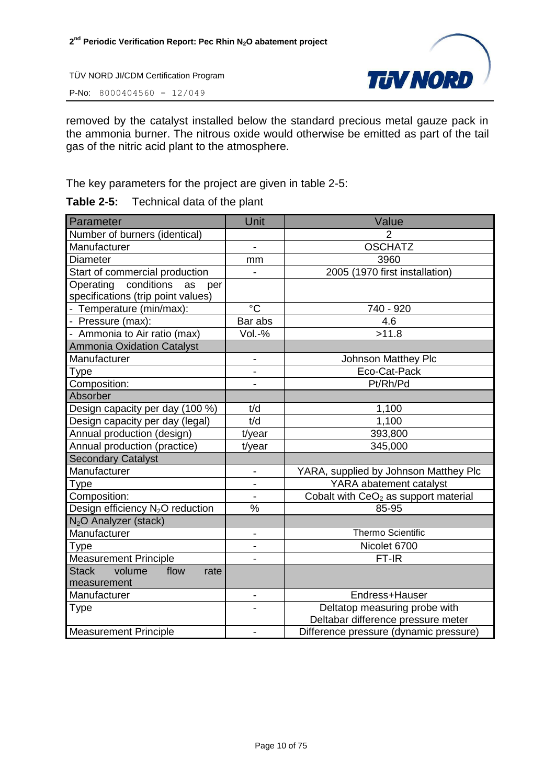P-No: 8000404560 - 12/049



removed by the catalyst installed below the standard precious metal gauze pack in the ammonia burner. The nitrous oxide would otherwise be emitted as part of the tail gas of the nitric acid plant to the atmosphere.

The key parameters for the project are given in table 2-5:

| <b>Table 2-5:</b> | Technical data of the plant |  |
|-------------------|-----------------------------|--|
|-------------------|-----------------------------|--|

| Parameter                                                                  | Unit                         | Value                                                               |
|----------------------------------------------------------------------------|------------------------------|---------------------------------------------------------------------|
| Number of burners (identical)                                              |                              | $\overline{2}$                                                      |
| Manufacturer                                                               | $\overline{\phantom{0}}$     | <b>OSCHATZ</b>                                                      |
| Diameter                                                                   | mm                           | 3960                                                                |
| Start of commercial production                                             |                              | 2005 (1970 first installation)                                      |
| Operating<br>conditions<br>as<br>per<br>specifications (trip point values) |                              |                                                                     |
| - Temperature (min/max):                                                   | $^{\circ}C$                  | 740 - 920                                                           |
| - Pressure (max):                                                          | Bar abs                      | 4.6                                                                 |
| - Ammonia to Air ratio (max)                                               | Vol.-%                       | >11.8                                                               |
| <b>Ammonia Oxidation Catalyst</b>                                          |                              |                                                                     |
| Manufacturer                                                               | $\frac{1}{2}$                | Johnson Matthey Plc                                                 |
| Type                                                                       | $\overline{a}$               | Eco-Cat-Pack                                                        |
| Composition:                                                               |                              | Pt/Rh/Pd                                                            |
| Absorber                                                                   |                              |                                                                     |
| Design capacity per day (100 %)                                            | t/d                          | 1,100                                                               |
| Design capacity per day (legal)                                            | t/d                          | 1,100                                                               |
| Annual production (design)                                                 | t/year                       | 393,800                                                             |
| Annual production (practice)                                               | t/year                       | 345,000                                                             |
| <b>Secondary Catalyst</b>                                                  |                              |                                                                     |
| Manufacturer                                                               | $\overline{\phantom{a}}$     | YARA, supplied by Johnson Matthey Plc                               |
| Type                                                                       | $\overline{\phantom{0}}$     | YARA abatement catalyst                                             |
| Composition:                                                               | $\overline{a}$               | Cobalt with $CeO2$ as support material                              |
| Design efficiency N <sub>2</sub> O reduction                               | $\frac{0}{0}$                | 85-95                                                               |
| N <sub>2</sub> O Analyzer (stack)                                          |                              |                                                                     |
| Manufacturer                                                               | $\blacksquare$               | <b>Thermo Scientific</b>                                            |
| Type                                                                       | $\overline{\phantom{0}}$     | Nicolet 6700                                                        |
| <b>Measurement Principle</b>                                               |                              | FT-IR                                                               |
| <b>Stack</b><br>volume<br>flow<br>rate<br>measurement                      |                              |                                                                     |
| Manufacturer                                                               | $\qquad \qquad \blacksquare$ | Endress+Hauser                                                      |
| Type                                                                       |                              | Deltatop measuring probe with<br>Deltabar difference pressure meter |
| <b>Measurement Principle</b>                                               |                              | Difference pressure (dynamic pressure)                              |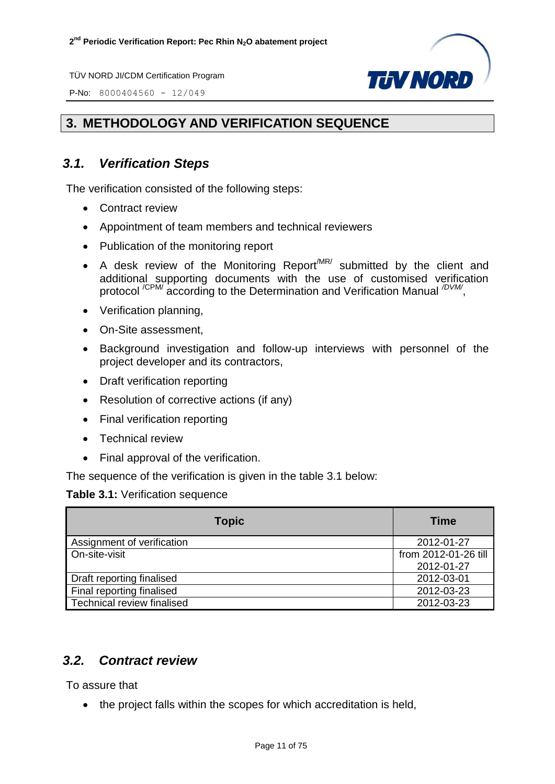P-No: 8000404560 - 12/049



#### <span id="page-10-0"></span>**3. METHODOLOGY AND VERIFICATION SEQUENCE**

#### <span id="page-10-1"></span>*3.1. Verification Steps*

The verification consisted of the following steps:

- Contract review
- Appointment of team members and technical reviewers
- Publication of the monitoring report
- A desk review of the Monitoring Report<sup>/MR/</sup> submitted by the client and additional supporting documents with the use of customised verification protocol<sup>/CPM/</sup> according to the Determination and Verification Manual <sup>/DVM/</sup>,
- Verification planning,
- On-Site assessment,
- Background investigation and follow-up interviews with personnel of the project developer and its contractors,
- Draft verification reporting
- Resolution of corrective actions (if any)
- Final verification reporting
- Technical review
- Final approval of the verification.

The sequence of the verification is given in the table 3.1 below:

#### **Table 3.1:** Verification sequence

| <b>Topic</b>               | <b>Time</b>          |
|----------------------------|----------------------|
| Assignment of verification | 2012-01-27           |
| On-site-visit              | from 2012-01-26 till |
|                            | 2012-01-27           |
| Draft reporting finalised  | 2012-03-01           |
| Final reporting finalised  | 2012-03-23           |
| Technical review finalised | 2012-03-23           |

#### <span id="page-10-2"></span>*3.2. Contract review*

To assure that

• the project falls within the scopes for which accreditation is held,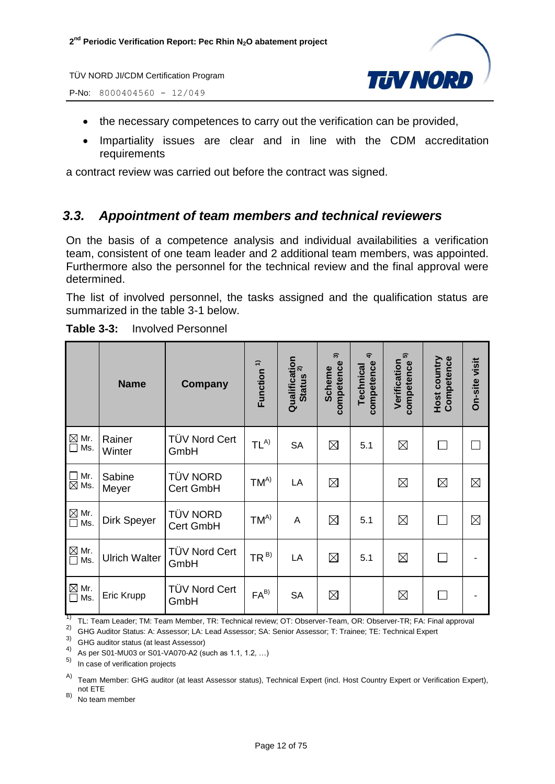

P-No: 8000404560 - 12/049

- the necessary competences to carry out the verification can be provided,
- Impartiality issues are clear and in line with the CDM accreditation requirements

a contract review was carried out before the contract was signed.

#### <span id="page-11-0"></span>*3.3. Appointment of team members and technical reviewers*

On the basis of a competence analysis and individual availabilities a verification team, consistent of one team leader and 2 additional team members, was appointed. Furthermore also the personnel for the technical review and the final approval were determined.

The list of involved personnel, the tasks assigned and the qualification status are summarized in the table 3-1 below.

|                                                        | <b>Name</b>          | <b>Company</b>               | Function $1$    | Qualification<br>Status <sup>2)</sup><br><b>Status</b> | సె<br>competence<br>Scheme | $\hat{+}$<br>competence<br><b>Technical</b> | 5<br>Verification<br>competence | <b>Host country</b><br>Competence | On-site visit |
|--------------------------------------------------------|----------------------|------------------------------|-----------------|--------------------------------------------------------|----------------------------|---------------------------------------------|---------------------------------|-----------------------------------|---------------|
| $\boxtimes$ Mr.<br>$\square$ Ms.                       | Rainer<br>Winter     | TÜV Nord Cert<br>GmbH        | $TL^{A)}$       | <b>SA</b>                                              | $\boxtimes$                | 5.1                                         | $\boxtimes$                     |                                   |               |
| Mr.<br>$\Box$<br>$\boxtimes$ Ms.                       | Sabine<br>Meyer      | <b>TÜV NORD</b><br>Cert GmbH | $TM^{A)}$       | LA                                                     | $\boxtimes$                |                                             | $\boxtimes$                     | ⊠                                 | $\boxtimes$   |
| $\overline{\text{M}}$ Mr.<br>$\overline{\text{M}}$ Ms. | Dirk Speyer          | <b>TÜV NORD</b><br>Cert GmbH | $TM^{A)}$       | A                                                      | $\boxtimes$                | 5.1                                         | $\boxtimes$                     |                                   | $\boxtimes$   |
| $\boxtimes$ Mr.<br>Ms.<br>$\Box$                       | <b>Ulrich Walter</b> | TÜV Nord Cert<br>GmbH        | TR <sup>B</sup> | LA                                                     | $\boxtimes$                | 5.1                                         | $\boxtimes$                     |                                   |               |
| $\boxtimes$ Mr.<br>$\Box$ Ms.                          | Eric Krupp           | TÜV Nord Cert<br>GmbH        | $FA^{B)}$       | <b>SA</b>                                              | $\boxtimes$                |                                             | $\boxtimes$                     |                                   |               |

**Table 3-3:** Involved Personnel

<sup>1)</sup> TL: Team Leader; TM: Team Member, TR: Technical review; OT: Observer-Team, OR: Observer-TR; FA: Final approval

2) GHG Auditor Status: A: Assessor; LA: Lead Assessor; SA: Senior Assessor; T: Trainee; TE: Technical Expert

3) GHG auditor status (at least Assessor)

4) As per S01-MU03 or S01-VA070-A2 (such as 1.1, 1.2, ...)

In case of verification projects

A) Team Member: GHG auditor (at least Assessor status), Technical Expert (incl. Host Country Expert or Verification Expert), not ETE

 $(B)$  No team member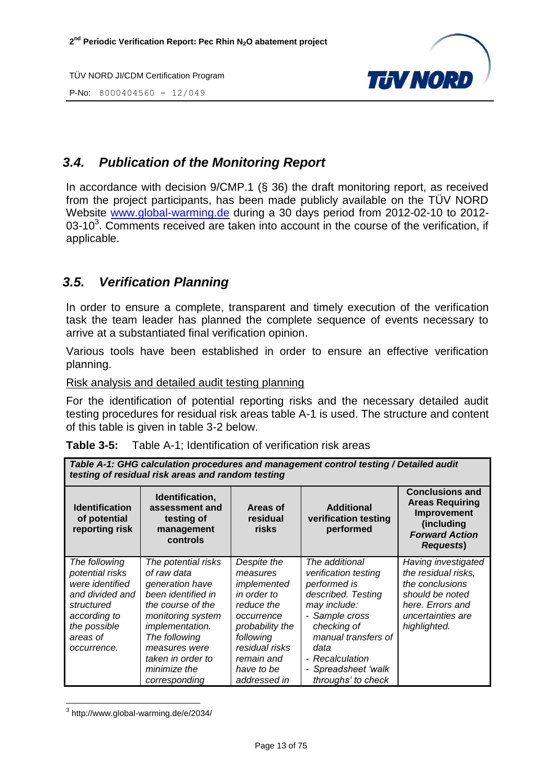P-No: 8000404560 - 12/049



#### <span id="page-12-0"></span>*3.4. Publication of the Monitoring Report*

In accordance with decision 9/CMP.1 (§ 36) the draft monitoring report, as received from the project participants, has been made publicly available on the TÜV NORD Website [www.global-warming.de](http://www.global-warming.de/) during a 30 days period from 2012-02-10 to 2012- 03-10<sup>3</sup>. Comments received are taken into account in the course of the verification, if applicable.

#### <span id="page-12-1"></span>*3.5. Verification Planning*

In order to ensure a complete, transparent and timely execution of the verification task the team leader has planned the complete sequence of events necessary to arrive at a substantiated final verification opinion.

Various tools have been established in order to ensure an effective verification planning.

Risk analysis and detailed audit testing planning

For the identification of potential reporting risks and the necessary detailed audit testing procedures for residual risk areas table A-1 is used. The structure and content of this table is given in table 3-2 below.

*Table A-1: GHG calculation procedures and management control testing / Detailed audit* 

| Table 3-5: | Table A-1; Identification of verification risk areas |
|------------|------------------------------------------------------|
|------------|------------------------------------------------------|

| testing of residual risk areas and random testing                                                                                               |                                                                                                                                                                                                                                         |                                                                                                                                                                                 |                                                                                                                                                                                                                              |                                                                                                                                           |  |
|-------------------------------------------------------------------------------------------------------------------------------------------------|-----------------------------------------------------------------------------------------------------------------------------------------------------------------------------------------------------------------------------------------|---------------------------------------------------------------------------------------------------------------------------------------------------------------------------------|------------------------------------------------------------------------------------------------------------------------------------------------------------------------------------------------------------------------------|-------------------------------------------------------------------------------------------------------------------------------------------|--|
| <b>Identification</b><br>of potential<br>reporting risk                                                                                         | Identification,<br>assessment and<br>testing of<br>management<br>controls                                                                                                                                                               | Areas of<br>residual<br>risks                                                                                                                                                   | <b>Additional</b><br>verification testing<br>performed                                                                                                                                                                       | <b>Conclusions and</b><br><b>Areas Requiring</b><br>Improvement<br>(including<br><b>Forward Action</b><br><b>Requests</b> )               |  |
| The following<br>potential risks<br>were identified<br>and divided and<br>structured<br>according to<br>the possible<br>areas of<br>occurrence. | The potential risks<br>of raw data<br>generation have<br>been identified in<br>the course of the<br>monitoring system<br><i>implementation.</i><br>The following<br>measures were<br>taken in order to<br>minimize the<br>corresponding | Despite the<br>measures<br>implemented<br>in order to<br>reduce the<br>occurrence<br>probability the<br>following<br>residual risks<br>remain and<br>have to be<br>addressed in | The additional<br>verification testing<br>performed is<br>described. Testing<br>may include:<br>- Sample cross<br>checking of<br>manual transfers of<br>data<br>- Recalculation<br>- Spreadsheet 'walk<br>throughs' to check | Having investigated<br>the residual risks,<br>the conclusions<br>should be noted<br>here. Errors and<br>uncertainties are<br>highlighted. |  |

3 http://www.global-warming.de/e/2034/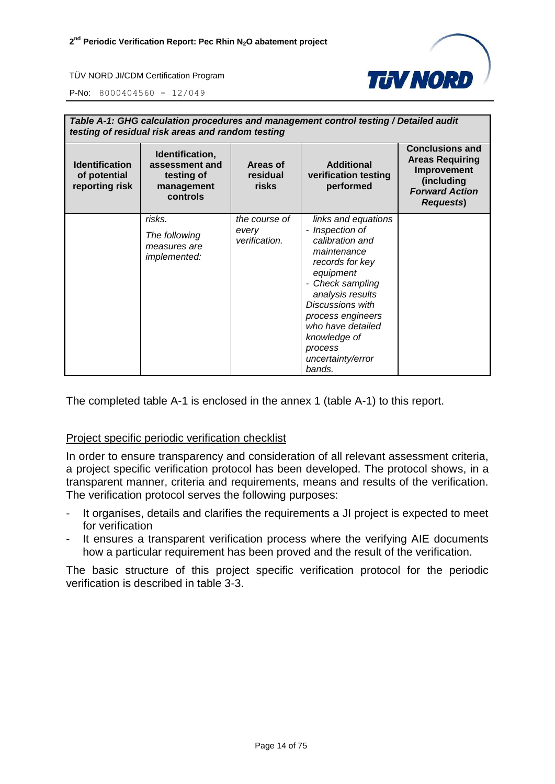

P-No: 8000404560 - 12/049

| Table A-1: GHG calculation procedures and management control testing / Detailed audit<br>testing of residual risk areas and random testing |                                                                           |                                         |                                                                                                                                                                                                                                                                                                                           |                                                                                                                            |
|--------------------------------------------------------------------------------------------------------------------------------------------|---------------------------------------------------------------------------|-----------------------------------------|---------------------------------------------------------------------------------------------------------------------------------------------------------------------------------------------------------------------------------------------------------------------------------------------------------------------------|----------------------------------------------------------------------------------------------------------------------------|
| <b>Identification</b><br>of potential<br>reporting risk                                                                                    | Identification,<br>assessment and<br>testing of<br>management<br>controls | Areas of<br>residual<br>risks           | <b>Additional</b><br>verification testing<br>performed                                                                                                                                                                                                                                                                    | <b>Conclusions and</b><br><b>Areas Requiring</b><br>Improvement<br>(including<br><b>Forward Action</b><br><b>Requests)</b> |
|                                                                                                                                            | risks.<br>The following<br>measures are<br><i>implemented:</i>            | the course of<br>every<br>verification. | links and equations<br>Inspection of<br>$\blacksquare$<br>calibration and<br>maintenance<br>records for key<br>equipment<br>Check sampling<br>$\overline{\phantom{a}}$<br>analysis results<br><b>Discussions with</b><br>process engineers<br>who have detailed<br>knowledge of<br>process<br>uncertainty/error<br>bands. |                                                                                                                            |

The completed table A-1 is enclosed in the annex 1 (table A-1) to this report.

#### Project specific periodic verification checklist

In order to ensure transparency and consideration of all relevant assessment criteria, a project specific verification protocol has been developed. The protocol shows, in a transparent manner, criteria and requirements, means and results of the verification. The verification protocol serves the following purposes:

- It organises, details and clarifies the requirements a JI project is expected to meet for verification
- It ensures a transparent verification process where the verifying AIE documents how a particular requirement has been proved and the result of the verification.

The basic structure of this project specific verification protocol for the periodic verification is described in table 3-3.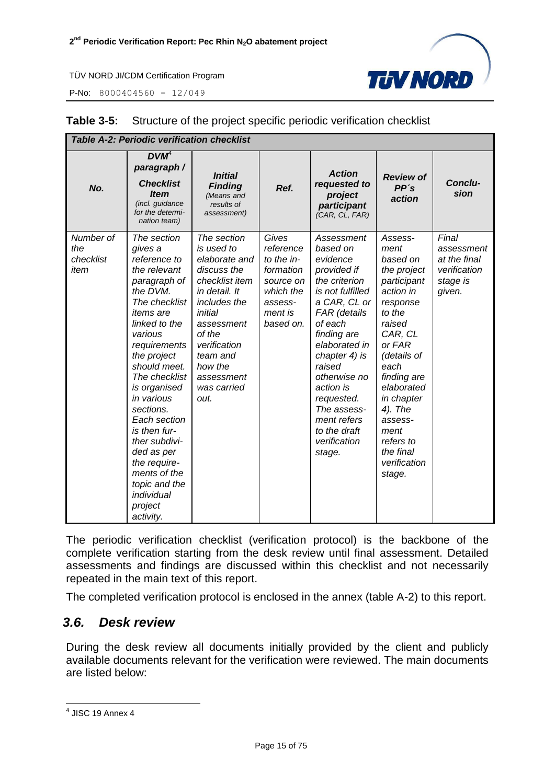P-No: 8000404560 - 12/049



| <b>Table A-2: Periodic verification checklist</b> |                                                                                                                                                                                                                                                                                                                                                                                                                      |                                                                                                                                                                                                                             |                                                                                                            |                                                                                                                                                                                                                                                                                                                 |                                                                                                                                                                                                                                                                                 |                                                                           |
|---------------------------------------------------|----------------------------------------------------------------------------------------------------------------------------------------------------------------------------------------------------------------------------------------------------------------------------------------------------------------------------------------------------------------------------------------------------------------------|-----------------------------------------------------------------------------------------------------------------------------------------------------------------------------------------------------------------------------|------------------------------------------------------------------------------------------------------------|-----------------------------------------------------------------------------------------------------------------------------------------------------------------------------------------------------------------------------------------------------------------------------------------------------------------|---------------------------------------------------------------------------------------------------------------------------------------------------------------------------------------------------------------------------------------------------------------------------------|---------------------------------------------------------------------------|
| No.                                               | $DVM^4$<br>paragraph /<br><b>Checklist</b><br><b>Item</b><br>(incl. guidance<br>for the determi-<br>nation team)                                                                                                                                                                                                                                                                                                     | <b>Initial</b><br><b>Finding</b><br>(Means and<br>results of<br>assessment)                                                                                                                                                 | Ref.                                                                                                       | <b>Action</b><br>requested to<br>project<br>participant<br>(CAR, CL, FAR)                                                                                                                                                                                                                                       | <b>Review of</b><br>PP's<br>action                                                                                                                                                                                                                                              | Conclu-<br>sion                                                           |
| Number of<br>the<br>checklist<br>item             | The section<br>gives a<br>reference to<br>the relevant<br>paragraph of<br>the DVM.<br>The checklist<br><i>items</i> are<br>linked to the<br>various<br>requirements<br>the project<br>should meet.<br>The checklist<br>is organised<br>in various<br>sections.<br>Each section<br>is then fur-<br>ther subdivi-<br>ded as per<br>the require-<br>ments of the<br>topic and the<br>individual<br>project<br>activity. | The section<br>is used to<br>elaborate and<br>discuss the<br>checklist item<br>in detail. It<br>includes the<br>initial<br>assessment<br>of the<br>verification<br>team and<br>how the<br>assessment<br>was carried<br>out. | Gives<br>reference<br>to the in-<br>formation<br>source on<br>which the<br>assess-<br>ment is<br>based on. | Assessment<br>based on<br>evidence<br>provided if<br>the criterion<br>is not fulfilled<br>a CAR, CL or<br>FAR (details<br>of each<br>finding are<br>elaborated in<br>chapter 4) is<br>raised<br>otherwise no<br>action is<br>requested.<br>The assess-<br>ment refers<br>to the draft<br>verification<br>stage. | Assess-<br>ment<br>based on<br>the project<br>participant<br>action in<br>response<br>to the<br>raised<br>CAR, CL<br>or FAR<br>(details of<br>each<br>finding are<br>elaborated<br>in chapter<br>4). The<br>assess-<br>ment<br>refers to<br>the final<br>verification<br>stage. | Final<br>assessment<br>at the final<br>verification<br>stage is<br>given. |

#### **Table 3-5:** Structure of the project specific periodic verification checklist

The periodic verification checklist (verification protocol) is the backbone of the complete verification starting from the desk review until final assessment. Detailed assessments and findings are discussed within this checklist and not necessarily repeated in the main text of this report.

The completed verification protocol is enclosed in the annex (table A-2) to this report.

#### <span id="page-14-0"></span>*3.6. Desk review*

During the desk review all documents initially provided by the client and publicly available documents relevant for the verification were reviewed. The main documents are listed below:

 4 JISC 19 Annex 4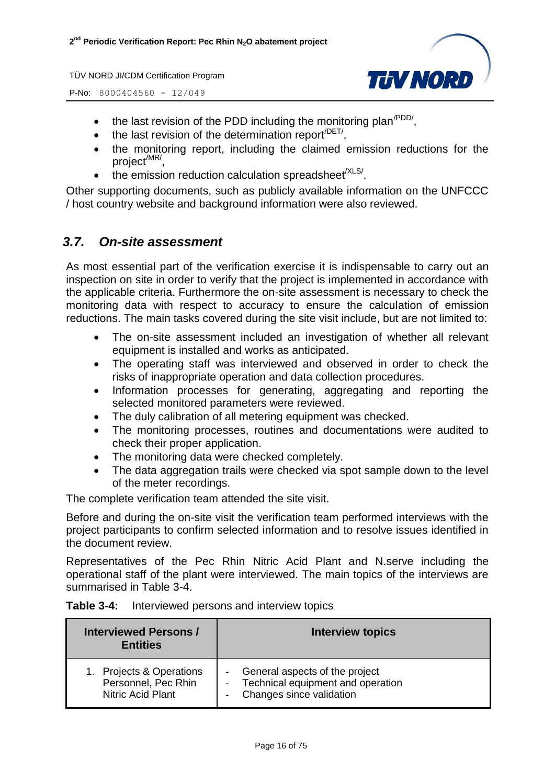P-No: 8000404560 - 12/049



- $\bullet$  the last revision of the PDD including the monitoring plan<sup>/PDD/</sup>,
- $\bullet$  the last revision of the determination report<sup>/DET/</sup>,
- the monitoring report, including the claimed emission reductions for the project<sup>/MR/</sup>,
- $\bullet$  the emission reduction calculation spreadsheet<sup>/XLS/</sup>.

Other supporting documents, such as publicly available information on the UNFCCC / host country website and background information were also reviewed.

#### <span id="page-15-0"></span>*3.7. On-site assessment*

As most essential part of the verification exercise it is indispensable to carry out an inspection on site in order to verify that the project is implemented in accordance with the applicable criteria. Furthermore the on-site assessment is necessary to check the monitoring data with respect to accuracy to ensure the calculation of emission reductions. The main tasks covered during the site visit include, but are not limited to:

- The on-site assessment included an investigation of whether all relevant equipment is installed and works as anticipated.
- The operating staff was interviewed and observed in order to check the risks of inappropriate operation and data collection procedures.
- Information processes for generating, aggregating and reporting the selected monitored parameters were reviewed.
- The duly calibration of all metering equipment was checked.
- The monitoring processes, routines and documentations were audited to check their proper application.
- The monitoring data were checked completely.
- The data aggregation trails were checked via spot sample down to the level of the meter recordings.

The complete verification team attended the site visit.

Before and during the on-site visit the verification team performed interviews with the project participants to confirm selected information and to resolve issues identified in the document review.

Representatives of the Pec Rhin Nitric Acid Plant and N.serve including the operational staff of the plant were interviewed. The main topics of the interviews are summarised in Table 3-4.

|  |  |  | <b>Table 3-4:</b> Interviewed persons and interview topics |
|--|--|--|------------------------------------------------------------|
|--|--|--|------------------------------------------------------------|

| <b>Interviewed Persons /</b><br><b>Entities</b> | <b>Interview topics</b>           |
|-------------------------------------------------|-----------------------------------|
| 1. Projects & Operations                        | General aspects of the project    |
| Personnel, Pec Rhin                             | Technical equipment and operation |
| <b>Nitric Acid Plant</b>                        | Changes since validation          |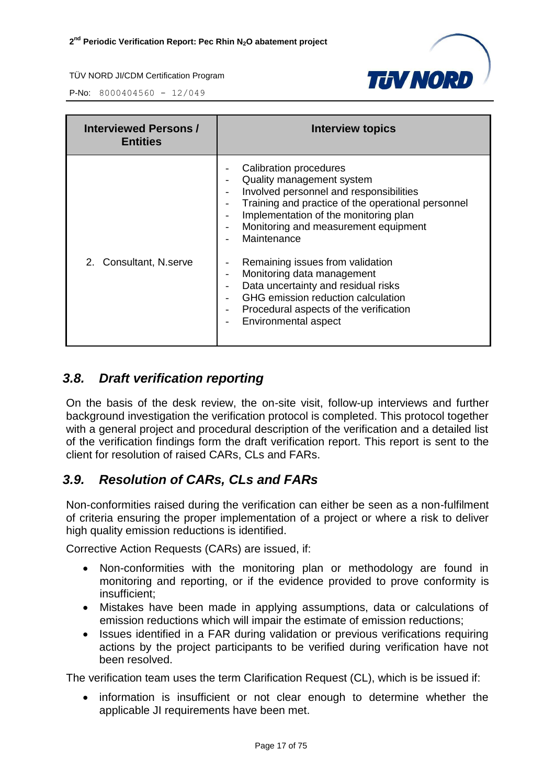

P-No: 8000404560 - 12/049

| <b>Interviewed Persons /</b><br><b>Entities</b> | <b>Interview topics</b>                                                                                                                                                                                                                                                                                                                                                                                                                                                                                                                                                                                                                    |
|-------------------------------------------------|--------------------------------------------------------------------------------------------------------------------------------------------------------------------------------------------------------------------------------------------------------------------------------------------------------------------------------------------------------------------------------------------------------------------------------------------------------------------------------------------------------------------------------------------------------------------------------------------------------------------------------------------|
| 2. Consultant, N.serve                          | Calibration procedures<br>Quality management system<br>Involved personnel and responsibilities<br>$\overline{\phantom{0}}$<br>Training and practice of the operational personnel<br>$\overline{\phantom{0}}$<br>Implementation of the monitoring plan<br>Monitoring and measurement equipment<br>$\overline{\phantom{0}}$<br>Maintenance<br>Remaining issues from validation<br>$\qquad \qquad \blacksquare$<br>Monitoring data management<br>$\qquad \qquad -$<br>Data uncertainty and residual risks<br>GHG emission reduction calculation<br>Procedural aspects of the verification<br>$\overline{\phantom{0}}$<br>Environmental aspect |

#### <span id="page-16-0"></span>*3.8. Draft verification reporting*

On the basis of the desk review, the on-site visit, follow-up interviews and further background investigation the verification protocol is completed. This protocol together with a general project and procedural description of the verification and a detailed list of the verification findings form the draft verification report. This report is sent to the client for resolution of raised CARs, CLs and FARs.

#### <span id="page-16-1"></span>*3.9. Resolution of CARs, CLs and FARs*

Non-conformities raised during the verification can either be seen as a non-fulfilment of criteria ensuring the proper implementation of a project or where a risk to deliver high quality emission reductions is identified.

Corrective Action Requests (CARs) are issued, if:

- Non-conformities with the monitoring plan or methodology are found in monitoring and reporting, or if the evidence provided to prove conformity is insufficient;
- Mistakes have been made in applying assumptions, data or calculations of emission reductions which will impair the estimate of emission reductions;
- Issues identified in a FAR during validation or previous verifications requiring actions by the project participants to be verified during verification have not been resolved.

The verification team uses the term Clarification Request (CL), which is be issued if:

 information is insufficient or not clear enough to determine whether the applicable JI requirements have been met.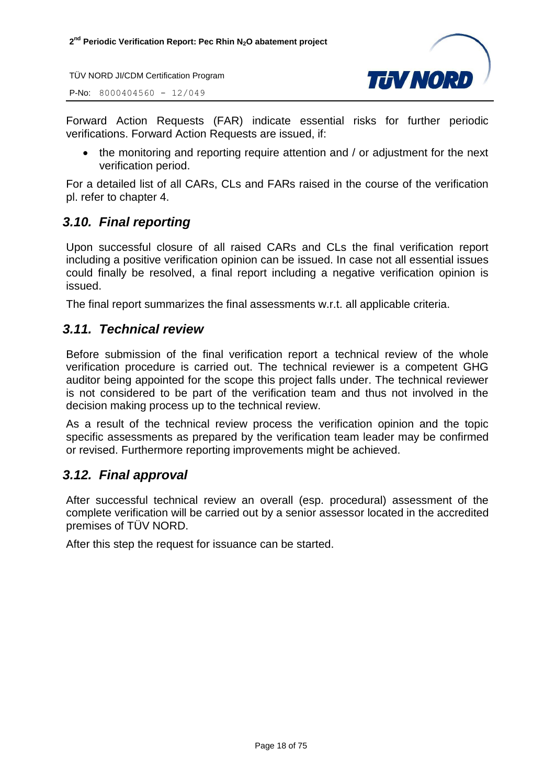P-No: 8000404560 - 12/049



Forward Action Requests (FAR) indicate essential risks for further periodic verifications. Forward Action Requests are issued, if:

• the monitoring and reporting require attention and / or adjustment for the next verification period.

For a detailed list of all CARs, CLs and FARs raised in the course of the verification pl. refer to chapter 4.

#### <span id="page-17-0"></span>*3.10. Final reporting*

Upon successful closure of all raised CARs and CLs the final verification report including a positive verification opinion can be issued. In case not all essential issues could finally be resolved, a final report including a negative verification opinion is issued.

The final report summarizes the final assessments w.r.t. all applicable criteria.

#### <span id="page-17-1"></span>*3.11. Technical review*

Before submission of the final verification report a technical review of the whole verification procedure is carried out. The technical reviewer is a competent GHG auditor being appointed for the scope this project falls under. The technical reviewer is not considered to be part of the verification team and thus not involved in the decision making process up to the technical review.

As a result of the technical review process the verification opinion and the topic specific assessments as prepared by the verification team leader may be confirmed or revised. Furthermore reporting improvements might be achieved.

#### <span id="page-17-2"></span>*3.12. Final approval*

After successful technical review an overall (esp. procedural) assessment of the complete verification will be carried out by a senior assessor located in the accredited premises of TÜV NORD.

After this step the request for issuance can be started.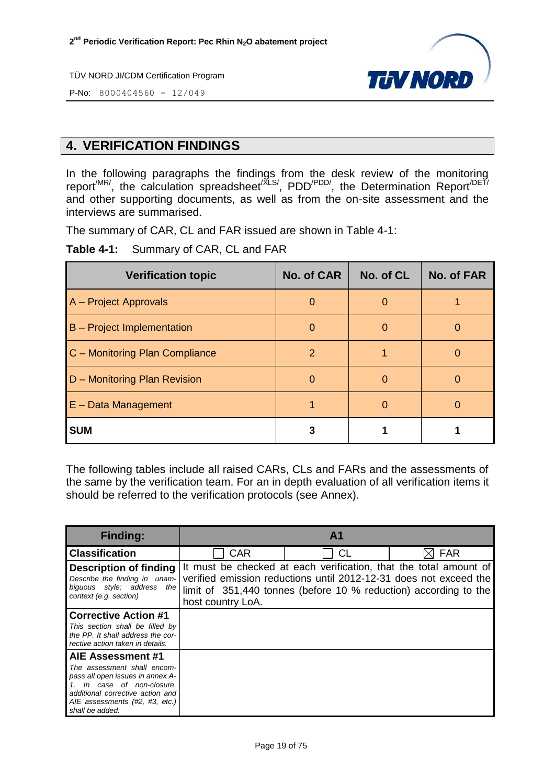

P-No: 8000404560 - 12/049

#### <span id="page-18-0"></span>**4. VERIFICATION FINDINGS**

In the following paragraphs the findings from the desk review of the monitoring report<sup>/MR/</sup>, the calculation spreadsheet<sup>/XLS/</sup>, PDD<sup>/PDD/</sup>, the Determination Report<sup>/DET/</sup> and other supporting documents, as well as from the on-site assessment and the interviews are summarised.

The summary of CAR, CL and FAR issued are shown in Table 4-1:

**Table 4-1:** Summary of CAR, CL and FAR

| <b>Verification topic</b>         | <b>No. of CAR</b> | No. of CL | No. of FAR |
|-----------------------------------|-------------------|-----------|------------|
| A – Project Approvals             | $\Omega$          | O         |            |
| <b>B</b> – Project Implementation | O                 | O         |            |
| C - Monitoring Plan Compliance    | 2                 |           |            |
| D - Monitoring Plan Revision      | $\Omega$          | O         |            |
| $E - Data Management$             |                   | O         |            |
| <b>SUM</b>                        |                   |           |            |

The following tables include all raised CARs, CLs and FARs and the assessments of the same by the verification team. For an in depth evaluation of all verification items it should be referred to the verification protocols (see Annex).

| <b>Finding:</b>                                                                                                                                                                        | $\mathbf{A}$ 1    |                                                                                                                                                                                                            |            |  |
|----------------------------------------------------------------------------------------------------------------------------------------------------------------------------------------|-------------------|------------------------------------------------------------------------------------------------------------------------------------------------------------------------------------------------------------|------------|--|
| <b>Classification</b>                                                                                                                                                                  | <b>CAR</b>        | СL                                                                                                                                                                                                         | <b>FAR</b> |  |
| <b>Description of finding</b><br>Describe the finding in unam-<br>biquous style; address the<br>context (e.g. section)                                                                 | host country LoA. | It must be checked at each verification, that the total amount of<br>verified emission reductions until 2012-12-31 does not exceed the<br>limit of 351,440 tonnes (before 10 % reduction) according to the |            |  |
| <b>Corrective Action #1</b>                                                                                                                                                            |                   |                                                                                                                                                                                                            |            |  |
| This section shall be filled by<br>the PP. It shall address the cor-<br>rective action taken in details.                                                                               |                   |                                                                                                                                                                                                            |            |  |
| AIE Assessment #1                                                                                                                                                                      |                   |                                                                                                                                                                                                            |            |  |
| The assessment shall encom-<br>pass all open issues in annex A-<br>1. In case of non-closure,<br>additional corrective action and<br>AIE assessments (#2, #3, etc.)<br>shall be added. |                   |                                                                                                                                                                                                            |            |  |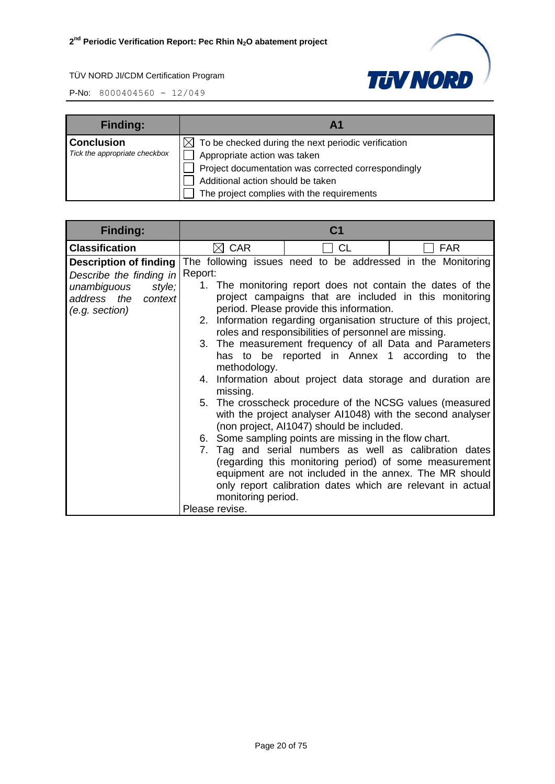

| <b>Finding:</b>               |                                                                 |
|-------------------------------|-----------------------------------------------------------------|
| <b>Conclusion</b>             | $\boxtimes$ To be checked during the next periodic verification |
| Tick the appropriate checkbox | Appropriate action was taken                                    |
|                               | Project documentation was corrected correspondingly             |
|                               | Additional action should be taken                               |
|                               | The project complies with the requirements                      |

| <b>Finding:</b>                                                                                                            |                                                                             | C <sub>1</sub>                                                                                                                                                                                                                                                                                                                                                                                                                                                                                                       |                                                                                                                                                                                                                                                                                                                                                                                                                                                                                             |
|----------------------------------------------------------------------------------------------------------------------------|-----------------------------------------------------------------------------|----------------------------------------------------------------------------------------------------------------------------------------------------------------------------------------------------------------------------------------------------------------------------------------------------------------------------------------------------------------------------------------------------------------------------------------------------------------------------------------------------------------------|---------------------------------------------------------------------------------------------------------------------------------------------------------------------------------------------------------------------------------------------------------------------------------------------------------------------------------------------------------------------------------------------------------------------------------------------------------------------------------------------|
| <b>Classification</b>                                                                                                      | $\boxtimes$ CAR                                                             | <b>CL</b>                                                                                                                                                                                                                                                                                                                                                                                                                                                                                                            | <b>FAR</b>                                                                                                                                                                                                                                                                                                                                                                                                                                                                                  |
| <b>Description of finding</b><br>Describe the finding in<br>unambiguous<br>style;<br>address the context<br>(e.g. section) | Report:<br>methodology.<br>missing.<br>monitoring period.<br>Please revise. | The following issues need to be addressed in the Monitoring<br>1. The monitoring report does not contain the dates of the<br>project campaigns that are included in this monitoring<br>period. Please provide this information.<br>2. Information regarding organisation structure of this project,<br>roles and responsibilities of personnel are missing.<br>has to be reported in Annex 1 according to the<br>(non project, AI1047) should be included.<br>6. Some sampling points are missing in the flow chart. | 3. The measurement frequency of all Data and Parameters<br>4. Information about project data storage and duration are<br>5. The crosscheck procedure of the NCSG values (measured<br>with the project analyser AI1048) with the second analyser<br>7. Tag and serial numbers as well as calibration dates<br>(regarding this monitoring period) of some measurement<br>equipment are not included in the annex. The MR should<br>only report calibration dates which are relevant in actual |
|                                                                                                                            |                                                                             |                                                                                                                                                                                                                                                                                                                                                                                                                                                                                                                      |                                                                                                                                                                                                                                                                                                                                                                                                                                                                                             |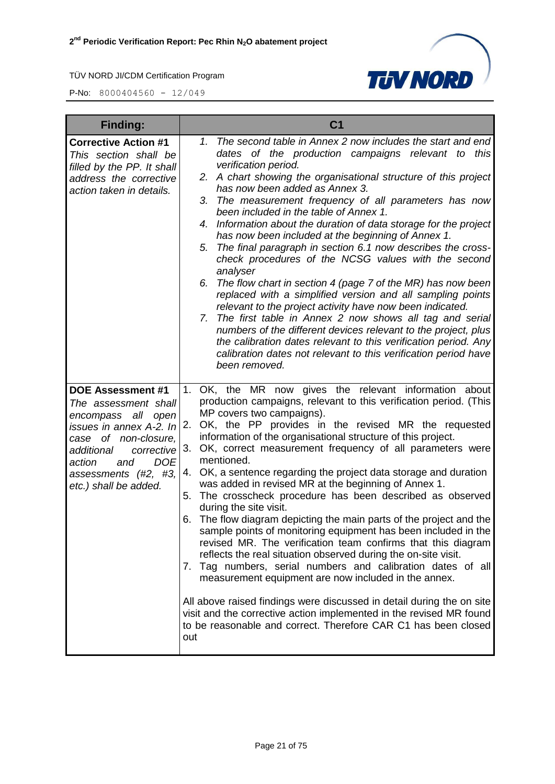

| <b>Finding:</b>                                                                                                                                                                                                                                    | C <sub>1</sub>                                                                                                                                                                                                                                                                                                                                                                                                                                                                                                                                                                                                                                                                                                                                                                                                                                                                                                                                                                                                                                                                                                                                                                                                              |
|----------------------------------------------------------------------------------------------------------------------------------------------------------------------------------------------------------------------------------------------------|-----------------------------------------------------------------------------------------------------------------------------------------------------------------------------------------------------------------------------------------------------------------------------------------------------------------------------------------------------------------------------------------------------------------------------------------------------------------------------------------------------------------------------------------------------------------------------------------------------------------------------------------------------------------------------------------------------------------------------------------------------------------------------------------------------------------------------------------------------------------------------------------------------------------------------------------------------------------------------------------------------------------------------------------------------------------------------------------------------------------------------------------------------------------------------------------------------------------------------|
| <b>Corrective Action #1</b><br>This section shall be<br>filled by the PP. It shall<br>address the corrective<br>action taken in details.                                                                                                           | The second table in Annex 2 now includes the start and end<br>1.<br>dates of the production campaigns relevant to this<br>verification period.<br>2. A chart showing the organisational structure of this project<br>has now been added as Annex 3.<br>The measurement frequency of all parameters has now<br>3.<br>been included in the table of Annex 1.<br>Information about the duration of data storage for the project<br>4.<br>has now been included at the beginning of Annex 1.<br>The final paragraph in section 6.1 now describes the cross-<br>5.<br>check procedures of the NCSG values with the second<br>analyser<br>The flow chart in section 4 (page 7 of the MR) has now been<br>6.<br>replaced with a simplified version and all sampling points<br>relevant to the project activity have now been indicated.<br>The first table in Annex 2 now shows all tag and serial<br>7.<br>numbers of the different devices relevant to the project, plus<br>the calibration dates relevant to this verification period. Any<br>calibration dates not relevant to this verification period have<br>been removed.                                                                                                  |
| <b>DOE Assessment #1</b><br>The assessment shall<br>all<br>encompass<br>open<br><i>issues in annex A-2. In</i><br>case of non-closure,<br>additional<br>corrective<br><b>DOE</b><br>and<br>action<br>assessments (#2, #3,<br>etc.) shall be added. | 1. OK, the MR now gives the relevant information about<br>production campaigns, relevant to this verification period. (This<br>MP covers two campaigns).<br>OK, the PP provides in the revised MR the requested<br>2.<br>information of the organisational structure of this project.<br>OK, correct measurement frequency of all parameters were<br>3.<br>mentioned.<br>4. OK, a sentence regarding the project data storage and duration<br>was added in revised MR at the beginning of Annex 1.<br>The crosscheck procedure has been described as observed<br>5.<br>during the site visit.<br>The flow diagram depicting the main parts of the project and the<br>6.<br>sample points of monitoring equipment has been included in the<br>revised MR. The verification team confirms that this diagram<br>reflects the real situation observed during the on-site visit.<br>7. Tag numbers, serial numbers and calibration dates of all<br>measurement equipment are now included in the annex.<br>All above raised findings were discussed in detail during the on site<br>visit and the corrective action implemented in the revised MR found<br>to be reasonable and correct. Therefore CAR C1 has been closed<br>out |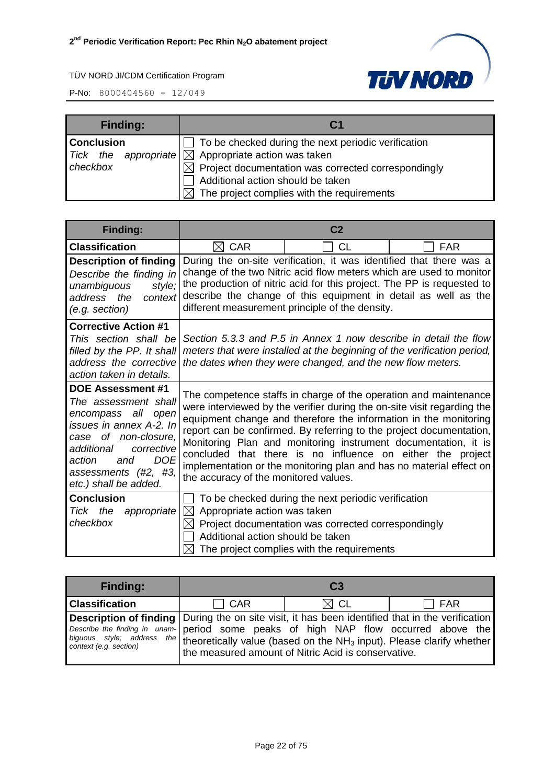

| <b>Finding:</b>   | C <sub>1</sub>                                                  |  |
|-------------------|-----------------------------------------------------------------|--|
| <b>Conclusion</b> | To be checked during the next periodic verification             |  |
|                   | Tick the appropriate $\boxtimes$ Appropriate action was taken   |  |
| checkbox          | $\boxtimes$ Project documentation was corrected correspondingly |  |
|                   | Additional action should be taken                               |  |
|                   | $\boxtimes$ The project complies with the requirements          |  |

| <b>Finding:</b>                                                                                                                                                                                                                       |                                                                                                                                                                                                                                                                                                                                                                                                                                                                                                                                        | C <sub>2</sub>                                                                                                                                                                                            |            |
|---------------------------------------------------------------------------------------------------------------------------------------------------------------------------------------------------------------------------------------|----------------------------------------------------------------------------------------------------------------------------------------------------------------------------------------------------------------------------------------------------------------------------------------------------------------------------------------------------------------------------------------------------------------------------------------------------------------------------------------------------------------------------------------|-----------------------------------------------------------------------------------------------------------------------------------------------------------------------------------------------------------|------------|
| <b>Classification</b>                                                                                                                                                                                                                 | <b>CAR</b><br>M                                                                                                                                                                                                                                                                                                                                                                                                                                                                                                                        | СL                                                                                                                                                                                                        | <b>FAR</b> |
| <b>Description of finding</b><br>Describe the finding in<br>unambiguous<br>style;<br>address the<br>context<br>(e.g. section)                                                                                                         | During the on-site verification, it was identified that there was a<br>change of the two Nitric acid flow meters which are used to monitor<br>the production of nitric acid for this project. The PP is requested to<br>describe the change of this equipment in detail as well as the<br>different measurement principle of the density.                                                                                                                                                                                              |                                                                                                                                                                                                           |            |
| <b>Corrective Action #1</b><br>This section shall be<br>filled by the PP. It shall<br>address the corrective<br>action taken in details.                                                                                              |                                                                                                                                                                                                                                                                                                                                                                                                                                                                                                                                        | Section 5.3.3 and P.5 in Annex 1 now describe in detail the flow<br>meters that were installed at the beginning of the verification period,<br>the dates when they were changed, and the new flow meters. |            |
| <b>DOE Assessment #1</b><br>The assessment shall<br>encompass all open<br>issues in annex A-2. In<br>case of non-closure,<br>additional<br>corrective<br><b>DOE</b><br>action<br>and<br>assessments (#2, #3,<br>etc.) shall be added. | The competence staffs in charge of the operation and maintenance<br>were interviewed by the verifier during the on-site visit regarding the<br>equipment change and therefore the information in the monitoring<br>report can be confirmed. By referring to the project documentation,<br>Monitoring Plan and monitoring instrument documentation, it is<br>concluded that there is no influence on either the project<br>implementation or the monitoring plan and has no material effect on<br>the accuracy of the monitored values. |                                                                                                                                                                                                           |            |
| <b>Conclusion</b><br>the<br>appropriate<br>Tick<br>checkbox                                                                                                                                                                           | Appropriate action was taken<br>$\bowtie$<br>IХI<br>Additional action should be taken                                                                                                                                                                                                                                                                                                                                                                                                                                                  | To be checked during the next periodic verification<br>Project documentation was corrected correspondingly<br>The project complies with the requirements                                                  |            |

| <b>Finding:</b>                                                                                                                                                                                                                                                                                                                  | C <sub>3</sub> |                                                     |       |
|----------------------------------------------------------------------------------------------------------------------------------------------------------------------------------------------------------------------------------------------------------------------------------------------------------------------------------|----------------|-----------------------------------------------------|-------|
| <b>Classification</b>                                                                                                                                                                                                                                                                                                            | $\Box$ CAR     | $\boxtimes$ CL                                      | l FAR |
| Description of finding During the on site visit, it has been identified that in the verification<br>Describe the finding in unam- period some peaks of high NAP flow occurred above the<br>biguous style, address the theoretically value (based on the NH <sub>3</sub> input). Please clarify whether<br>context (e.g. section) |                | the measured amount of Nitric Acid is conservative. |       |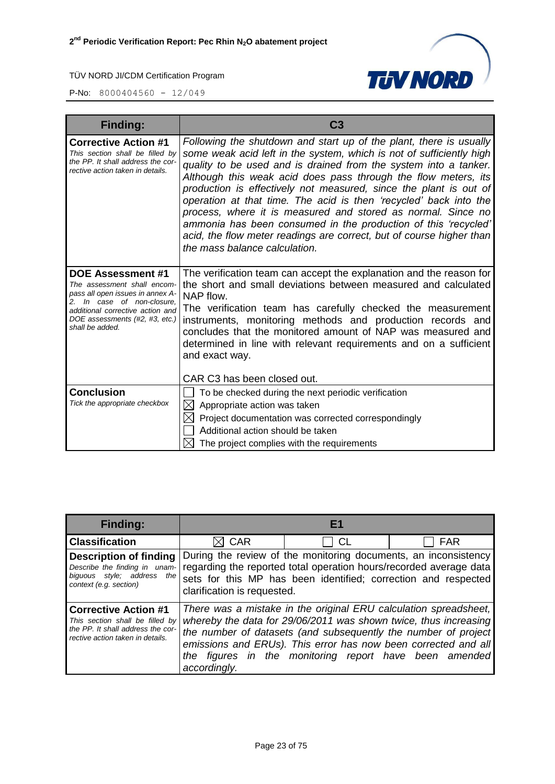



| <b>Finding:</b>                                                                                                                                                                                                    | C <sub>3</sub>                                                                                                                                                                                                                                                                                                                                                                                                                                                                                                                                                                                                                                                        |  |
|--------------------------------------------------------------------------------------------------------------------------------------------------------------------------------------------------------------------|-----------------------------------------------------------------------------------------------------------------------------------------------------------------------------------------------------------------------------------------------------------------------------------------------------------------------------------------------------------------------------------------------------------------------------------------------------------------------------------------------------------------------------------------------------------------------------------------------------------------------------------------------------------------------|--|
| <b>Corrective Action #1</b><br>This section shall be filled by<br>the PP. It shall address the cor-<br>rective action taken in details.                                                                            | Following the shutdown and start up of the plant, there is usually<br>some weak acid left in the system, which is not of sufficiently high<br>quality to be used and is drained from the system into a tanker.<br>Although this weak acid does pass through the flow meters, its<br>production is effectively not measured, since the plant is out of<br>operation at that time. The acid is then 'recycled' back into the<br>process, where it is measured and stored as normal. Since no<br>ammonia has been consumed in the production of this 'recycled'<br>acid, the flow meter readings are correct, but of course higher than<br>the mass balance calculation. |  |
| <b>DOE Assessment #1</b><br>The assessment shall encom-<br>pass all open issues in annex A-<br>2. In case of non-closure,<br>additional corrective action and<br>DOE assessments (#2, #3, etc.)<br>shall be added. | The verification team can accept the explanation and the reason for<br>the short and small deviations between measured and calculated<br>NAP flow.<br>The verification team has carefully checked the measurement<br>instruments, monitoring methods and production records and<br>concludes that the monitored amount of NAP was measured and<br>determined in line with relevant requirements and on a sufficient<br>and exact way.                                                                                                                                                                                                                                 |  |
| <b>Conclusion</b>                                                                                                                                                                                                  | CAR C3 has been closed out.                                                                                                                                                                                                                                                                                                                                                                                                                                                                                                                                                                                                                                           |  |
| Tick the appropriate checkbox                                                                                                                                                                                      | To be checked during the next periodic verification<br>$\bowtie$<br>Appropriate action was taken                                                                                                                                                                                                                                                                                                                                                                                                                                                                                                                                                                      |  |
|                                                                                                                                                                                                                    | Project documentation was corrected correspondingly                                                                                                                                                                                                                                                                                                                                                                                                                                                                                                                                                                                                                   |  |
|                                                                                                                                                                                                                    | Additional action should be taken                                                                                                                                                                                                                                                                                                                                                                                                                                                                                                                                                                                                                                     |  |
|                                                                                                                                                                                                                    | The project complies with the requirements                                                                                                                                                                                                                                                                                                                                                                                                                                                                                                                                                                                                                            |  |

| <b>Finding:</b>                                                                                                                         |                                                                                                                                                                                                                                        |    |                                                                                                                                                                                                                                                                                                                                    |
|-----------------------------------------------------------------------------------------------------------------------------------------|----------------------------------------------------------------------------------------------------------------------------------------------------------------------------------------------------------------------------------------|----|------------------------------------------------------------------------------------------------------------------------------------------------------------------------------------------------------------------------------------------------------------------------------------------------------------------------------------|
| <b>Classification</b>                                                                                                                   | <b>CAR</b>                                                                                                                                                                                                                             | CL | <b>FAR</b>                                                                                                                                                                                                                                                                                                                         |
| <b>Description of finding</b><br>Describe the finding in unam-<br>biquous style; address<br>the<br>context (e.g. section)               | During the review of the monitoring documents, an inconsistency<br>regarding the reported total operation hours/recorded average data<br>sets for this MP has been identified; correction and respected<br>clarification is requested. |    |                                                                                                                                                                                                                                                                                                                                    |
| <b>Corrective Action #1</b><br>This section shall be filled by<br>the PP. It shall address the cor-<br>rective action taken in details. | accordingly.                                                                                                                                                                                                                           |    | There was a mistake in the original ERU calculation spreadsheet,<br>whereby the data for 29/06/2011 was shown twice, thus increasing<br>the number of datasets (and subsequently the number of project<br>emissions and ERUs). This error has now been corrected and all<br>the figures in the monitoring report have been amended |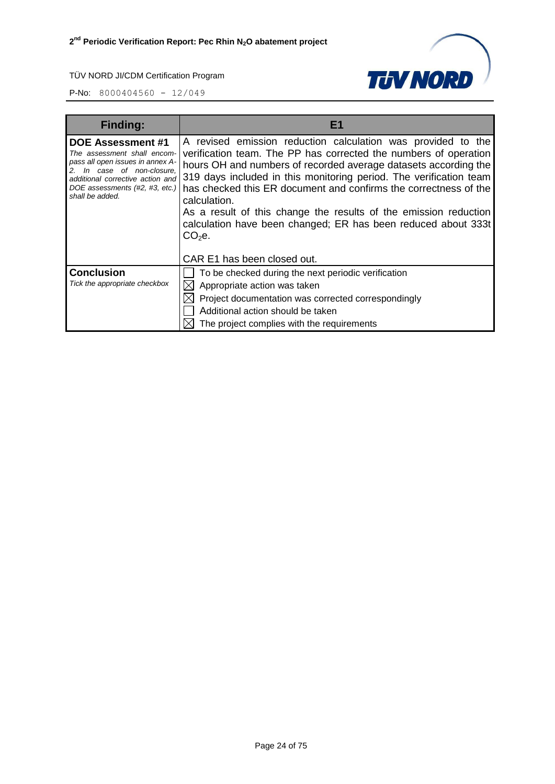

| <b>Finding:</b>                                                                                                                                                                                          | F1                                                                                                                                                                                                                                                                                                                                                                                                                                                                                                                       |  |
|----------------------------------------------------------------------------------------------------------------------------------------------------------------------------------------------------------|--------------------------------------------------------------------------------------------------------------------------------------------------------------------------------------------------------------------------------------------------------------------------------------------------------------------------------------------------------------------------------------------------------------------------------------------------------------------------------------------------------------------------|--|
| DOE Assessment #1<br>The assessment shall encom-<br>pass all open issues in annex A-<br>In case of non-closure,<br>additional corrective action and<br>DOE assessments (#2, #3, etc.)<br>shall be added. | A revised emission reduction calculation was provided to the<br>verification team. The PP has corrected the numbers of operation<br>hours OH and numbers of recorded average datasets according the<br>319 days included in this monitoring period. The verification team<br>has checked this ER document and confirms the correctness of the<br>calculation.<br>As a result of this change the results of the emission reduction<br>calculation have been changed; ER has been reduced about 333t<br>CO <sub>2</sub> e. |  |
|                                                                                                                                                                                                          | CAR E1 has been closed out.                                                                                                                                                                                                                                                                                                                                                                                                                                                                                              |  |
| <b>Conclusion</b><br>Tick the appropriate checkbox                                                                                                                                                       | To be checked during the next periodic verification<br>Appropriate action was taken<br>Project documentation was corrected correspondingly<br>Additional action should be taken<br>The project complies with the requirements                                                                                                                                                                                                                                                                                            |  |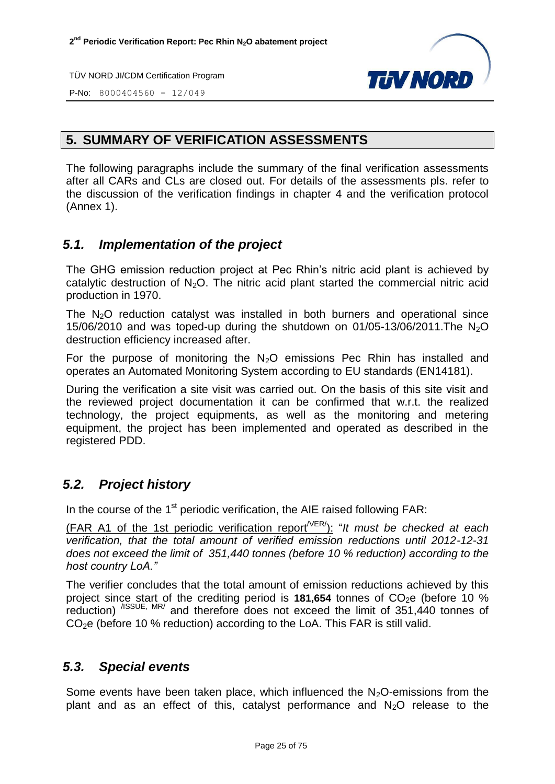

P-No: 8000404560 - 12/049

#### <span id="page-24-0"></span>**5. SUMMARY OF VERIFICATION ASSESSMENTS**

The following paragraphs include the summary of the final verification assessments after all CARs and CLs are closed out. For details of the assessments pls. refer to the discussion of the verification findings in chapter 4 and the verification protocol (Annex 1).

#### <span id="page-24-1"></span>*5.1. Implementation of the project*

The GHG emission reduction project at Pec Rhin's nitric acid plant is achieved by catalytic destruction of  $N_2O$ . The nitric acid plant started the commercial nitric acid production in 1970.

The  $N<sub>2</sub>O$  reduction catalyst was installed in both burners and operational since 15/06/2010 and was toped-up during the shutdown on 01/05-13/06/2011. The  $N_2O$ destruction efficiency increased after.

For the purpose of monitoring the  $N_2O$  emissions Pec Rhin has installed and operates an Automated Monitoring System according to EU standards (EN14181).

During the verification a site visit was carried out. On the basis of this site visit and the reviewed project documentation it can be confirmed that w.r.t. the realized technology, the project equipments, as well as the monitoring and metering equipment, the project has been implemented and operated as described in the registered PDD.

#### <span id="page-24-2"></span>*5.2. Project history*

In the course of the 1<sup>st</sup> periodic verification, the AIE raised following FAR:

(FAR A1 of the 1st periodic verification report/VER/ ): "*It must be checked at each verification, that the total amount of verified emission reductions until 2012-12-31 does not exceed the limit of 351,440 tonnes (before 10 % reduction) according to the host country LoA."*

The verifier concludes that the total amount of emission reductions achieved by this project since start of the crediting period is 181,654 tonnes of CO<sub>2</sub>e (before 10 % reduction) <sup>/ISSUE, MR/</sup> and therefore does not exceed the limit of 351,440 tonnes of  $CO<sub>2</sub>e$  (before 10 % reduction) according to the LoA. This FAR is still valid.

#### <span id="page-24-3"></span>*5.3. Special events*

<span id="page-24-4"></span>Some events have been taken place, which influenced the  $N<sub>2</sub>O$ -emissions from the plant and as an effect of this, catalyst performance and  $N<sub>2</sub>O$  release to the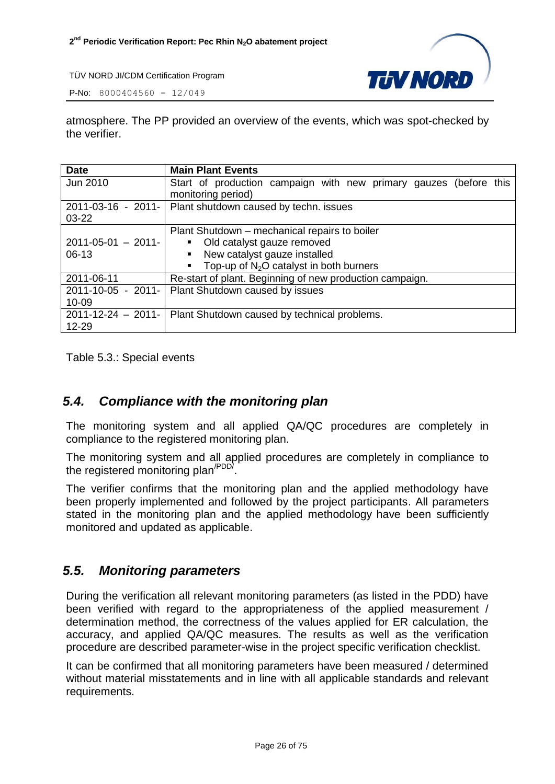

P-No: 8000404560 - 12/049

atmosphere. The PP provided an overview of the events, which was spot-checked by the verifier.

| <b>Date</b>             | <b>Main Plant Events</b>                                          |
|-------------------------|-------------------------------------------------------------------|
| Jun 2010                | Start of production campaign with new primary gauzes (before this |
|                         | monitoring period)                                                |
| 2011-03-16 - 2011-      | Plant shutdown caused by techn. issues                            |
| $03 - 22$               |                                                                   |
|                         | Plant Shutdown – mechanical repairs to boiler                     |
| $2011 - 05 - 01 - 2011$ | Old catalyst gauze removed                                        |
| $06-13$                 | New catalyst gauze installed<br>$\blacksquare$                    |
|                         | Top-up of $N_2O$ catalyst in both burners                         |
| 2011-06-11              | Re-start of plant. Beginning of new production campaign.          |
|                         | 2011-10-05 - 2011-   Plant Shutdown caused by issues              |
| $10 - 09$               |                                                                   |
| $2011 - 12 - 24 - 2011$ | Plant Shutdown caused by technical problems.                      |
| 12-29                   |                                                                   |

Table 5.3.: Special events

#### *5.4. Compliance with the monitoring plan*

The monitoring system and all applied QA/QC procedures are completely in compliance to the registered monitoring plan.

The monitoring system and all applied procedures are completely in compliance to the registered monitoring plan<sup>/PDD/</sup>.

The verifier confirms that the monitoring plan and the applied methodology have been properly implemented and followed by the project participants. All parameters stated in the monitoring plan and the applied methodology have been sufficiently monitored and updated as applicable.

#### <span id="page-25-0"></span>*5.5. Monitoring parameters*

During the verification all relevant monitoring parameters (as listed in the PDD) have been verified with regard to the appropriateness of the applied measurement / determination method, the correctness of the values applied for ER calculation, the accuracy, and applied QA/QC measures. The results as well as the verification procedure are described parameter-wise in the project specific verification checklist.

It can be confirmed that all monitoring parameters have been measured / determined without material misstatements and in line with all applicable standards and relevant requirements.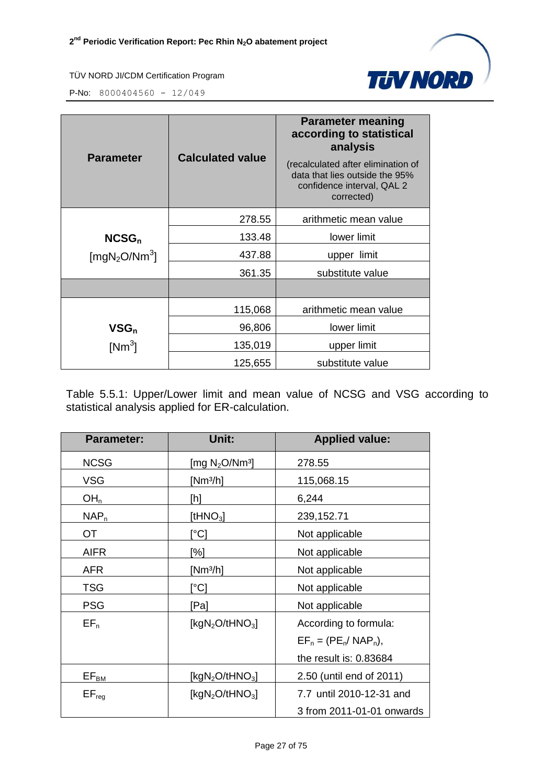

P-No: 8000404560 - 12/049

| <b>Parameter</b>                      | <b>Calculated value</b> | <b>Parameter meaning</b><br>according to statistical<br>analysis<br>(recalculated after elimination of<br>data that lies outside the 95%<br>confidence interval, QAL 2<br>corrected) |
|---------------------------------------|-------------------------|--------------------------------------------------------------------------------------------------------------------------------------------------------------------------------------|
|                                       | 278.55                  | arithmetic mean value                                                                                                                                                                |
| NCSG <sub>n</sub>                     | 133.48                  | lower limit                                                                                                                                                                          |
| [mgN <sub>2</sub> O/Nm <sup>3</sup> ] | 437.88                  | upper limit                                                                                                                                                                          |
|                                       | 361.35                  | substitute value                                                                                                                                                                     |
|                                       |                         |                                                                                                                                                                                      |
|                                       | 115,068                 | arithmetic mean value                                                                                                                                                                |
| $VSG_n$                               | 96,806                  | lower limit                                                                                                                                                                          |
| [Nm <sup>3</sup> ]                    | 135,019                 | upper limit                                                                                                                                                                          |
|                                       | 125,655                 | substitute value                                                                                                                                                                     |

<span id="page-26-0"></span>Table 5.5.1: Upper/Lower limit and mean value of NCSG and VSG according to statistical analysis applied for ER-calculation.

| <b>Parameter:</b>     | Unit:                                   | <b>Applied value:</b>     |
|-----------------------|-----------------------------------------|---------------------------|
| <b>NCSG</b>           | [mg $\rm N_2$ O/Nm $^3$ ]               | 278.55                    |
| <b>VSG</b>            | [Nm <sup>3/</sup> h]                    | 115,068.15                |
| OH <sub>n</sub>       | [h]                                     | 6,244                     |
| $NAP_n$               | [t $HNO3$ ]                             | 239,152.71                |
| OT                    | [°C]                                    | Not applicable            |
| <b>AIFR</b>           | [%]                                     | Not applicable            |
| <b>AFR</b>            | [Nm <sup>3/</sup> h]                    | Not applicable            |
| <b>TSG</b>            | [°C]                                    | Not applicable            |
| <b>PSG</b>            | [Pa]                                    | Not applicable            |
| $EF_n$                | [ $kgN2O/tHNO3$ ]                       | According to formula:     |
|                       |                                         | $EF_n = (PE_n / NAP_n),$  |
|                       |                                         | the result is: 0.83684    |
| $EF_{B\underline{M}}$ | [kgN <sub>2</sub> O/tHNO <sub>3</sub> ] | 2.50 (until end of 2011)  |
| $EF_{reg}$            | [kgN <sub>2</sub> O/tHNO <sub>3</sub> ] | 7.7 until 2010-12-31 and  |
|                       |                                         | 3 from 2011-01-01 onwards |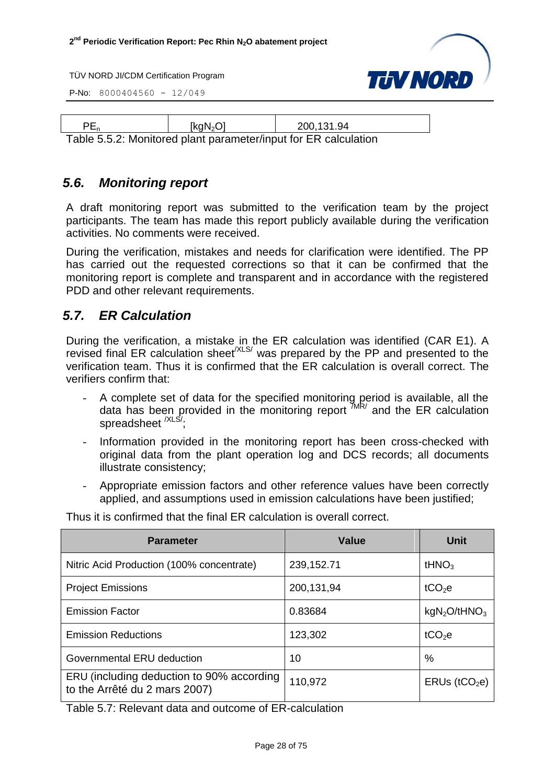P-No: 8000404560 - 12/049



| PE <sub>n</sub>                                                 | [kqN <sub>2</sub> O] | 200.131.94 |  |
|-----------------------------------------------------------------|----------------------|------------|--|
| Table 5.5.2: Monitored plant parameter/input for ER calculation |                      |            |  |

#### *5.6. Monitoring report*

A draft monitoring report was submitted to the verification team by the project participants. The team has made this report publicly available during the verification activities. No comments were received.

During the verification, mistakes and needs for clarification were identified. The PP has carried out the requested corrections so that it can be confirmed that the monitoring report is complete and transparent and in accordance with the registered PDD and other relevant requirements.

#### <span id="page-27-0"></span>*5.7. ER Calculation*

During the verification, a mistake in the ER calculation was identified (CAR E1). A revised final ER calculation sheet<sup> $XLS/$ </sup> was prepared by the PP and presented to the verification team. Thus it is confirmed that the ER calculation is overall correct. The verifiers confirm that:

- A complete set of data for the specified monitoring period is available, all the data has been provided in the monitoring report  $M/R$  and the ER calculation spreadsheet <sup>/XLS/</sup>:
- Information provided in the monitoring report has been cross-checked with original data from the plant operation log and DCS records; all documents illustrate consistency;
- Appropriate emission factors and other reference values have been correctly applied, and assumptions used in emission calculations have been justified;

| <b>Parameter</b>                                                           | <b>Value</b> | Unit                        |
|----------------------------------------------------------------------------|--------------|-----------------------------|
| Nitric Acid Production (100% concentrate)                                  | 239, 152. 71 | tHN $O_3$                   |
| <b>Project Emissions</b>                                                   | 200,131,94   | tCO <sub>2</sub> e          |
| <b>Emission Factor</b>                                                     | 0.83684      | $kgN_2O$ /tHNO <sub>3</sub> |
| <b>Emission Reductions</b>                                                 | 123,302      | tCO <sub>2</sub> e          |
| Governmental ERU deduction                                                 | 10           | $\%$                        |
| ERU (including deduction to 90% according<br>to the Arrêté du 2 mars 2007) | 110,972      | $ERUs$ (tCO <sub>2</sub> e) |

Thus it is confirmed that the final ER calculation is overall correct.

Table 5.7: Relevant data and outcome of ER-calculation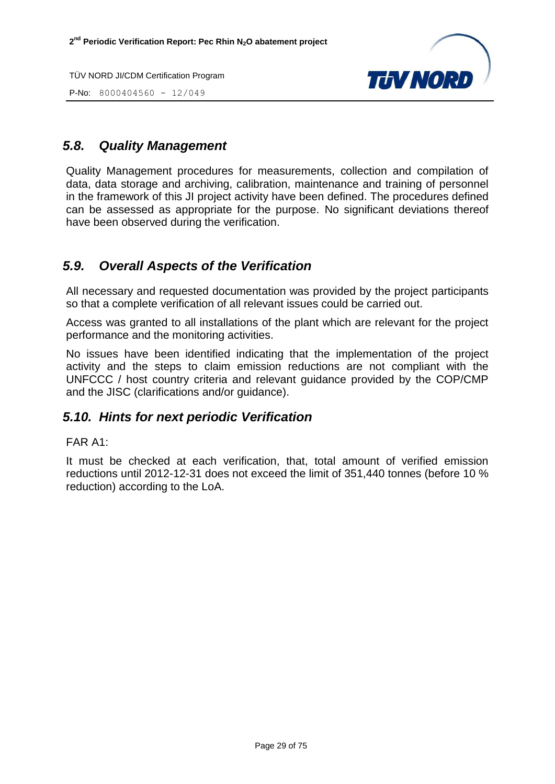P-No: 8000404560 - 12/049



#### <span id="page-28-0"></span>*5.8. Quality Management*

Quality Management procedures for measurements, collection and compilation of data, data storage and archiving, calibration, maintenance and training of personnel in the framework of this JI project activity have been defined. The procedures defined can be assessed as appropriate for the purpose. No significant deviations thereof have been observed during the verification.

#### <span id="page-28-1"></span>*5.9. Overall Aspects of the Verification*

All necessary and requested documentation was provided by the project participants so that a complete verification of all relevant issues could be carried out.

Access was granted to all installations of the plant which are relevant for the project performance and the monitoring activities.

No issues have been identified indicating that the implementation of the project activity and the steps to claim emission reductions are not compliant with the UNFCCC / host country criteria and relevant guidance provided by the COP/CMP and the JISC (clarifications and/or guidance).

#### <span id="page-28-2"></span>*5.10. Hints for next periodic Verification*

#### FAR A1:

It must be checked at each verification, that, total amount of verified emission reductions until 2012-12-31 does not exceed the limit of 351,440 tonnes (before 10 % reduction) according to the LoA.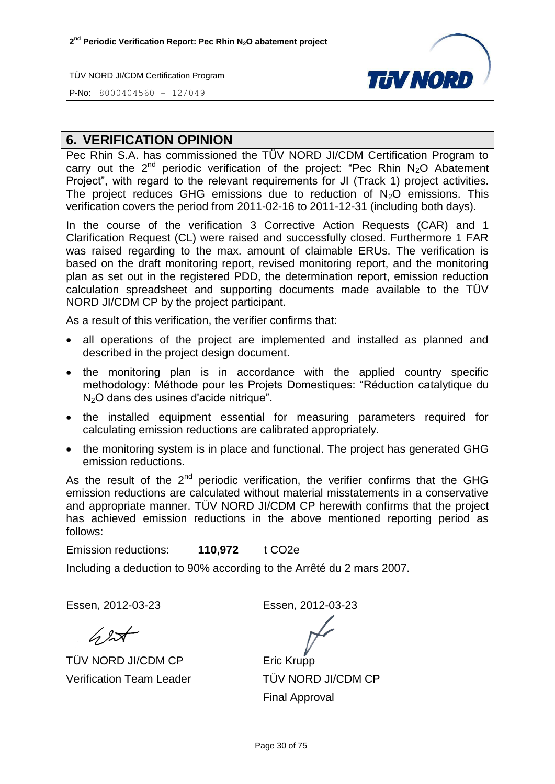

P-No: 8000404560 - 12/049

#### <span id="page-29-0"></span>**6. VERIFICATION OPINION**

Pec Rhin S.A. has commissioned the TÜV NORD JI/CDM Certification Program to carry out the  $2^{nd}$  periodic verification of the project: "Pec Rhin N<sub>2</sub>O Abatement Project", with regard to the relevant requirements for JI (Track 1) project activities. The project reduces GHG emissions due to reduction of  $N_2O$  emissions. This verification covers the period from 2011-02-16 to 2011-12-31 (including both days).

In the course of the verification 3 Corrective Action Requests (CAR) and 1 Clarification Request (CL) were raised and successfully closed. Furthermore 1 FAR was raised regarding to the max. amount of claimable ERUs. The verification is based on the draft monitoring report, revised monitoring report, and the monitoring plan as set out in the registered PDD, the determination report, emission reduction calculation spreadsheet and supporting documents made available to the TÜV NORD JI/CDM CP by the project participant.

As a result of this verification, the verifier confirms that:

- all operations of the project are implemented and installed as planned and described in the project design document.
- the monitoring plan is in accordance with the applied country specific methodology: Méthode pour les Projets Domestiques: "Réduction catalytique du N2O dans des usines d'acide nitrique".
- the installed equipment essential for measuring parameters required for calculating emission reductions are calibrated appropriately.
- the monitoring system is in place and functional. The project has generated GHG emission reductions.

As the result of the  $2^{nd}$  periodic verification, the verifier confirms that the GHG emission reductions are calculated without material misstatements in a conservative and appropriate manner. TÜV NORD JI/CDM CP herewith confirms that the project has achieved emission reductions in the above mentioned reporting period as follows:

Emission reductions: **110,972** t CO2e

Including a deduction to 90% according to the Arrêté du 2 mars 2007.

Essen, 2012-03-23 Essen, 2012-03-23

 $62$ 

TÜV NORD JI/CDM CP Verification Team Leader

Eric Krupp

TÜV NORD JI/CDM CP Final Approval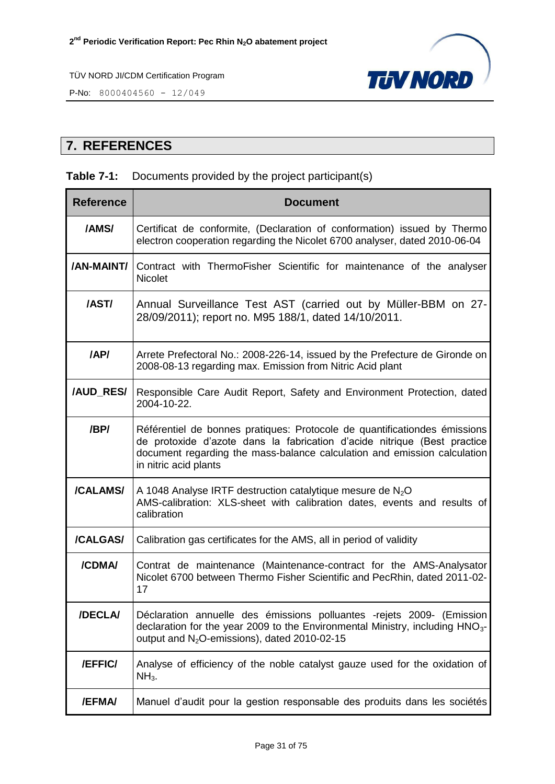

P-No: 8000404560 - 12/049

#### <span id="page-30-0"></span>**7. REFERENCES**

#### **Table 7-1:** Documents provided by the project participant(s)

| <b>Reference</b> | <b>Document</b>                                                                                                                                                                                                                                            |
|------------------|------------------------------------------------------------------------------------------------------------------------------------------------------------------------------------------------------------------------------------------------------------|
| /AMS/            | Certificat de conformite, (Declaration of conformation) issued by Thermo<br>electron cooperation regarding the Nicolet 6700 analyser, dated 2010-06-04                                                                                                     |
| /AN-MAINT/       | Contract with ThermoFisher Scientific for maintenance of the analyser<br><b>Nicolet</b>                                                                                                                                                                    |
| /AST/            | Annual Surveillance Test AST (carried out by Müller-BBM on 27-<br>28/09/2011); report no. M95 188/1, dated 14/10/2011.                                                                                                                                     |
| /AP/             | Arrete Prefectoral No.: 2008-226-14, issued by the Prefecture de Gironde on<br>2008-08-13 regarding max. Emission from Nitric Acid plant                                                                                                                   |
| /AUD_RES/        | Responsible Care Audit Report, Safety and Environment Protection, dated<br>2004-10-22.                                                                                                                                                                     |
| /BP/             | Référentiel de bonnes pratiques: Protocole de quantificationdes émissions<br>de protoxide d'azote dans la fabrication d'acide nitrique (Best practice<br>document regarding the mass-balance calculation and emission calculation<br>in nitric acid plants |
| /CALAMS/         | A 1048 Analyse IRTF destruction catalytique mesure de $N_2O$<br>AMS-calibration: XLS-sheet with calibration dates, events and results of<br>calibration                                                                                                    |
| /CALGAS/         | Calibration gas certificates for the AMS, all in period of validity                                                                                                                                                                                        |
| /CDMA/           | Contrat de maintenance (Maintenance-contract for the AMS-Analysator<br>Nicolet 6700 between Thermo Fisher Scientific and PecRhin, dated 2011-02-<br>17                                                                                                     |
| /DECLA/          | Déclaration annuelle des émissions polluantes -rejets 2009- (Emission<br>declaration for the year 2009 to the Environmental Ministry, including HNO <sub>3</sub> -<br>output and N <sub>2</sub> O-emissions), dated 2010-02-15                             |
| /EFFIC/          | Analyse of efficiency of the noble catalyst gauze used for the oxidation of<br>$NH3$ .                                                                                                                                                                     |
| /EFMA/           | Manuel d'audit pour la gestion responsable des produits dans les sociétés                                                                                                                                                                                  |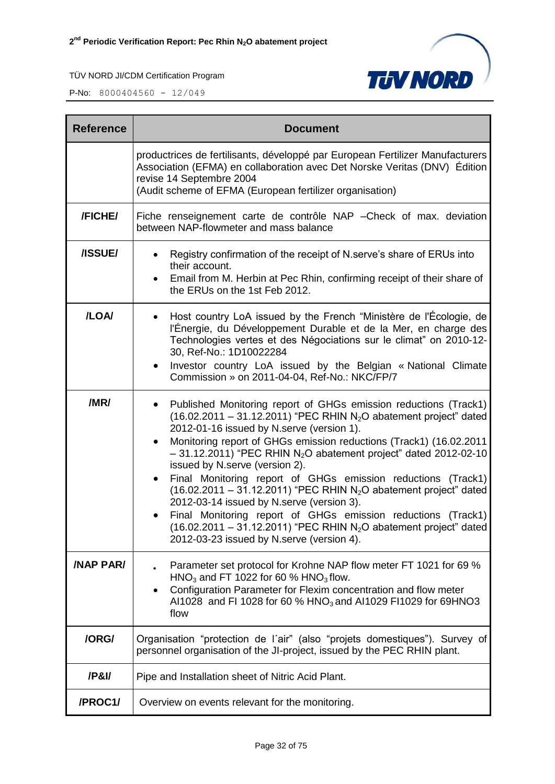

| <b>Reference</b> | <b>Document</b>                                                                                                                                                                                                                                                                                                                                                                                                                                                                                                                                                                                                                                                                                                                                                                                         |  |  |  |
|------------------|---------------------------------------------------------------------------------------------------------------------------------------------------------------------------------------------------------------------------------------------------------------------------------------------------------------------------------------------------------------------------------------------------------------------------------------------------------------------------------------------------------------------------------------------------------------------------------------------------------------------------------------------------------------------------------------------------------------------------------------------------------------------------------------------------------|--|--|--|
|                  | productrices de fertilisants, développé par European Fertilizer Manufacturers<br>Association (EFMA) en collaboration avec Det Norske Veritas (DNV) Édition<br>revise 14 Septembre 2004<br>(Audit scheme of EFMA (European fertilizer organisation)                                                                                                                                                                                                                                                                                                                                                                                                                                                                                                                                                      |  |  |  |
| /FICHE/          | Fiche renseignement carte de contrôle NAP - Check of max. deviation<br>between NAP-flowmeter and mass balance                                                                                                                                                                                                                                                                                                                                                                                                                                                                                                                                                                                                                                                                                           |  |  |  |
| /ISSUE/          | Registry confirmation of the receipt of N.serve's share of ERUs into<br>their account.<br>Email from M. Herbin at Pec Rhin, confirming receipt of their share of<br>$\bullet$<br>the ERUs on the 1st Feb 2012.                                                                                                                                                                                                                                                                                                                                                                                                                                                                                                                                                                                          |  |  |  |
| /LOA/            | Host country LoA issued by the French "Ministère de l'Écologie, de<br>l'Énergie, du Développement Durable et de la Mer, en charge des<br>Technologies vertes et des Négociations sur le climat" on 2010-12-<br>30, Ref-No.: 1D10022284<br>Investor country LoA issued by the Belgian « National Climate<br>٠<br>Commission » on 2011-04-04, Ref-No.: NKC/FP/7                                                                                                                                                                                                                                                                                                                                                                                                                                           |  |  |  |
| /MR/             | Published Monitoring report of GHGs emission reductions (Track1)<br>$(16.02.2011 - 31.12.2011)$ "PEC RHIN N <sub>2</sub> O abatement project" dated<br>2012-01-16 issued by N.serve (version 1).<br>Monitoring report of GHGs emission reductions (Track1) (16.02.2011<br>$\bullet$<br>$-31.12.2011$ ) "PEC RHIN N <sub>2</sub> O abatement project" dated 2012-02-10<br>issued by N.serve (version 2).<br>Final Monitoring report of GHGs emission reductions (Track1)<br>$(16.02.2011 - 31.12.2011)$ "PEC RHIN N <sub>2</sub> O abatement project" dated<br>2012-03-14 issued by N.serve (version 3).<br>Final Monitoring report of GHGs emission reductions (Track1)<br>$(16.02.2011 - 31.12.2011)$ "PEC RHIN N <sub>2</sub> O abatement project" dated<br>2012-03-23 issued by N.serve (version 4). |  |  |  |
| <b>/NAP PAR/</b> | Parameter set protocol for Krohne NAP flow meter FT 1021 for 69 %<br>HNO <sub>3</sub> and FT 1022 for 60 % HNO <sub>3</sub> flow.<br>Configuration Parameter for Flexim concentration and flow meter<br>٠<br>Al1028 and FI 1028 for 60 % HNO <sub>3</sub> and Al1029 FI1029 for 69HNO3<br>flow                                                                                                                                                                                                                                                                                                                                                                                                                                                                                                          |  |  |  |
| /ORG/            | Organisation "protection de l'air" (also "projets domestiques"). Survey of<br>personnel organisation of the JI-project, issued by the PEC RHIN plant.                                                                                                                                                                                                                                                                                                                                                                                                                                                                                                                                                                                                                                                   |  |  |  |
| /P&I/            | Pipe and Installation sheet of Nitric Acid Plant.                                                                                                                                                                                                                                                                                                                                                                                                                                                                                                                                                                                                                                                                                                                                                       |  |  |  |
| /PROC1/          | Overview on events relevant for the monitoring.                                                                                                                                                                                                                                                                                                                                                                                                                                                                                                                                                                                                                                                                                                                                                         |  |  |  |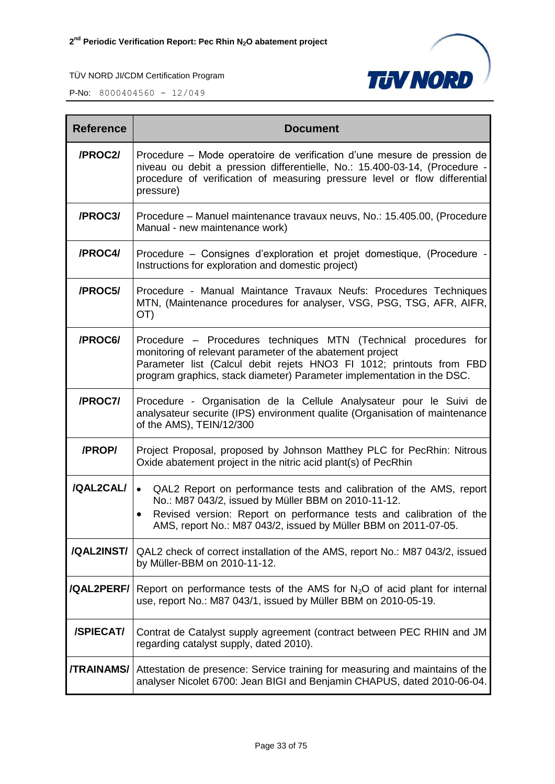

| <b>Reference</b>  | <b>Document</b>                                                                                                                                                                                                                                                                                |  |  |
|-------------------|------------------------------------------------------------------------------------------------------------------------------------------------------------------------------------------------------------------------------------------------------------------------------------------------|--|--|
| /PROC2/           | Procedure – Mode operatoire de verification d'une mesure de pression de<br>niveau ou debit a pression differentielle, No.: 15.400-03-14, (Procedure -<br>procedure of verification of measuring pressure level or flow differential<br>pressure)                                               |  |  |
| /PROC3/           | Procedure – Manuel maintenance travaux neuvs, No.: 15.405.00, (Procedure<br>Manual - new maintenance work)                                                                                                                                                                                     |  |  |
| /PROC4/           | Procedure – Consignes d'exploration et projet domestique, (Procedure -<br>Instructions for exploration and domestic project)                                                                                                                                                                   |  |  |
| /PROC5/           | Procedure - Manual Maintance Travaux Neufs: Procedures Techniques<br>MTN, (Maintenance procedures for analyser, VSG, PSG, TSG, AFR, AIFR,<br>OT)                                                                                                                                               |  |  |
| /PROC6/           | Procedure – Procedures techniques MTN (Technical procedures for<br>monitoring of relevant parameter of the abatement project<br>Parameter list (Calcul debit rejets HNO3 FI 1012; printouts from FBD<br>program graphics, stack diameter) Parameter implementation in the DSC.                 |  |  |
| /PROC7/           | Procedure - Organisation de la Cellule Analysateur pour le Suivi de<br>analysateur securite (IPS) environment qualite (Organisation of maintenance<br>of the AMS), TEIN/12/300                                                                                                                 |  |  |
| /PROP/            | Project Proposal, proposed by Johnson Matthey PLC for PecRhin: Nitrous<br>Oxide abatement project in the nitric acid plant(s) of PecRhin                                                                                                                                                       |  |  |
| /QAL2CAL/         | QAL2 Report on performance tests and calibration of the AMS, report<br>$\bullet$<br>No.: M87 043/2, issued by Müller BBM on 2010-11-12.<br>Revised version: Report on performance tests and calibration of the<br>$\bullet$<br>AMS, report No.: M87 043/2, issued by Müller BBM on 2011-07-05. |  |  |
| /QAL2INST/        | QAL2 check of correct installation of the AMS, report No.: M87 043/2, issued<br>by Müller-BBM on 2010-11-12.                                                                                                                                                                                   |  |  |
| /QAL2PERF/        | Report on performance tests of the AMS for $N_2O$ of acid plant for internal<br>use, report No.: M87 043/1, issued by Müller BBM on 2010-05-19.                                                                                                                                                |  |  |
| /SPIECAT/         | Contrat de Catalyst supply agreement (contract between PEC RHIN and JM<br>regarding catalyst supply, dated 2010).                                                                                                                                                                              |  |  |
| <b>/TRAINAMS/</b> | Attestation de presence: Service training for measuring and maintains of the<br>analyser Nicolet 6700: Jean BIGI and Benjamin CHAPUS, dated 2010-06-04.                                                                                                                                        |  |  |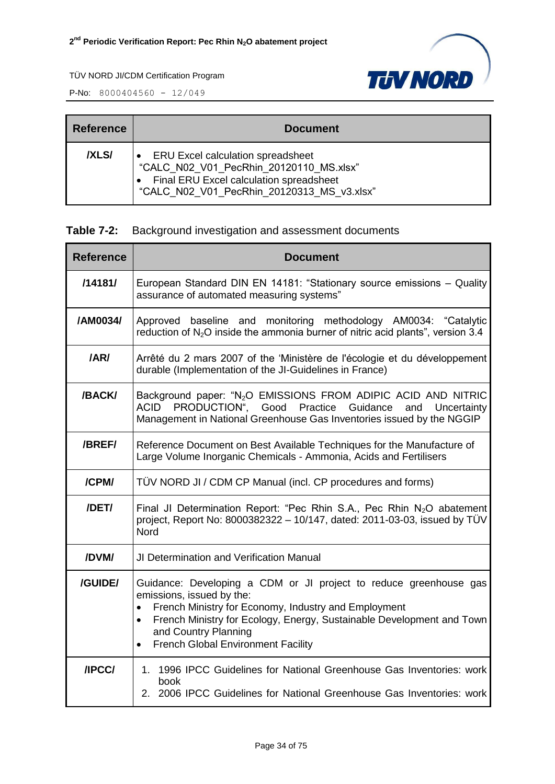

| <b>Reference</b> | <b>Document</b>                                                                                                                                                              |
|------------------|------------------------------------------------------------------------------------------------------------------------------------------------------------------------------|
| /XLS/            | <b>ERU Excel calculation spreadsheet</b><br>"CALC N02 V01 PecRhin 20120110 MS.xlsx"<br>Final ERU Excel calculation spreadsheet<br>"CALC N02 V01 PecRhin 20120313 MS v3.xlsx" |

|  | <b>Table 7-2:</b> Background investigation and assessment documents |  |  |  |  |
|--|---------------------------------------------------------------------|--|--|--|--|
|--|---------------------------------------------------------------------|--|--|--|--|

| <b>Reference</b> | <b>Document</b>                                                                                                                                                                                                                                                                                      |  |  |
|------------------|------------------------------------------------------------------------------------------------------------------------------------------------------------------------------------------------------------------------------------------------------------------------------------------------------|--|--|
| /14181/          | European Standard DIN EN 14181: "Stationary source emissions - Quality<br>assurance of automated measuring systems"                                                                                                                                                                                  |  |  |
| /AM0034/         | Approved baseline and monitoring methodology AM0034: "Catalytic<br>reduction of $N_2O$ inside the ammonia burner of nitric acid plants", version 3.4                                                                                                                                                 |  |  |
| /ARI             | Arrêté du 2 mars 2007 of the 'Ministère de l'écologie et du développement<br>durable (Implementation of the JI-Guidelines in France)                                                                                                                                                                 |  |  |
| /BACK/           | Background paper: "N <sub>2</sub> O EMISSIONS FROM ADIPIC ACID AND NITRIC<br>PRODUCTION", Good Practice Guidance<br>ACID<br>and<br>Uncertainty<br>Management in National Greenhouse Gas Inventories issued by the NGGIP                                                                              |  |  |
| /BREF/           | Reference Document on Best Available Techniques for the Manufacture of<br>Large Volume Inorganic Chemicals - Ammonia, Acids and Fertilisers                                                                                                                                                          |  |  |
| /CPM/            | TÜV NORD JI / CDM CP Manual (incl. CP procedures and forms)                                                                                                                                                                                                                                          |  |  |
| /DET/            | Final JI Determination Report: "Pec Rhin S.A., Pec Rhin $N_2O$ abatement<br>project, Report No: 8000382322 - 10/147, dated: 2011-03-03, issued by TÜV<br><b>Nord</b>                                                                                                                                 |  |  |
| /DVM/            | <b>JI Determination and Verification Manual</b>                                                                                                                                                                                                                                                      |  |  |
| /GUIDE/          | Guidance: Developing a CDM or JI project to reduce greenhouse gas<br>emissions, issued by the:<br>French Ministry for Economy, Industry and Employment<br>French Ministry for Ecology, Energy, Sustainable Development and Town<br>and Country Planning<br><b>French Global Environment Facility</b> |  |  |
| /IPCC/           | 1. 1996 IPCC Guidelines for National Greenhouse Gas Inventories: work<br>book<br>2. 2006 IPCC Guidelines for National Greenhouse Gas Inventories: work                                                                                                                                               |  |  |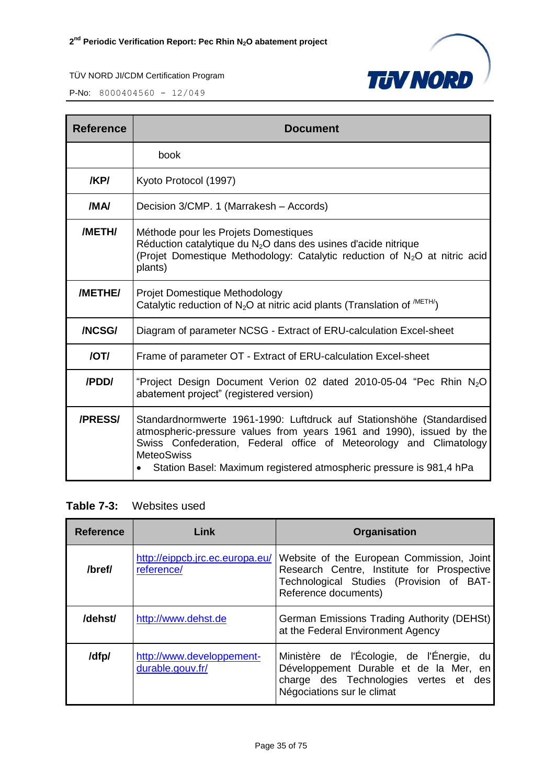

| Reference      | <b>Document</b>                                                                                                                                                                                                                                                                                                 |
|----------------|-----------------------------------------------------------------------------------------------------------------------------------------------------------------------------------------------------------------------------------------------------------------------------------------------------------------|
|                | book                                                                                                                                                                                                                                                                                                            |
| /KP/           | Kyoto Protocol (1997)                                                                                                                                                                                                                                                                                           |
| /MA/           | Decision 3/CMP. 1 (Marrakesh - Accords)                                                                                                                                                                                                                                                                         |
| /METH/         | Méthode pour les Projets Domestiques<br>Réduction catalytique du $N_2O$ dans des usines d'acide nitrique<br>(Projet Domestique Methodology: Catalytic reduction of N <sub>2</sub> O at nitric acid<br>plants)                                                                                                   |
| /METHE/        | Projet Domestique Methodology<br>Catalytic reduction of $N_2O$ at nitric acid plants (Translation of $^{METH}$ )                                                                                                                                                                                                |
| /NCSG/         | Diagram of parameter NCSG - Extract of ERU-calculation Excel-sheet                                                                                                                                                                                                                                              |
| /OT/           | Frame of parameter OT - Extract of ERU-calculation Excel-sheet                                                                                                                                                                                                                                                  |
| /PDD/          | "Project Design Document Verion 02 dated 2010-05-04 "Pec Rhin $N_2O$<br>abatement project" (registered version)                                                                                                                                                                                                 |
| <b>/PRESS/</b> | Standardnormwerte 1961-1990: Luftdruck auf Stationshöhe (Standardised<br>atmospheric-pressure values from years 1961 and 1990), issued by the<br>Swiss Confederation, Federal office of Meteorology and Climatology<br><b>MeteoSwiss</b><br>Station Basel: Maximum registered atmospheric pressure is 981,4 hPa |

**Table 7-3:** Websites used

| <b>Reference</b> | Link                                          | Organisation                                                                                                                                                |
|------------------|-----------------------------------------------|-------------------------------------------------------------------------------------------------------------------------------------------------------------|
| /bref/           | http://eippcb.jrc.ec.europa.eu/<br>reference/ | Website of the European Commission, Joint<br>Research Centre, Institute for Prospective<br>Technological Studies (Provision of BAT-<br>Reference documents) |
| /dehst/          | http://www.dehst.de                           | German Emissions Trading Authority (DEHSt)<br>at the Federal Environment Agency                                                                             |
| /dfp/            | http://www.developpement-<br>durable.gouv.fr/ | Ministère de l'Écologie, de l'Énergie, du<br>Développement Durable et de la Mer, en<br>charge des Technologies vertes et des<br>Négociations sur le climat  |

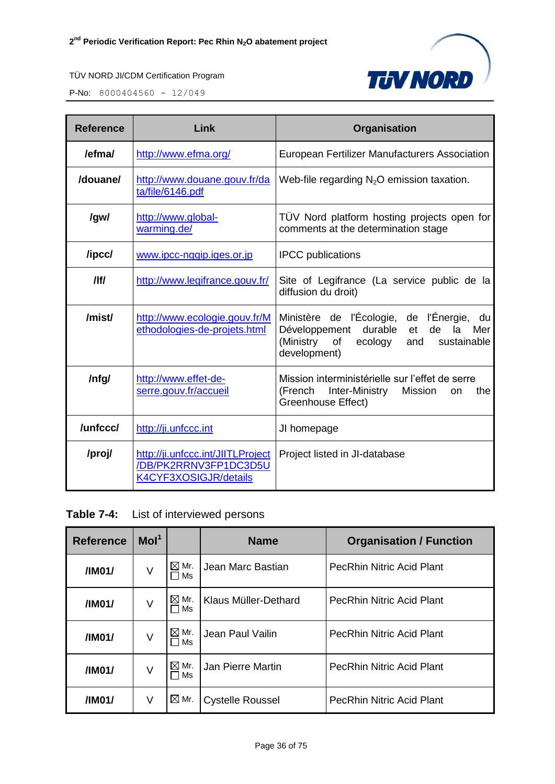

| <b>Reference</b> | Link                                                                                | Organisation                                                                                                                                                         |  |  |
|------------------|-------------------------------------------------------------------------------------|----------------------------------------------------------------------------------------------------------------------------------------------------------------------|--|--|
| /efma/           | http://www.efma.org/                                                                | European Fertilizer Manufacturers Association                                                                                                                        |  |  |
| /douane/         | http://www.douane.gouv.fr/da<br>ta/file/6146.pdf                                    | Web-file regarding $N_2O$ emission taxation.                                                                                                                         |  |  |
| /gw/             | http://www.global-<br>warming.de/                                                   | TÜV Nord platform hosting projects open for<br>comments at the determination stage                                                                                   |  |  |
| /ipcc/           | www.ipcc-nggip.iges.or.jp                                                           | <b>IPCC</b> publications                                                                                                                                             |  |  |
| /                | http://www.legifrance.gouv.fr/                                                      | Site of Legifrance (La service public de la<br>diffusion du droit)                                                                                                   |  |  |
| /mist/           | http://www.ecologie.gouv.fr/M<br>ethodologies-de-projets.html                       | Ministère de l'Écologie, de l'Énergie, du<br>durable<br>Développement<br>de<br>la l<br>Mer<br>et<br>(Ministry<br>of<br>ecology<br>and<br>sustainable<br>development) |  |  |
| /nfg/            | http://www.effet-de-<br>serre.gouv.fr/accueil                                       | Mission interministérielle sur l'effet de serre<br>(French<br>Inter-Ministry<br>Mission<br>the<br><b>on</b><br>Greenhouse Effect)                                    |  |  |
| /unfccc/         | http://ji.unfccc.int                                                                | JI homepage                                                                                                                                                          |  |  |
| /proj/           | http://ji.unfccc.int/JIITLProject<br>/DB/PK2RRNV3FP1DC3D5U<br>K4CYF3XOSIGJR/details | Project listed in JI-database                                                                                                                                        |  |  |

| Table 7-4: |  | List of interviewed persons |  |
|------------|--|-----------------------------|--|
|------------|--|-----------------------------|--|

| <b>Reference</b> | Mol <sup>1</sup> |                                | <b>Name</b>             | <b>Organisation / Function</b>   |
|------------------|------------------|--------------------------------|-------------------------|----------------------------------|
| /IM01/           | V                | $\boxtimes$ Mr.<br>l Ms        | Jean Marc Bastian       | <b>PecRhin Nitric Acid Plant</b> |
| /IM01/           | V                | $\boxtimes$ Mr.<br>$\sqcap$ Ms | Klaus Müller-Dethard    | <b>PecRhin Nitric Acid Plant</b> |
| /IM01/           | V                | $\boxtimes$ Mr.<br>□ Ms        | Jean Paul Vailin        | <b>PecRhin Nitric Acid Plant</b> |
| /IM01/           | V                | $\boxtimes$ Mr.<br>□ Ms        | Jan Pierre Martin       | <b>PecRhin Nitric Acid Plant</b> |
| /IM01/           | V                | $\boxtimes$ Mr.                | <b>Cystelle Roussel</b> | <b>PecRhin Nitric Acid Plant</b> |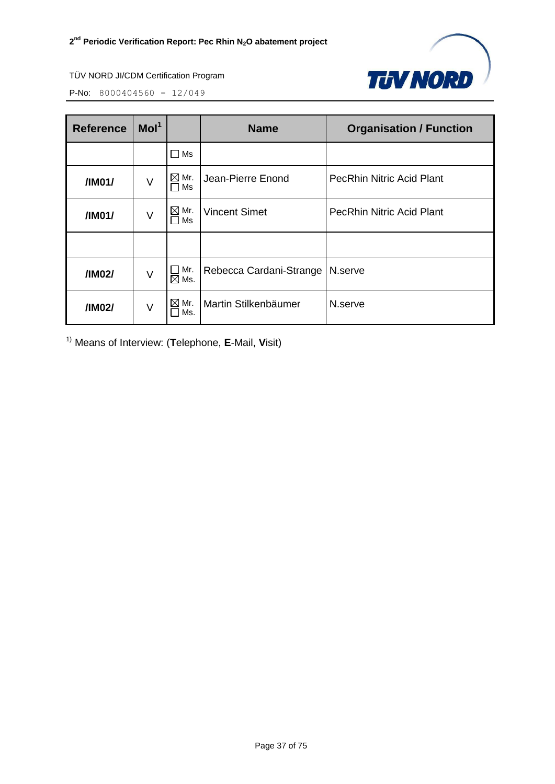

P-No: 8000404560 - 12/049

| <b>Reference</b> | Mol <sup>1</sup> |                          | <b>Name</b>             | <b>Organisation / Function</b>   |
|------------------|------------------|--------------------------|-------------------------|----------------------------------|
|                  |                  | Ms                       |                         |                                  |
| /IM01/           | V                | $\boxtimes$ Mr.<br>Ms    | Jean-Pierre Enond       | <b>PecRhin Nitric Acid Plant</b> |
| /IM01/           | V                | $\boxtimes$<br>Mr.<br>Ms | <b>Vincent Simet</b>    | <b>PecRhin Nitric Acid Plant</b> |
|                  |                  |                          |                         |                                  |
| /IM02/           | V                | Mr.<br>$\boxtimes$ Ms.   | Rebecca Cardani-Strange | N.serve                          |
| /IM02/           | V                | Mr.<br>⊠<br>Ms.          | Martin Stilkenbäumer    | N.serve                          |

1) Means of Interview: (**T**elephone, **E**-Mail, **V**isit)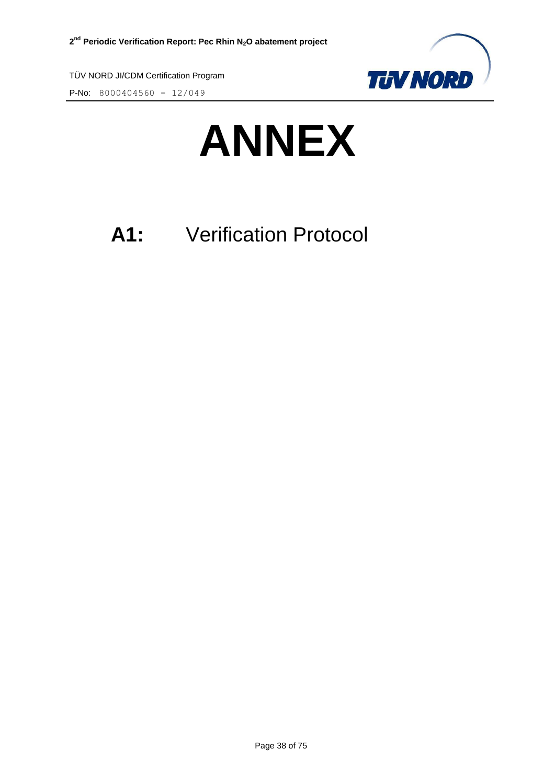

P-No: 8000404560 - 12/049



# **A1:** Verification Protocol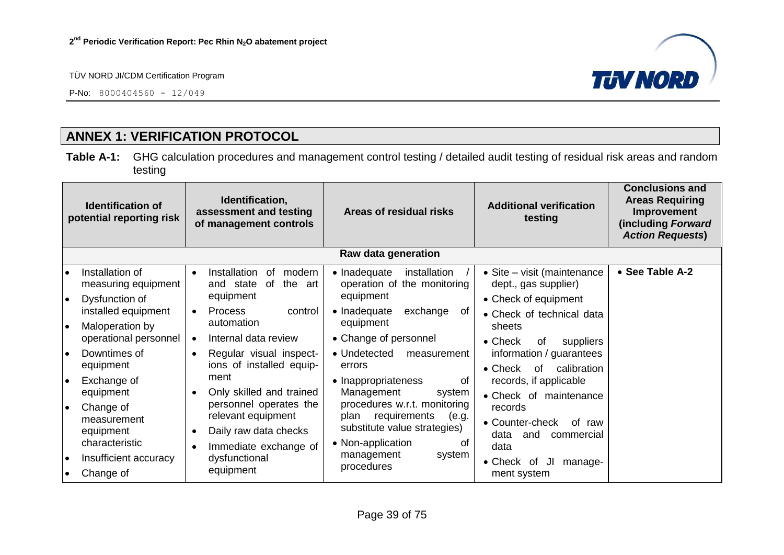P-No:  $8000404560 - 12/049$ 



# **ANNEX 1: VERIFICATION PROTOCOL**

**Table A-1:** GHG calculation procedures and management control testing / detailed audit testing of residual risk areas and random testing

|                  | <b>Identification of</b><br>potential reporting risk            |                        | Identification,<br>assessment and testing<br>of management controls                            | Areas of residual risks                                                                                                  | <b>Additional verification</b><br>testing                                   | <b>Conclusions and</b><br><b>Areas Requiring</b><br>Improvement<br>(including Forward<br><b>Action Requests)</b> |  |  |
|------------------|-----------------------------------------------------------------|------------------------|------------------------------------------------------------------------------------------------|--------------------------------------------------------------------------------------------------------------------------|-----------------------------------------------------------------------------|------------------------------------------------------------------------------------------------------------------|--|--|
|                  | Raw data generation                                             |                        |                                                                                                |                                                                                                                          |                                                                             |                                                                                                                  |  |  |
| I۰<br>I۰         | Installation of<br>measuring equipment<br>Dysfunction of        | $\bullet$              | Installation<br>modern<br>0f<br>of<br>the<br>and state<br>art<br>equipment                     | • Inadequate<br>installation<br>operation of the monitoring<br>equipment                                                 | • Site – visit (maintenance<br>dept., gas supplier)<br>• Check of equipment | • See Table A-2                                                                                                  |  |  |
| ه ا              | installed equipment<br>Maloperation by<br>operational personnel | $\bullet$<br>$\bullet$ | <b>Process</b><br>control<br>automation<br>Internal data review                                | • Inadequate<br>exchange<br>0f<br>equipment<br>• Change of personnel                                                     | • Check of technical data<br>sheets<br>$\bullet$ Check<br>0f<br>suppliers   |                                                                                                                  |  |  |
| I۰               | Downtimes of<br>equipment                                       | $\bullet$              | Regular visual inspect-<br>ions of installed equip-                                            | • Undetected<br>measurement<br>errors                                                                                    | information / guarantees<br>calibration<br>$\bullet$ Check<br>of            |                                                                                                                  |  |  |
| I۰               | Exchange of<br>equipment                                        |                        | ment<br>Only skilled and trained                                                               | • Inappropriateness<br>0f<br>Management<br>system                                                                        | records, if applicable<br>• Check of maintenance                            |                                                                                                                  |  |  |
| ∣∙               | Change of<br>measurement<br>equipment<br>characteristic         |                        | personnel operates the<br>relevant equipment<br>Daily raw data checks<br>Immediate exchange of | procedures w.r.t. monitoring<br>requirements<br>plan<br>(e.g.<br>substitute value strategies)<br>• Non-application<br>Ωt | records<br>• Counter-check<br>of raw<br>data<br>and<br>commercial<br>data   |                                                                                                                  |  |  |
| ه ا<br>$\bullet$ | Insufficient accuracy<br>Change of                              |                        | dysfunctional<br>equipment                                                                     | management<br>system<br>procedures                                                                                       | • Check of<br>IJI<br>manage-<br>ment system                                 |                                                                                                                  |  |  |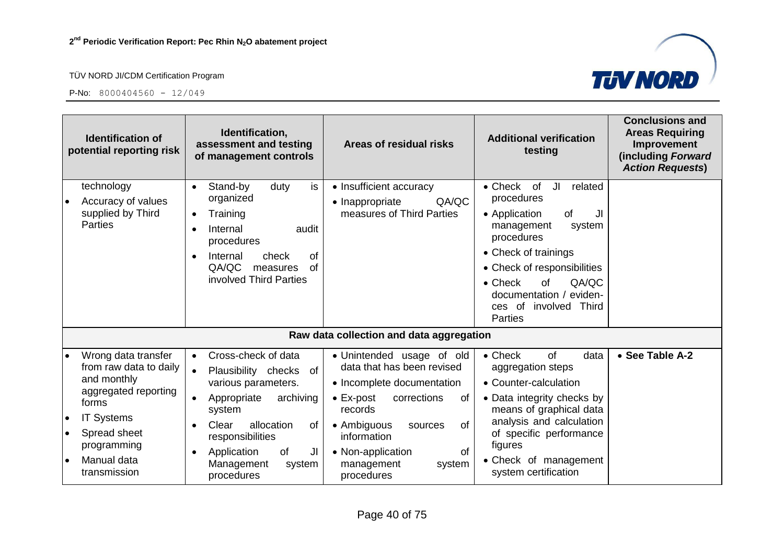

|                                     | <b>Identification of</b><br>potential reporting risk                                                             | Identification,<br>assessment and testing<br>Areas of residual risks<br>of management controls                                                                                                                                                                                                                                                   | <b>Conclusions and</b><br><b>Areas Requiring</b><br><b>Additional verification</b><br>Improvement<br>testing<br>(including Forward<br><b>Action Requests)</b>                                                           |
|-------------------------------------|------------------------------------------------------------------------------------------------------------------|--------------------------------------------------------------------------------------------------------------------------------------------------------------------------------------------------------------------------------------------------------------------------------------------------------------------------------------------------|-------------------------------------------------------------------------------------------------------------------------------------------------------------------------------------------------------------------------|
|                                     | technology<br>Accuracy of values<br>supplied by Third<br><b>Parties</b>                                          | is<br>Stand-by<br>duty<br>• Insufficient accuracy<br>$\bullet$<br>organized<br>QA/QC<br>• Inappropriate<br>measures of Third Parties<br>Training<br>$\bullet$<br>Internal<br>audit<br>procedures<br>Internal<br>of<br>check<br>$\bullet$<br>QA/QC<br><sub>of</sub><br>measures<br>involved Third Parties<br>$\bullet$ Check                      | JI<br>• Check of<br>related<br>procedures<br>• Application<br>of<br>JI<br>management<br>system<br>procedures<br>• Check of trainings<br>• Check of responsibilities<br><b>of</b><br>QA/QC<br>documentation /<br>eviden- |
|                                     |                                                                                                                  | <b>Parties</b>                                                                                                                                                                                                                                                                                                                                   | ces of involved<br>Third                                                                                                                                                                                                |
|                                     |                                                                                                                  | Raw data collection and data aggregation                                                                                                                                                                                                                                                                                                         |                                                                                                                                                                                                                         |
|                                     | Wrong data transfer<br>from raw data to daily<br>and monthly                                                     | Cross-check of data<br>$\bullet$ Check<br>· Unintended usage of old<br>$\bullet$<br>data that has been revised<br>Plausibility checks of<br>$\bullet$<br>various parameters.<br>• Incomplete documentation                                                                                                                                       | • See Table A-2<br>of<br>data<br>aggregation steps<br>• Counter-calculation                                                                                                                                             |
| $\bullet$<br>$\bullet$<br>$\bullet$ | aggregated reporting<br>forms<br><b>IT Systems</b><br>Spread sheet<br>programming<br>Manual data<br>transmission | archiving<br>$\bullet$ Ex-post<br>Appropriate<br>corrections<br>o <sub>f</sub><br>records<br>system<br>allocation<br>• Ambiguous<br>Clear<br>0f<br>0f<br>sources<br>responsibilities<br>information<br>figures<br>Application<br>of<br>JI<br>• Non-application<br>οf<br>Management<br>management<br>system<br>system<br>procedures<br>procedures | • Data integrity checks by<br>means of graphical data<br>analysis and calculation<br>of specific performance<br>• Check of management<br>system certification                                                           |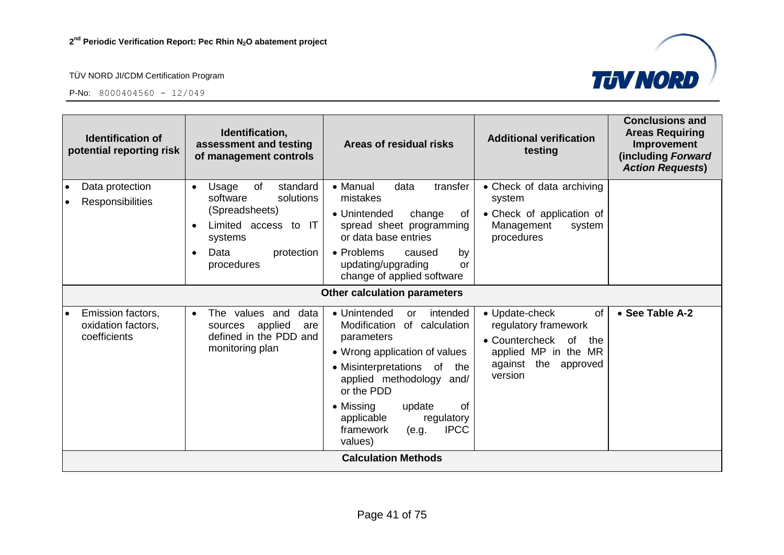

| <b>Identification of</b><br>potential reporting risk    | Identification,<br>assessment and testing<br>of management controls                                                                                    | Areas of residual risks                                                                                                                                                                                                                                                                              | <b>Additional verification</b><br>testing                                                                                                    | <b>Conclusions and</b><br><b>Areas Requiring</b><br>Improvement<br>(including Forward<br><b>Action Requests)</b> |
|---------------------------------------------------------|--------------------------------------------------------------------------------------------------------------------------------------------------------|------------------------------------------------------------------------------------------------------------------------------------------------------------------------------------------------------------------------------------------------------------------------------------------------------|----------------------------------------------------------------------------------------------------------------------------------------------|------------------------------------------------------------------------------------------------------------------|
| Data protection<br><b>Responsibilities</b>              | of<br>standard<br>Usage<br>$\bullet$<br>solutions<br>software<br>(Spreadsheets)<br>Limited access to IT<br>systems<br>Data<br>protection<br>procedures | • Manual<br>data<br>transfer<br>mistakes<br>• Unintended<br>change<br>of<br>spread sheet programming<br>or data base entries<br>• Problems<br>caused<br>by<br>updating/upgrading<br>or<br>change of applied software                                                                                 | • Check of data archiving<br>system<br>• Check of application of<br>Management<br>system<br>procedures                                       |                                                                                                                  |
|                                                         |                                                                                                                                                        | <b>Other calculation parameters</b>                                                                                                                                                                                                                                                                  |                                                                                                                                              |                                                                                                                  |
| Emission factors,<br>oxidation factors,<br>coefficients | The values and<br>data<br>$\bullet$<br>applied<br>sources<br>are<br>defined in the PDD and<br>monitoring plan                                          | • Unintended<br>intended<br>or<br>Modification<br>of calculation<br>parameters<br>• Wrong application of values<br>• Misinterpretations of<br>the<br>applied methodology and/<br>or the PDD<br>• Missing<br>0f<br>update<br>applicable<br>regulatory<br><b>IPCC</b><br>framework<br>(e.g.<br>values) | • Update-check<br>of<br>regulatory framework<br>• Countercheck<br>of<br>the<br>applied MP in the MR<br>the<br>against<br>approved<br>version | • See Table A-2                                                                                                  |
|                                                         |                                                                                                                                                        | <b>Calculation Methods</b>                                                                                                                                                                                                                                                                           |                                                                                                                                              |                                                                                                                  |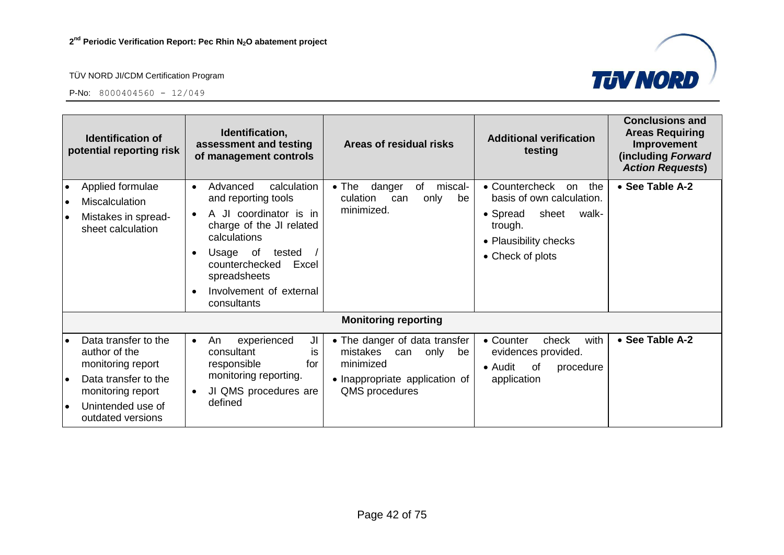

| <b>Identification of</b><br>potential reporting risk |                                                                                                                                                   | Identification,<br>assessment and testing<br>Areas of residual risks<br>of management controls                                                                                                                                                                                                                 | <b>Additional verification</b><br>testing                                                                                                                               | <b>Conclusions and</b><br><b>Areas Requiring</b><br>Improvement<br>(including Forward<br><b>Action Requests)</b> |
|------------------------------------------------------|---------------------------------------------------------------------------------------------------------------------------------------------------|----------------------------------------------------------------------------------------------------------------------------------------------------------------------------------------------------------------------------------------------------------------------------------------------------------------|-------------------------------------------------------------------------------------------------------------------------------------------------------------------------|------------------------------------------------------------------------------------------------------------------|
| $\bullet$                                            | Applied formulae<br>Miscalculation<br>Mistakes in spread-<br>sheet calculation                                                                    | Advanced<br>calculation<br>danger<br>$\bullet$ The<br>of<br>$\bullet$<br>and reporting tools<br>culation<br>can<br>minimized.<br>A JI coordinator is in<br>charge of the JI related<br>calculations<br>Usage of<br>tested<br>counterchecked<br>Excel<br>spreadsheets<br>Involvement of external<br>consultants | • Countercheck<br>miscal-<br>the<br>on<br>basis of own calculation.<br>only<br>be<br>• Spread<br>sheet<br>walk-<br>trough.<br>• Plausibility checks<br>• Check of plots | • See Table A-2                                                                                                  |
|                                                      |                                                                                                                                                   | <b>Monitoring reporting</b>                                                                                                                                                                                                                                                                                    |                                                                                                                                                                         |                                                                                                                  |
| $\bullet$                                            | Data transfer to the<br>author of the<br>monitoring report<br>Data transfer to the<br>monitoring report<br>Unintended use of<br>outdated versions | • The danger of data transfer<br>experienced<br>An<br>JI<br>$\bullet$<br>mistakes<br>consultant<br>can<br>İS.<br>responsible<br>minimized<br>for<br>monitoring reporting.<br>• Inappropriate application of<br>JI QMS procedures are<br>QMS procedures<br>defined                                              | with<br>• Counter<br>check<br>only<br>evidences provided.<br>be<br>• Audit<br>0f<br>procedure<br>application                                                            | • See Table A-2                                                                                                  |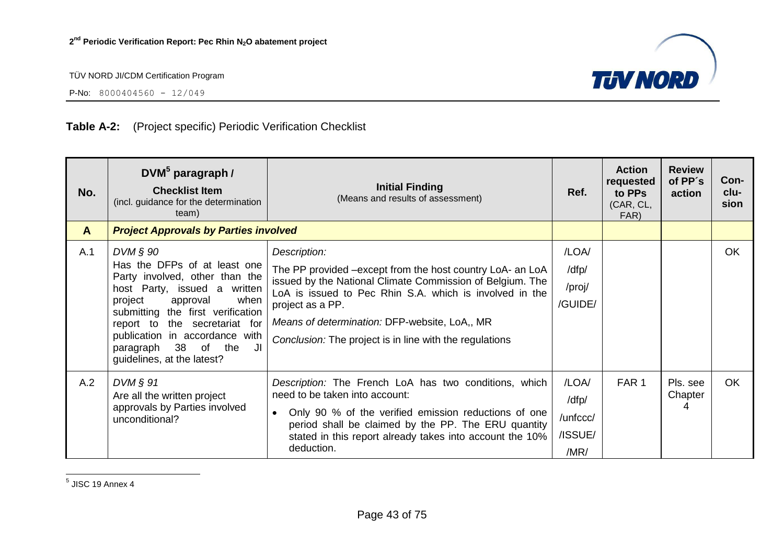

P-No:  $8000404560 - 12/049$ 

# **Table A-2:** (Project specific) Periodic Verification Checklist

| No.          | $DWM^5$ paragraph /<br><b>Checklist Item</b><br>(incl. guidance for the determination<br>team)                                                                                                                                                                                                                       | <b>Initial Finding</b><br>(Means and results of assessment)                                                                                                                                                                                                                                                                       | Ref.                                          | <b>Action</b><br>requested<br>to PPs<br>(CAR, CL,<br>FAR) | <b>Review</b><br>of PP's<br>action | Con-<br>clu-<br>sion |
|--------------|----------------------------------------------------------------------------------------------------------------------------------------------------------------------------------------------------------------------------------------------------------------------------------------------------------------------|-----------------------------------------------------------------------------------------------------------------------------------------------------------------------------------------------------------------------------------------------------------------------------------------------------------------------------------|-----------------------------------------------|-----------------------------------------------------------|------------------------------------|----------------------|
| $\mathsf{A}$ | <b>Project Approvals by Parties involved</b>                                                                                                                                                                                                                                                                         |                                                                                                                                                                                                                                                                                                                                   |                                               |                                                           |                                    |                      |
| A.1          | $DVM$ $\S$ 90<br>Has the DFPs of at least one<br>Party involved, other than the<br>host Party, issued a written<br>approval<br>when<br>project<br>submitting the first verification<br>report to the secretariat for<br>publication in accordance with<br>38 of the<br>JI<br>paragraph<br>guidelines, at the latest? | Description:<br>The PP provided -except from the host country LoA- an LoA<br>issued by the National Climate Commission of Belgium. The<br>LoA is issued to Pec Rhin S.A. which is involved in the<br>project as a PP.<br>Means of determination: DFP-website, LoA,, MR<br>Conclusion: The project is in line with the regulations | /LOA/<br>/dfp/<br>/proj/<br>/GUIDE/           |                                                           |                                    | OK.                  |
| A.2          | $DVM$ $\S$ 91<br>Are all the written project<br>approvals by Parties involved<br>unconditional?                                                                                                                                                                                                                      | Description: The French LoA has two conditions, which<br>need to be taken into account:<br>Only 90 % of the verified emission reductions of one<br>$\bullet$<br>period shall be claimed by the PP. The ERU quantity<br>stated in this report already takes into account the 10%<br>deduction.                                     | /LOA/<br>/dfp/<br>/unfccc/<br>/ISSUE/<br>/MR/ | FAR <sub>1</sub>                                          | Pls. see<br>Chapter<br>4           | OK                   |

<u>5</u><br><sup>5</sup> JISC 19 Annex 4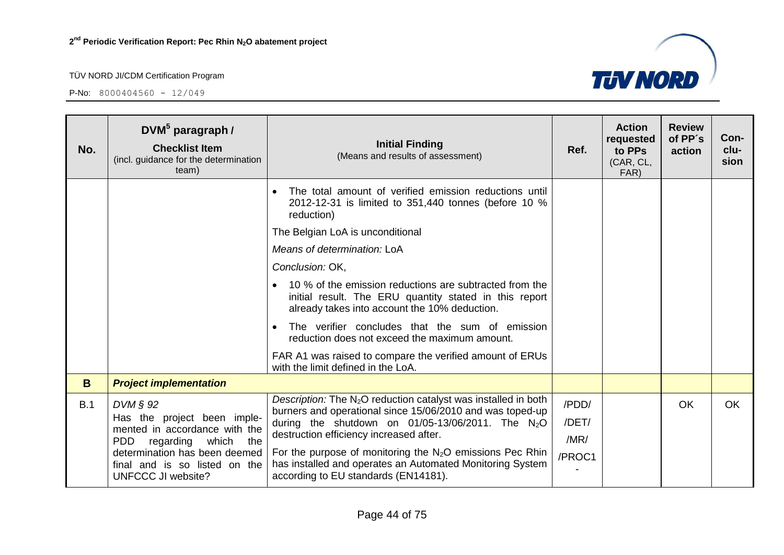| No.                | DVM <sup>5</sup> paragraph /<br><b>Checklist Item</b><br>(incl. guidance for the determination<br>team) | <b>Initial Finding</b><br>(Means and results of assessment)                                                                                                                                                                                  | Ref.                   | <b>Action</b><br>requested<br>to PPs<br>(CAR, CL,<br>FAR) | <b>Review</b><br>of PP's<br>action | Con-<br>clu-<br>sion |
|--------------------|---------------------------------------------------------------------------------------------------------|----------------------------------------------------------------------------------------------------------------------------------------------------------------------------------------------------------------------------------------------|------------------------|-----------------------------------------------------------|------------------------------------|----------------------|
|                    |                                                                                                         | The total amount of verified emission reductions until<br>2012-12-31 is limited to 351,440 tonnes (before 10 %<br>reduction)                                                                                                                 |                        |                                                           |                                    |                      |
|                    |                                                                                                         | The Belgian LoA is unconditional                                                                                                                                                                                                             |                        |                                                           |                                    |                      |
|                    |                                                                                                         | Means of determination: LoA                                                                                                                                                                                                                  |                        |                                                           |                                    |                      |
|                    |                                                                                                         | Conclusion: OK,                                                                                                                                                                                                                              |                        |                                                           |                                    |                      |
|                    |                                                                                                         | 10 % of the emission reductions are subtracted from the<br>initial result. The ERU quantity stated in this report<br>already takes into account the 10% deduction.                                                                           |                        |                                                           |                                    |                      |
|                    |                                                                                                         | The verifier concludes that the sum of emission<br>reduction does not exceed the maximum amount.                                                                                                                                             |                        |                                                           |                                    |                      |
|                    |                                                                                                         | FAR A1 was raised to compare the verified amount of ERUs<br>with the limit defined in the LoA.                                                                                                                                               |                        |                                                           |                                    |                      |
| B                  | <b>Project implementation</b>                                                                           |                                                                                                                                                                                                                                              |                        |                                                           |                                    |                      |
| B.1<br>$DVM \S 92$ | Has the project been imple-<br>mented in accordance with the<br><b>PDD</b><br>regarding which the       | Description: The $N_2O$ reduction catalyst was installed in both<br>burners and operational since 15/06/2010 and was toped-up<br>during the shutdown on $01/05-13/06/2011$ . The N <sub>2</sub> O<br>destruction efficiency increased after. | /PDD/<br>/DET/<br>/MR/ |                                                           | <b>OK</b>                          | <b>OK</b>            |
|                    | determination has been deemed<br>final and is so listed on the<br><b>UNFCCC JI website?</b>             | For the purpose of monitoring the $N_2O$ emissions Pec Rhin<br>has installed and operates an Automated Monitoring System<br>according to EU standards (EN14181).                                                                             | /PROC1                 |                                                           |                                    |                      |

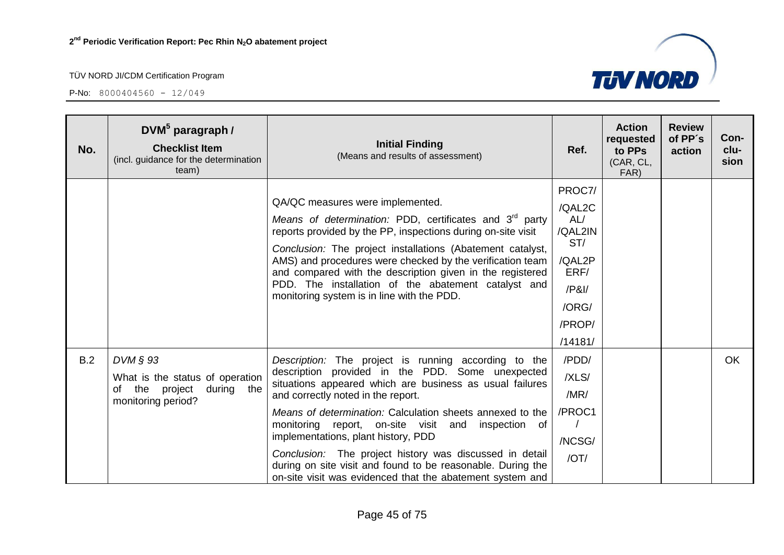

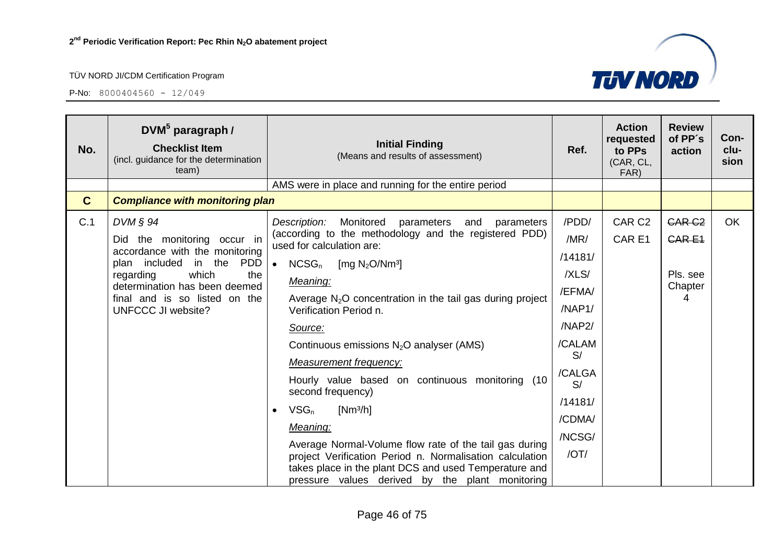

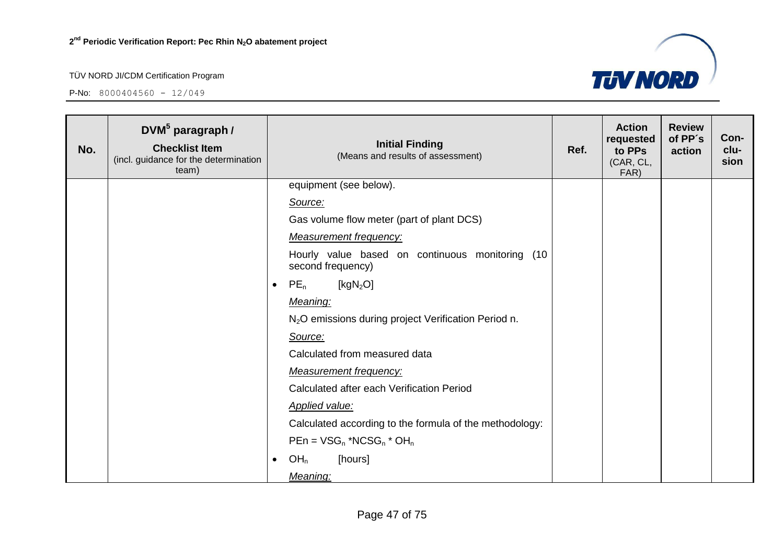

| No. | DVM <sup>5</sup> paragraph /<br><b>Checklist Item</b><br>(incl. guidance for the determination<br>team) |           | <b>Initial Finding</b><br>(Means and results of assessment)          | Ref. | <b>Action</b><br>requested<br>to PPs<br>(CAR, CL,<br>FAR) | <b>Review</b><br>of PP's<br>action | Con-<br>clu-<br>sion |
|-----|---------------------------------------------------------------------------------------------------------|-----------|----------------------------------------------------------------------|------|-----------------------------------------------------------|------------------------------------|----------------------|
|     |                                                                                                         |           | equipment (see below).                                               |      |                                                           |                                    |                      |
|     |                                                                                                         |           | Source:                                                              |      |                                                           |                                    |                      |
|     |                                                                                                         |           | Gas volume flow meter (part of plant DCS)                            |      |                                                           |                                    |                      |
|     |                                                                                                         |           | <b>Measurement frequency:</b>                                        |      |                                                           |                                    |                      |
|     |                                                                                                         |           | Hourly value based on continuous monitoring (10<br>second frequency) |      |                                                           |                                    |                      |
|     |                                                                                                         | $\bullet$ | [ $kgN2O$ ]<br>$PE_n$                                                |      |                                                           |                                    |                      |
|     |                                                                                                         |           | Meaning:                                                             |      |                                                           |                                    |                      |
|     |                                                                                                         |           | N <sub>2</sub> O emissions during project Verification Period n.     |      |                                                           |                                    |                      |
|     |                                                                                                         |           | Source:                                                              |      |                                                           |                                    |                      |
|     |                                                                                                         |           | Calculated from measured data                                        |      |                                                           |                                    |                      |
|     |                                                                                                         |           | <b>Measurement frequency:</b>                                        |      |                                                           |                                    |                      |
|     |                                                                                                         |           | Calculated after each Verification Period                            |      |                                                           |                                    |                      |
|     |                                                                                                         |           | <b>Applied value:</b>                                                |      |                                                           |                                    |                      |
|     |                                                                                                         |           | Calculated according to the formula of the methodology:              |      |                                                           |                                    |                      |
|     |                                                                                                         |           | $PEn = VSG_n * NCSG_n * OH_n$                                        |      |                                                           |                                    |                      |
|     |                                                                                                         | $\bullet$ | [hours]<br>OH <sub>n</sub>                                           |      |                                                           |                                    |                      |
|     |                                                                                                         |           | Meaning:                                                             |      |                                                           |                                    |                      |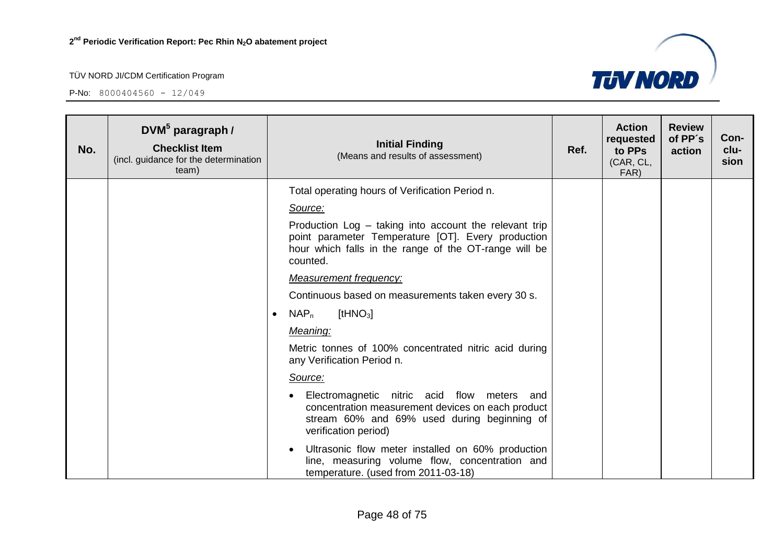

| No. | $DWM^5$ paragraph /<br><b>Checklist Item</b><br>(incl. guidance for the determination<br>team) |           | <b>Initial Finding</b><br>(Means and results of assessment)                                                                                                                       | Ref. | <b>Action</b><br>requested<br>to PPs<br>(CAR, CL,<br>FAR) | <b>Review</b><br>of PP's<br>action | Con-<br>clu-<br>sion |
|-----|------------------------------------------------------------------------------------------------|-----------|-----------------------------------------------------------------------------------------------------------------------------------------------------------------------------------|------|-----------------------------------------------------------|------------------------------------|----------------------|
|     |                                                                                                |           | Total operating hours of Verification Period n.                                                                                                                                   |      |                                                           |                                    |                      |
|     |                                                                                                |           | Source:                                                                                                                                                                           |      |                                                           |                                    |                      |
|     |                                                                                                |           | Production Log - taking into account the relevant trip<br>point parameter Temperature [OT]. Every production<br>hour which falls in the range of the OT-range will be<br>counted. |      |                                                           |                                    |                      |
|     |                                                                                                |           | <b>Measurement frequency:</b>                                                                                                                                                     |      |                                                           |                                    |                      |
|     |                                                                                                |           | Continuous based on measurements taken every 30 s.                                                                                                                                |      |                                                           |                                    |                      |
|     |                                                                                                | $\bullet$ | $NAP_n$<br>[tHNO <sub>3</sub> ]                                                                                                                                                   |      |                                                           |                                    |                      |
|     |                                                                                                |           | Meaning:                                                                                                                                                                          |      |                                                           |                                    |                      |
|     |                                                                                                |           | Metric tonnes of 100% concentrated nitric acid during<br>any Verification Period n.                                                                                               |      |                                                           |                                    |                      |
|     |                                                                                                |           | Source:                                                                                                                                                                           |      |                                                           |                                    |                      |
|     |                                                                                                |           | Electromagnetic nitric acid flow meters and<br>concentration measurement devices on each product<br>stream 60% and 69% used during beginning of<br>verification period)           |      |                                                           |                                    |                      |
|     |                                                                                                |           | Ultrasonic flow meter installed on 60% production<br>line, measuring volume flow, concentration and<br>temperature. (used from 2011-03-18)                                        |      |                                                           |                                    |                      |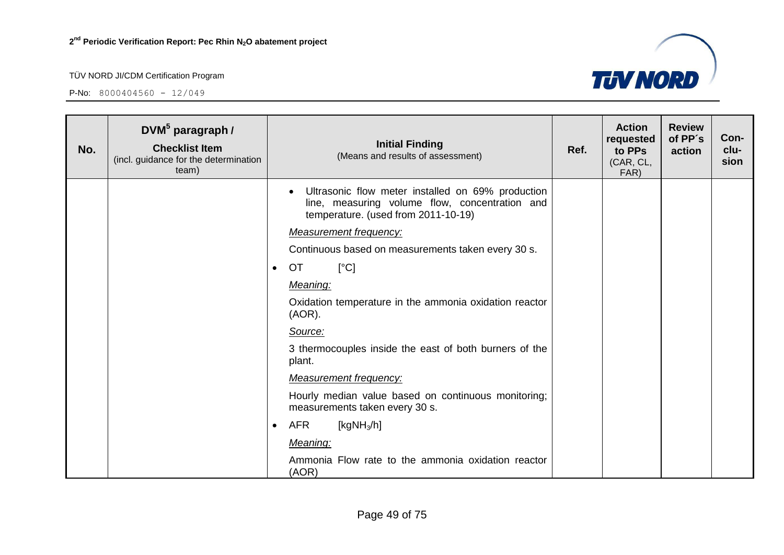

| No. | DVM <sup>5</sup> paragraph /<br><b>Checklist Item</b><br>(incl. guidance for the determination<br>team) |           | <b>Initial Finding</b><br>(Means and results of assessment)                                                                                | Ref. | <b>Action</b><br>requested<br>to PPs<br>(CAR, CL,<br>FAR) | <b>Review</b><br>of PP's<br>action | Con-<br>clu-<br>sion |
|-----|---------------------------------------------------------------------------------------------------------|-----------|--------------------------------------------------------------------------------------------------------------------------------------------|------|-----------------------------------------------------------|------------------------------------|----------------------|
|     |                                                                                                         |           | Ultrasonic flow meter installed on 69% production<br>line, measuring volume flow, concentration and<br>temperature. (used from 2011-10-19) |      |                                                           |                                    |                      |
|     |                                                                                                         |           | <b>Measurement frequency:</b>                                                                                                              |      |                                                           |                                    |                      |
|     |                                                                                                         |           | Continuous based on measurements taken every 30 s.                                                                                         |      |                                                           |                                    |                      |
|     |                                                                                                         | $\bullet$ | [°C]<br><b>OT</b>                                                                                                                          |      |                                                           |                                    |                      |
|     |                                                                                                         |           | Meaning:                                                                                                                                   |      |                                                           |                                    |                      |
|     |                                                                                                         |           | Oxidation temperature in the ammonia oxidation reactor<br>(AOR).                                                                           |      |                                                           |                                    |                      |
|     |                                                                                                         |           | Source:                                                                                                                                    |      |                                                           |                                    |                      |
|     |                                                                                                         |           | 3 thermocouples inside the east of both burners of the<br>plant.                                                                           |      |                                                           |                                    |                      |
|     |                                                                                                         |           | <b>Measurement frequency:</b>                                                                                                              |      |                                                           |                                    |                      |
|     |                                                                                                         |           | Hourly median value based on continuous monitoring;<br>measurements taken every 30 s.                                                      |      |                                                           |                                    |                      |
|     |                                                                                                         | ٠         | <b>AFR</b><br>[kg $NH3/h$ ]                                                                                                                |      |                                                           |                                    |                      |
|     |                                                                                                         |           | Meaning:                                                                                                                                   |      |                                                           |                                    |                      |
|     |                                                                                                         |           | Ammonia Flow rate to the ammonia oxidation reactor<br>(AOR)                                                                                |      |                                                           |                                    |                      |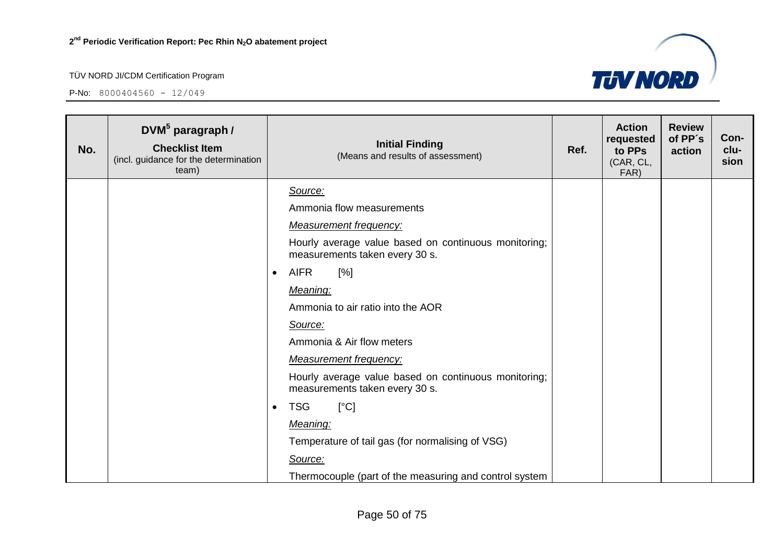

| No. | DVM $5$ paragraph /<br><b>Checklist Item</b><br>(incl. guidance for the determination<br>team) | <b>Initial Finding</b><br>(Means and results of assessment)                            | Ref. | <b>Action</b><br>requested<br>to PPs<br>(CAR, CL,<br>FAR) | <b>Review</b><br>of PP's<br>action | Con-<br>clu-<br>sion |
|-----|------------------------------------------------------------------------------------------------|----------------------------------------------------------------------------------------|------|-----------------------------------------------------------|------------------------------------|----------------------|
|     |                                                                                                | Source:                                                                                |      |                                                           |                                    |                      |
|     |                                                                                                | Ammonia flow measurements                                                              |      |                                                           |                                    |                      |
|     |                                                                                                | <b>Measurement frequency:</b>                                                          |      |                                                           |                                    |                      |
|     |                                                                                                | Hourly average value based on continuous monitoring;<br>measurements taken every 30 s. |      |                                                           |                                    |                      |
|     |                                                                                                | <b>AIFR</b><br>[%]<br>$\bullet$                                                        |      |                                                           |                                    |                      |
|     |                                                                                                | Meaning:                                                                               |      |                                                           |                                    |                      |
|     |                                                                                                | Ammonia to air ratio into the AOR                                                      |      |                                                           |                                    |                      |
|     |                                                                                                | Source:                                                                                |      |                                                           |                                    |                      |
|     |                                                                                                | Ammonia & Air flow meters                                                              |      |                                                           |                                    |                      |
|     |                                                                                                | <b>Measurement frequency:</b>                                                          |      |                                                           |                                    |                      |
|     |                                                                                                | Hourly average value based on continuous monitoring;<br>measurements taken every 30 s. |      |                                                           |                                    |                      |
|     |                                                                                                | [°C]<br><b>TSG</b><br>$\bullet$                                                        |      |                                                           |                                    |                      |
|     |                                                                                                | Meaning:                                                                               |      |                                                           |                                    |                      |
|     |                                                                                                | Temperature of tail gas (for normalising of VSG)                                       |      |                                                           |                                    |                      |
|     |                                                                                                | Source:                                                                                |      |                                                           |                                    |                      |
|     |                                                                                                | Thermocouple (part of the measuring and control system                                 |      |                                                           |                                    |                      |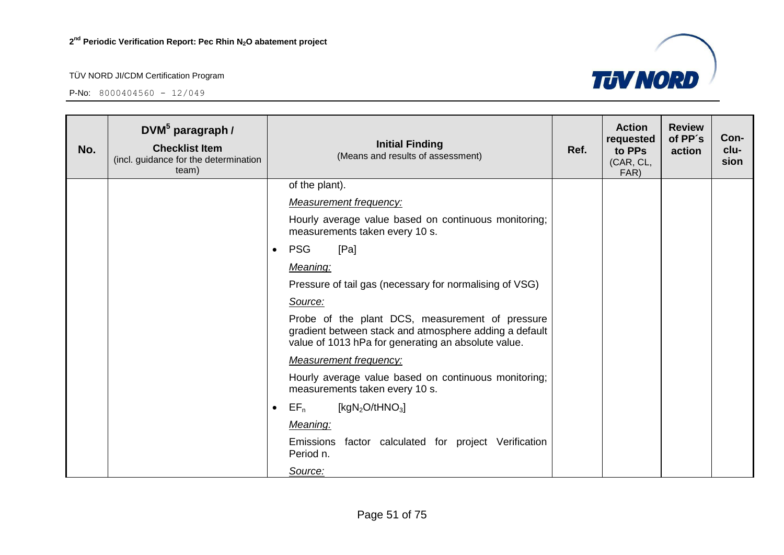

| No. | DVM <sup>5</sup> paragraph /<br><b>Checklist Item</b><br>(incl. guidance for the determination<br>team) | <b>Initial Finding</b><br>(Means and results of assessment)                                                                                                      | Ref. | <b>Action</b><br>requested<br>to PPs<br>(CAR, CL,<br>FAR) | <b>Review</b><br>of PP's<br>action | Con-<br>clu-<br>sion |
|-----|---------------------------------------------------------------------------------------------------------|------------------------------------------------------------------------------------------------------------------------------------------------------------------|------|-----------------------------------------------------------|------------------------------------|----------------------|
|     |                                                                                                         | of the plant).                                                                                                                                                   |      |                                                           |                                    |                      |
|     |                                                                                                         | <b>Measurement frequency:</b>                                                                                                                                    |      |                                                           |                                    |                      |
|     |                                                                                                         | Hourly average value based on continuous monitoring;<br>measurements taken every 10 s.                                                                           |      |                                                           |                                    |                      |
|     |                                                                                                         | <b>PSG</b><br>[Pa]<br>$\bullet$                                                                                                                                  |      |                                                           |                                    |                      |
|     |                                                                                                         | Meaning:                                                                                                                                                         |      |                                                           |                                    |                      |
|     |                                                                                                         | Pressure of tail gas (necessary for normalising of VSG)                                                                                                          |      |                                                           |                                    |                      |
|     |                                                                                                         | Source:                                                                                                                                                          |      |                                                           |                                    |                      |
|     |                                                                                                         | Probe of the plant DCS, measurement of pressure<br>gradient between stack and atmosphere adding a default<br>value of 1013 hPa for generating an absolute value. |      |                                                           |                                    |                      |
|     |                                                                                                         | <b>Measurement frequency:</b>                                                                                                                                    |      |                                                           |                                    |                      |
|     |                                                                                                         | Hourly average value based on continuous monitoring;<br>measurements taken every 10 s.                                                                           |      |                                                           |                                    |                      |
|     |                                                                                                         | $EF_n$<br>[kgN <sub>2</sub> O/tHNO <sub>3</sub> ]<br>$\bullet$                                                                                                   |      |                                                           |                                    |                      |
|     |                                                                                                         | Meaning:                                                                                                                                                         |      |                                                           |                                    |                      |
|     |                                                                                                         | Emissions factor calculated for project Verification<br>Period n.                                                                                                |      |                                                           |                                    |                      |
|     |                                                                                                         | Source:                                                                                                                                                          |      |                                                           |                                    |                      |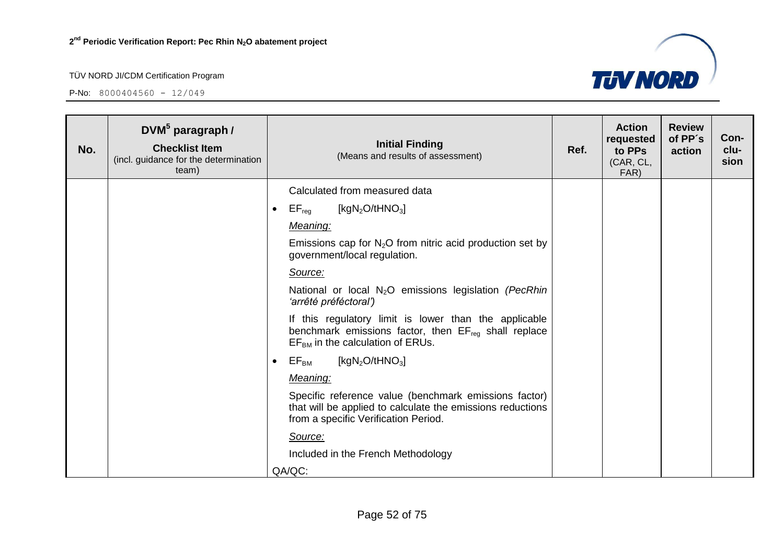

| No. | $DWM^5$ paragraph /<br><b>Checklist Item</b><br>(incl. guidance for the determination<br>team) |           | <b>Initial Finding</b><br>(Means and results of assessment)                                                                                                     | Ref. | <b>Action</b><br>requested<br>to PPs<br>(CAR, CL,<br>FAR) | <b>Review</b><br>of PP's<br>action | Con-<br>clu-<br>sion |
|-----|------------------------------------------------------------------------------------------------|-----------|-----------------------------------------------------------------------------------------------------------------------------------------------------------------|------|-----------------------------------------------------------|------------------------------------|----------------------|
|     |                                                                                                |           | Calculated from measured data                                                                                                                                   |      |                                                           |                                    |                      |
|     |                                                                                                | $\bullet$ | $EF_{\text{reg}}$<br>[kgN <sub>2</sub> O/tHNO <sub>3</sub> ]                                                                                                    |      |                                                           |                                    |                      |
|     |                                                                                                |           | Meaning:                                                                                                                                                        |      |                                                           |                                    |                      |
|     |                                                                                                |           | Emissions cap for $N_2O$ from nitric acid production set by<br>government/local regulation.                                                                     |      |                                                           |                                    |                      |
|     |                                                                                                |           | Source:                                                                                                                                                         |      |                                                           |                                    |                      |
|     |                                                                                                |           | National or local N <sub>2</sub> O emissions legislation (PecRhin<br>'arrêté préféctoral')                                                                      |      |                                                           |                                    |                      |
|     |                                                                                                |           | If this regulatory limit is lower than the applicable<br>benchmark emissions factor, then EF <sub>reg</sub> shall replace<br>$EFBM$ in the calculation of ERUs. |      |                                                           |                                    |                      |
|     |                                                                                                | $\bullet$ | $\mathsf{EF}_\mathsf{BM}$<br>[kgN <sub>2</sub> O/tHNO <sub>3</sub> ]                                                                                            |      |                                                           |                                    |                      |
|     |                                                                                                |           | Meaning:                                                                                                                                                        |      |                                                           |                                    |                      |
|     |                                                                                                |           | Specific reference value (benchmark emissions factor)<br>that will be applied to calculate the emissions reductions<br>from a specific Verification Period.     |      |                                                           |                                    |                      |
|     |                                                                                                |           | Source:                                                                                                                                                         |      |                                                           |                                    |                      |
|     |                                                                                                |           | Included in the French Methodology                                                                                                                              |      |                                                           |                                    |                      |
|     |                                                                                                |           | QA/QC:                                                                                                                                                          |      |                                                           |                                    |                      |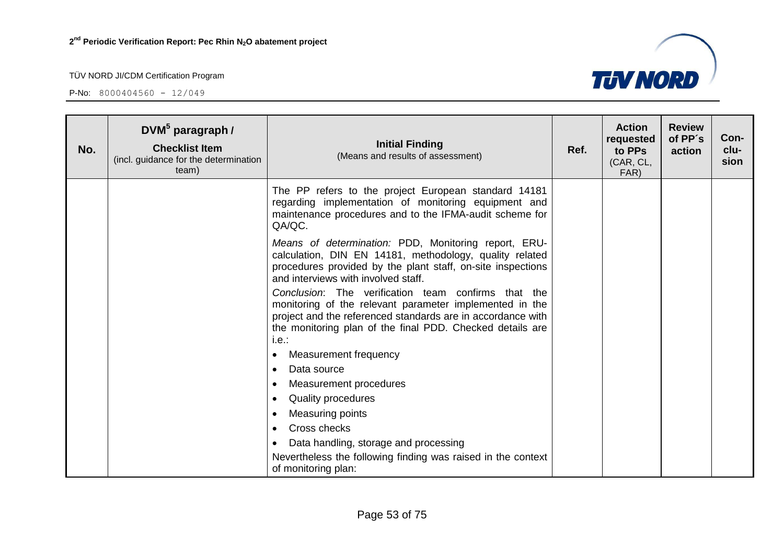$P-No: 8000404560 - 12/049$ 

**No.**





Nevertheless the following finding was raised in the context

• Data handling, storage and processing

• Cross checks

of monitoring plan: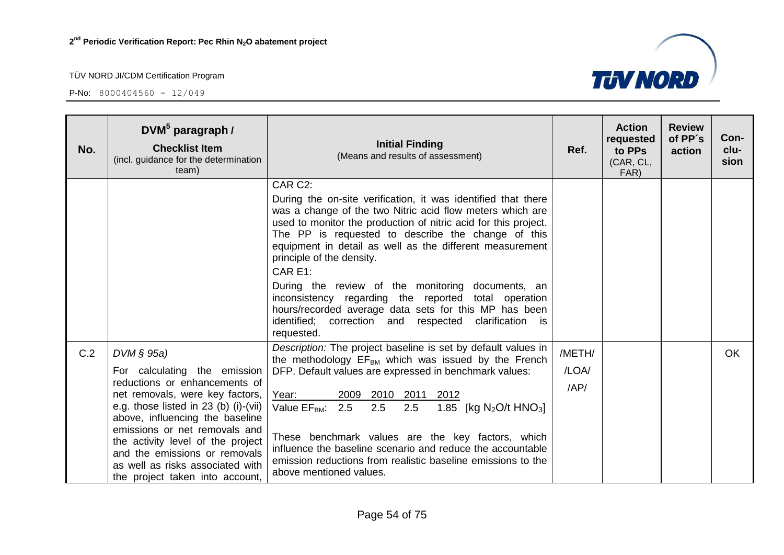

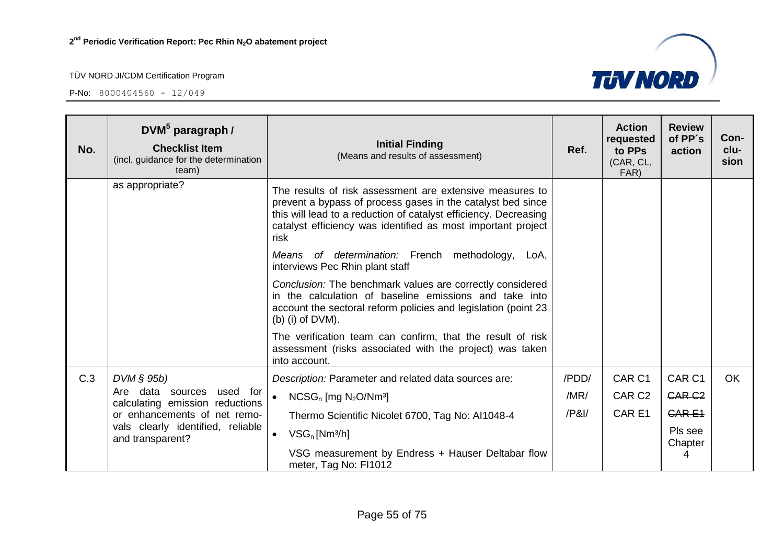

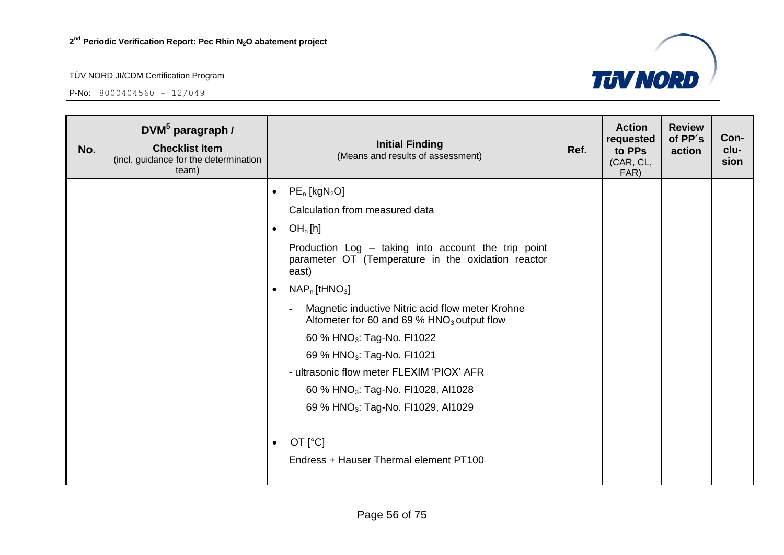

| No. | DVM <sup>5</sup> paragraph /<br><b>Checklist Item</b><br>(incl. guidance for the determination<br>team) | <b>Initial Finding</b><br>(Means and results of assessment)                                                        | Ref. | <b>Action</b><br>requested<br>to PPs<br>(CAR, CL,<br>FAR) | <b>Review</b><br>of PP's<br>action | Con-<br>clu-<br>sion |
|-----|---------------------------------------------------------------------------------------------------------|--------------------------------------------------------------------------------------------------------------------|------|-----------------------------------------------------------|------------------------------------|----------------------|
|     |                                                                                                         | $PE_n$ [kgN <sub>2</sub> O]<br>$\bullet$                                                                           |      |                                                           |                                    |                      |
|     |                                                                                                         | Calculation from measured data                                                                                     |      |                                                           |                                    |                      |
|     |                                                                                                         | OH <sub>n</sub> [h]<br>$\bullet$                                                                                   |      |                                                           |                                    |                      |
|     |                                                                                                         | Production Log - taking into account the trip point<br>parameter OT (Temperature in the oxidation reactor<br>east) |      |                                                           |                                    |                      |
|     |                                                                                                         | $NAP_n$ [tHNO <sub>3</sub> ]<br>$\bullet$                                                                          |      |                                                           |                                    |                      |
|     |                                                                                                         | Magnetic inductive Nitric acid flow meter Krohne<br>Altometer for 60 and 69 % $HNO3$ output flow                   |      |                                                           |                                    |                      |
|     |                                                                                                         | 60 % HNO <sub>3</sub> : Tag-No. FI1022                                                                             |      |                                                           |                                    |                      |
|     |                                                                                                         | 69 % HNO <sub>3</sub> : Tag-No. FI1021                                                                             |      |                                                           |                                    |                      |
|     |                                                                                                         | - ultrasonic flow meter FLEXIM 'PIOX' AFR                                                                          |      |                                                           |                                    |                      |
|     |                                                                                                         | 60 % HNO <sub>3</sub> : Tag-No. FI1028, AI1028                                                                     |      |                                                           |                                    |                      |
|     |                                                                                                         | 69 % HNO <sub>3</sub> : Tag-No. FI1029, AI1029                                                                     |      |                                                           |                                    |                      |
|     |                                                                                                         | OT $[°C]$<br>$\bullet$<br>Endress + Hauser Thermal element PT100                                                   |      |                                                           |                                    |                      |
|     |                                                                                                         |                                                                                                                    |      |                                                           |                                    |                      |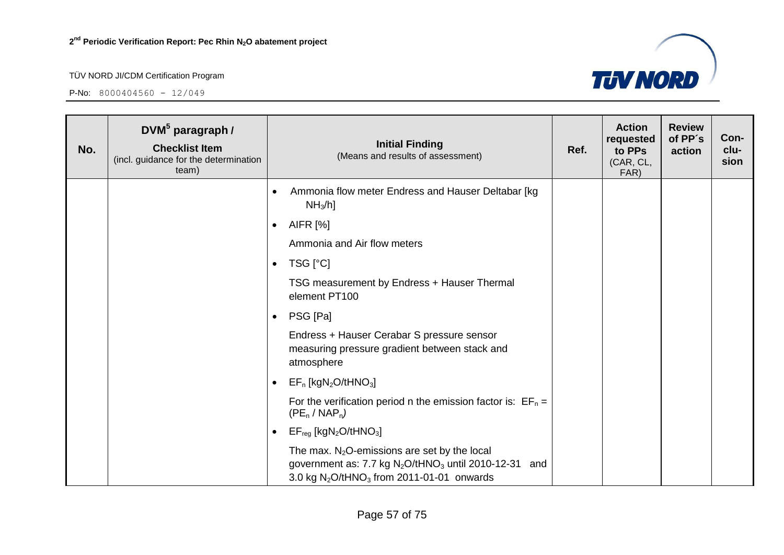P-No:  $8000404560 - 12/049$ 



Page 57 of 75

3.0 kg  $N_2O/tHNO_3$  from 2011-01-01 onwards

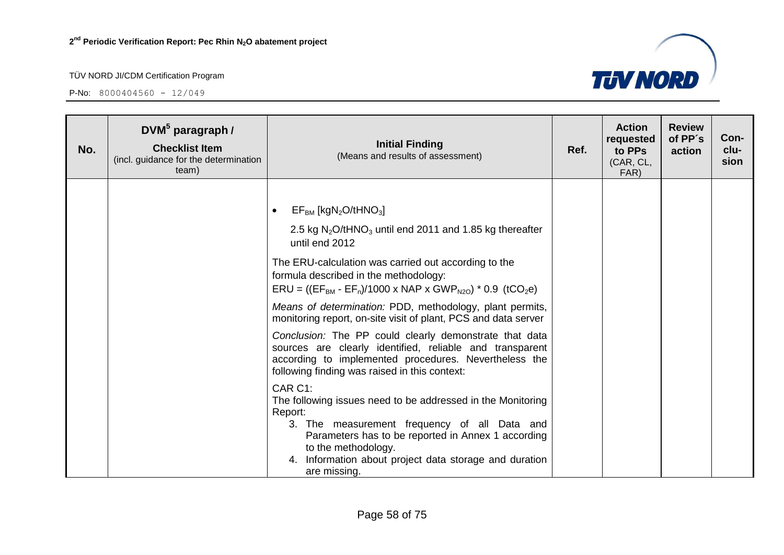**P-No:**  $8000404560 - 12/049$ 



| No. | DVM <sup>5</sup> paragraph /<br><b>Checklist Item</b><br>(incl. guidance for the determination<br>team) | <b>Initial Finding</b><br>(Means and results of assessment)                                                                                                                                                                                                                                                                                                                                                                                                                                                                                                                                                                                                                                                                                                                                                                                                                                                                                                                                 | Ref. | <b>Action</b><br>requested<br>to PPs<br>(CAR, CL,<br>FAR) | <b>Review</b><br>of PP's<br>action | Con-<br>clu-<br>sion |
|-----|---------------------------------------------------------------------------------------------------------|---------------------------------------------------------------------------------------------------------------------------------------------------------------------------------------------------------------------------------------------------------------------------------------------------------------------------------------------------------------------------------------------------------------------------------------------------------------------------------------------------------------------------------------------------------------------------------------------------------------------------------------------------------------------------------------------------------------------------------------------------------------------------------------------------------------------------------------------------------------------------------------------------------------------------------------------------------------------------------------------|------|-----------------------------------------------------------|------------------------------------|----------------------|
|     |                                                                                                         | $EF_{BM}$ [kgN <sub>2</sub> O/tHNO <sub>3</sub> ]<br>2.5 kg $N_2O$ /tHNO <sub>3</sub> until end 2011 and 1.85 kg thereafter<br>until end 2012<br>The ERU-calculation was carried out according to the<br>formula described in the methodology:<br>$ERU = ((EFBM - EFn)/1000 \times NAP \times GWPN2O) * 0.9$ (tCO <sub>2</sub> e)<br>Means of determination: PDD, methodology, plant permits,<br>monitoring report, on-site visit of plant, PCS and data server<br>Conclusion: The PP could clearly demonstrate that data<br>sources are clearly identified, reliable and transparent<br>according to implemented procedures. Nevertheless the<br>following finding was raised in this context:<br>CAR C1:<br>The following issues need to be addressed in the Monitoring<br>Report:<br>3. The measurement frequency of all Data and<br>Parameters has to be reported in Annex 1 according<br>to the methodology.<br>4. Information about project data storage and duration<br>are missing. |      |                                                           |                                    |                      |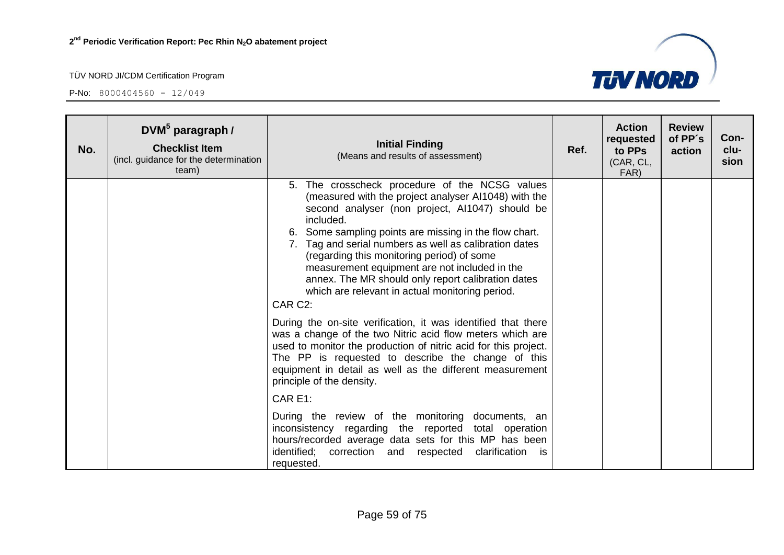

| No. | $DWM^5$ paragraph /<br><b>Checklist Item</b><br>(incl. guidance for the determination<br>team) | <b>Initial Finding</b><br>(Means and results of assessment)                                                                                                                                                                                                                                                                                                                                                                                                                                                                                                                                                                                                                                                                                                                                                                                                                | Ref. | <b>Action</b><br>requested<br>to PPs<br>(CAR, CL,<br>FAR) | <b>Review</b><br>of PP's<br>action | Con-<br>clu-<br>sion |
|-----|------------------------------------------------------------------------------------------------|----------------------------------------------------------------------------------------------------------------------------------------------------------------------------------------------------------------------------------------------------------------------------------------------------------------------------------------------------------------------------------------------------------------------------------------------------------------------------------------------------------------------------------------------------------------------------------------------------------------------------------------------------------------------------------------------------------------------------------------------------------------------------------------------------------------------------------------------------------------------------|------|-----------------------------------------------------------|------------------------------------|----------------------|
|     |                                                                                                | 5. The crosscheck procedure of the NCSG values<br>(measured with the project analyser Al1048) with the<br>second analyser (non project, Al1047) should be<br>included.<br>6. Some sampling points are missing in the flow chart.<br>7. Tag and serial numbers as well as calibration dates<br>(regarding this monitoring period) of some<br>measurement equipment are not included in the<br>annex. The MR should only report calibration dates<br>which are relevant in actual monitoring period.<br>CAR C <sub>2</sub> :<br>During the on-site verification, it was identified that there<br>was a change of the two Nitric acid flow meters which are<br>used to monitor the production of nitric acid for this project.<br>The PP is requested to describe the change of this<br>equipment in detail as well as the different measurement<br>principle of the density. |      |                                                           |                                    |                      |
|     |                                                                                                | CAR E1:<br>During the review of the monitoring documents, an<br>inconsistency regarding the reported total operation<br>hours/recorded average data sets for this MP has been                                                                                                                                                                                                                                                                                                                                                                                                                                                                                                                                                                                                                                                                                              |      |                                                           |                                    |                      |
|     |                                                                                                | identified; correction and respected clarification<br>is.<br>requested.                                                                                                                                                                                                                                                                                                                                                                                                                                                                                                                                                                                                                                                                                                                                                                                                    |      |                                                           |                                    |                      |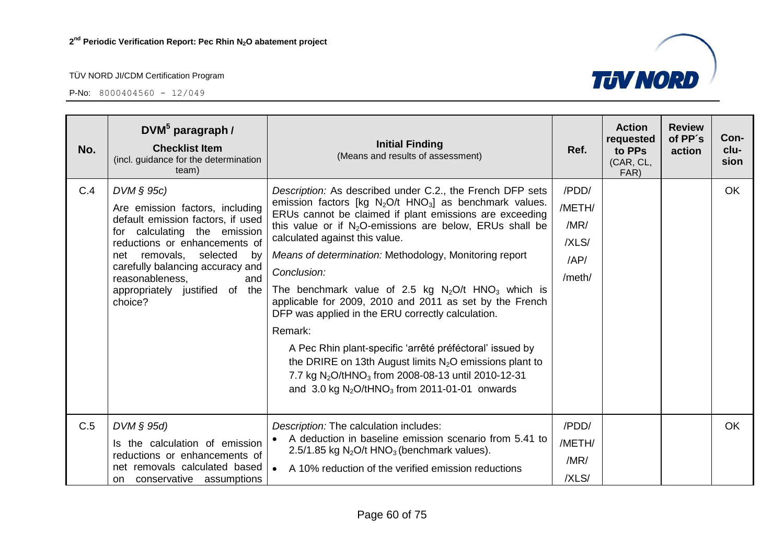

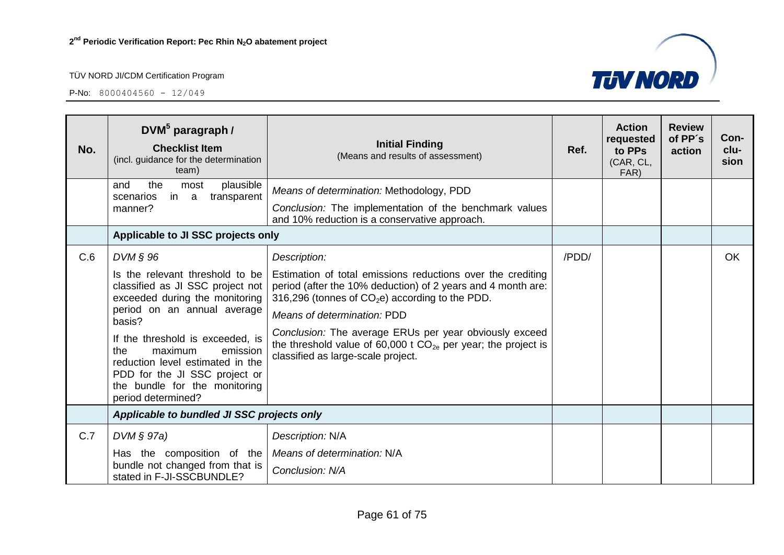

| No. | $DWM5$ paragraph /<br><b>Checklist Item</b><br>(incl. guidance for the determination<br>team)                                                                                                                                                                                                                                                | <b>Initial Finding</b><br>(Means and results of assessment)                                                                                                                                                                                                                                                                                                                           | Ref.  | <b>Action</b><br>requested<br>to PPs<br>(CAR, CL,<br>FAR) | <b>Review</b><br>of PP's<br>action | Con-<br>clu-<br>sion |
|-----|----------------------------------------------------------------------------------------------------------------------------------------------------------------------------------------------------------------------------------------------------------------------------------------------------------------------------------------------|---------------------------------------------------------------------------------------------------------------------------------------------------------------------------------------------------------------------------------------------------------------------------------------------------------------------------------------------------------------------------------------|-------|-----------------------------------------------------------|------------------------------------|----------------------|
|     | the<br>plausible<br>and<br>most<br>scenarios<br>transparent<br>in<br>a                                                                                                                                                                                                                                                                       | Means of determination: Methodology, PDD                                                                                                                                                                                                                                                                                                                                              |       |                                                           |                                    |                      |
|     | manner?                                                                                                                                                                                                                                                                                                                                      | Conclusion: The implementation of the benchmark values<br>and 10% reduction is a conservative approach.                                                                                                                                                                                                                                                                               |       |                                                           |                                    |                      |
|     | Applicable to JI SSC projects only                                                                                                                                                                                                                                                                                                           |                                                                                                                                                                                                                                                                                                                                                                                       |       |                                                           |                                    |                      |
| C.6 | $DVM \S 96$                                                                                                                                                                                                                                                                                                                                  | Description:                                                                                                                                                                                                                                                                                                                                                                          | /PDD/ |                                                           |                                    | <b>OK</b>            |
|     | Is the relevant threshold to be<br>classified as JI SSC project not<br>exceeded during the monitoring<br>period on an annual average<br>basis?<br>If the threshold is exceeded, is<br>maximum<br>the<br>emission<br>reduction level estimated in the<br>PDD for the JI SSC project or<br>the bundle for the monitoring<br>period determined? | Estimation of total emissions reductions over the crediting<br>period (after the 10% deduction) of 2 years and 4 month are:<br>316,296 (tonnes of $CO2e$ ) according to the PDD.<br>Means of determination: PDD<br>Conclusion: The average ERUs per year obviously exceed<br>the threshold value of 60,000 t $CO_{2e}$ per year; the project is<br>classified as large-scale project. |       |                                                           |                                    |                      |
|     | Applicable to bundled JI SSC projects only                                                                                                                                                                                                                                                                                                   |                                                                                                                                                                                                                                                                                                                                                                                       |       |                                                           |                                    |                      |
| C.7 | $DVM \S 97a)$                                                                                                                                                                                                                                                                                                                                | Description: N/A                                                                                                                                                                                                                                                                                                                                                                      |       |                                                           |                                    |                      |
|     | Has the composition of the<br>bundle not changed from that is                                                                                                                                                                                                                                                                                | Means of determination: N/A                                                                                                                                                                                                                                                                                                                                                           |       |                                                           |                                    |                      |
|     | stated in F-JI-SSCBUNDLE?                                                                                                                                                                                                                                                                                                                    | Conclusion: N/A                                                                                                                                                                                                                                                                                                                                                                       |       |                                                           |                                    |                      |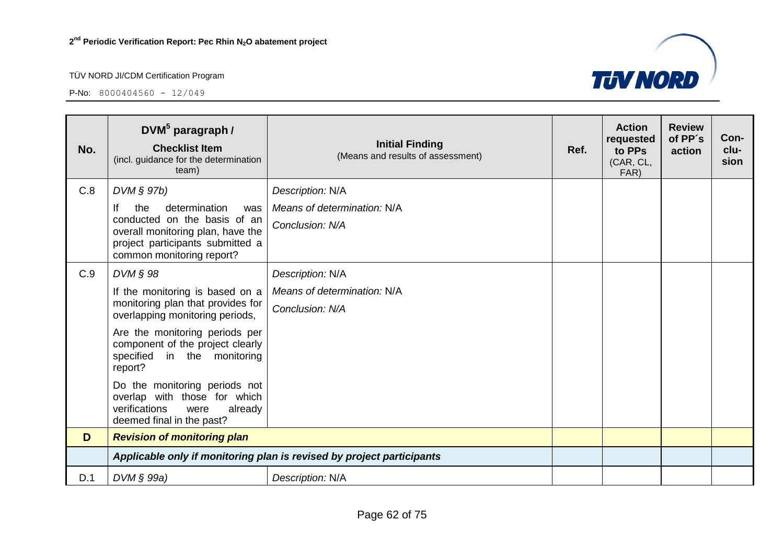

| No. | $DWM^5$ paragraph /<br><b>Checklist Item</b><br>(incl. guidance for the determination<br>team)                                 | <b>Initial Finding</b><br>(Means and results of assessment)        | Ref. | <b>Action</b><br>requested<br>to PPs<br>(CAR, CL,<br>FAR) | <b>Review</b><br>of PP's<br>action | Con-<br>clu-<br>sion |
|-----|--------------------------------------------------------------------------------------------------------------------------------|--------------------------------------------------------------------|------|-----------------------------------------------------------|------------------------------------|----------------------|
| C.8 | DVM § 97b)<br>lf<br>determination<br>the<br>was<br>conducted on the basis of an                                                | Description: N/A<br>Means of determination: N/A<br>Conclusion: N/A |      |                                                           |                                    |                      |
|     | overall monitoring plan, have the<br>project participants submitted a<br>common monitoring report?                             |                                                                    |      |                                                           |                                    |                      |
| C.9 | DVM § 98                                                                                                                       | Description: N/A                                                   |      |                                                           |                                    |                      |
|     | If the monitoring is based on a                                                                                                | Means of determination: N/A                                        |      |                                                           |                                    |                      |
|     | monitoring plan that provides for<br>overlapping monitoring periods,                                                           | Conclusion: N/A                                                    |      |                                                           |                                    |                      |
|     | Are the monitoring periods per<br>component of the project clearly<br>specified in the monitoring<br>report?                   |                                                                    |      |                                                           |                                    |                      |
|     | Do the monitoring periods not<br>overlap with those for which<br>verifications<br>were<br>already<br>deemed final in the past? |                                                                    |      |                                                           |                                    |                      |
| D   | <b>Revision of monitoring plan</b>                                                                                             |                                                                    |      |                                                           |                                    |                      |
|     | Applicable only if monitoring plan is revised by project participants                                                          |                                                                    |      |                                                           |                                    |                      |
| D.1 | DVM § 99a)                                                                                                                     | Description: N/A                                                   |      |                                                           |                                    |                      |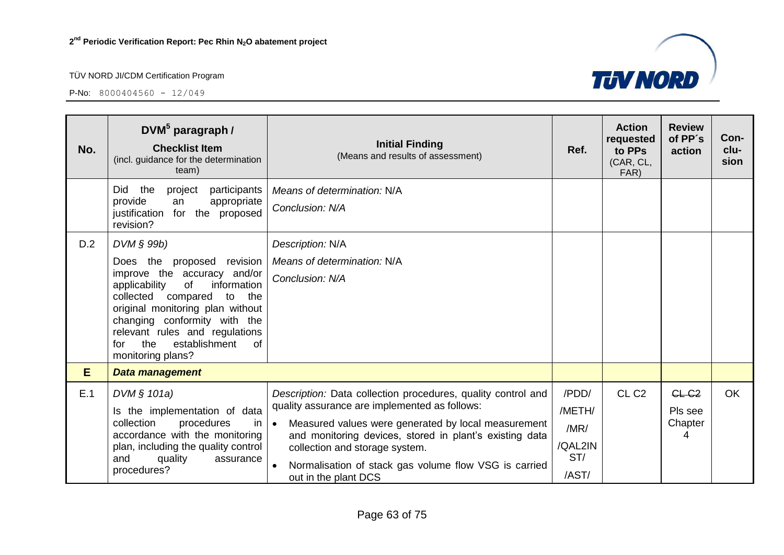**P-No:**  $8000404560 - 12/049$ 



| No. | DVM <sup>5</sup> paragraph /<br><b>Checklist Item</b><br>(incl. guidance for the determination<br>team)                                                                                                                                                                                                                    | <b>Initial Finding</b><br>(Means and results of assessment)                                                                                                                                                                                                                                                                                                     | Ref.                                               | <b>Action</b><br>requested<br>to PPs<br>(CAR, CL,<br>FAR) | <b>Review</b><br>of PP's<br>action           | Con-<br>clu-<br>sion |
|-----|----------------------------------------------------------------------------------------------------------------------------------------------------------------------------------------------------------------------------------------------------------------------------------------------------------------------------|-----------------------------------------------------------------------------------------------------------------------------------------------------------------------------------------------------------------------------------------------------------------------------------------------------------------------------------------------------------------|----------------------------------------------------|-----------------------------------------------------------|----------------------------------------------|----------------------|
|     | Did<br>project<br>participants<br>the<br>provide<br>appropriate<br>an<br>justification for the proposed<br>revision?                                                                                                                                                                                                       | Means of determination: N/A<br>Conclusion: N/A                                                                                                                                                                                                                                                                                                                  |                                                    |                                                           |                                              |                      |
| D.2 | DVM § 99b)<br>Does the<br>revision<br>proposed<br>improve the accuracy and/or<br>of<br>information<br>applicability<br>compared to the<br>collected<br>original monitoring plan without<br>changing conformity with the<br>relevant rules and regulations<br>establishment<br>the<br><b>of</b><br>for<br>monitoring plans? | Description: N/A<br>Means of determination: N/A<br>Conclusion: N/A                                                                                                                                                                                                                                                                                              |                                                    |                                                           |                                              |                      |
| E   | Data management                                                                                                                                                                                                                                                                                                            |                                                                                                                                                                                                                                                                                                                                                                 |                                                    |                                                           |                                              |                      |
| E.1 | DVM § 101a)<br>Is the implementation of data<br>collection<br>procedures<br>in.<br>accordance with the monitoring<br>plan, including the quality control<br>quality<br>and<br>assurance<br>procedures?                                                                                                                     | Description: Data collection procedures, quality control and<br>quality assurance are implemented as follows:<br>Measured values were generated by local measurement<br>$\bullet$<br>and monitoring devices, stored in plant's existing data<br>collection and storage system.<br>Normalisation of stack gas volume flow VSG is carried<br>out in the plant DCS | /PDD/<br>/METH/<br>/MR/<br>/QAL2IN<br>ST/<br>/AST/ | CL <sub>C2</sub>                                          | CL-C <sub>2</sub><br>Pls see<br>Chapter<br>4 | <b>OK</b>            |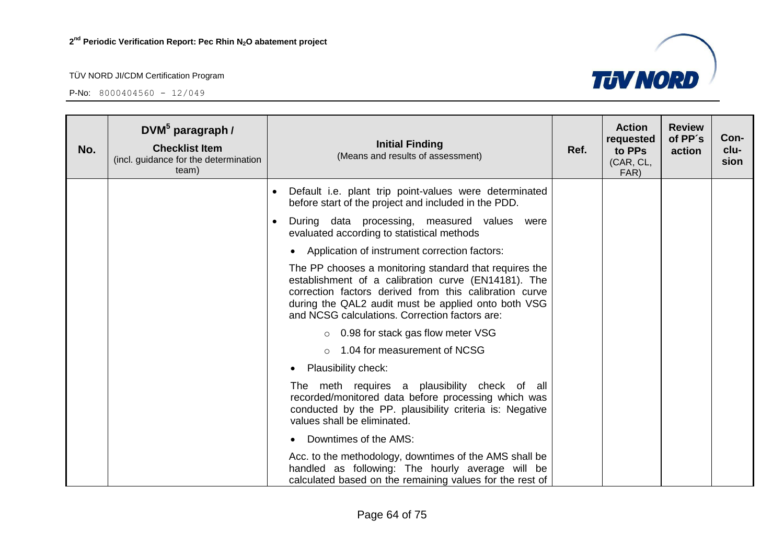

| No. | DVM <sup>5</sup> paragraph /<br><b>Checklist Item</b><br>(incl. guidance for the determination<br>team) | <b>Initial Finding</b><br>(Means and results of assessment)                                                                                                                                                                                                                      | Ref. | <b>Action</b><br>requested<br>to PPs<br>(CAR, CL,<br>FAR) | <b>Review</b><br>of PP's<br>action | Con-<br>clu-<br>sion |
|-----|---------------------------------------------------------------------------------------------------------|----------------------------------------------------------------------------------------------------------------------------------------------------------------------------------------------------------------------------------------------------------------------------------|------|-----------------------------------------------------------|------------------------------------|----------------------|
|     |                                                                                                         | Default i.e. plant trip point-values were determinated<br>before start of the project and included in the PDD.                                                                                                                                                                   |      |                                                           |                                    |                      |
|     |                                                                                                         | During data processing, measured values were<br>$\bullet$<br>evaluated according to statistical methods                                                                                                                                                                          |      |                                                           |                                    |                      |
|     |                                                                                                         | Application of instrument correction factors:<br>$\bullet$                                                                                                                                                                                                                       |      |                                                           |                                    |                      |
|     |                                                                                                         | The PP chooses a monitoring standard that requires the<br>establishment of a calibration curve (EN14181). The<br>correction factors derived from this calibration curve<br>during the QAL2 audit must be applied onto both VSG<br>and NCSG calculations. Correction factors are: |      |                                                           |                                    |                      |
|     |                                                                                                         | $\circ$ 0.98 for stack gas flow meter VSG                                                                                                                                                                                                                                        |      |                                                           |                                    |                      |
|     |                                                                                                         | $\circ$ 1.04 for measurement of NCSG                                                                                                                                                                                                                                             |      |                                                           |                                    |                      |
|     |                                                                                                         | Plausibility check:                                                                                                                                                                                                                                                              |      |                                                           |                                    |                      |
|     |                                                                                                         | The meth requires a plausibility check of all<br>recorded/monitored data before processing which was<br>conducted by the PP. plausibility criteria is: Negative<br>values shall be eliminated.                                                                                   |      |                                                           |                                    |                      |
|     |                                                                                                         | Downtimes of the AMS:                                                                                                                                                                                                                                                            |      |                                                           |                                    |                      |
|     |                                                                                                         | Acc. to the methodology, downtimes of the AMS shall be<br>handled as following: The hourly average will be<br>calculated based on the remaining values for the rest of                                                                                                           |      |                                                           |                                    |                      |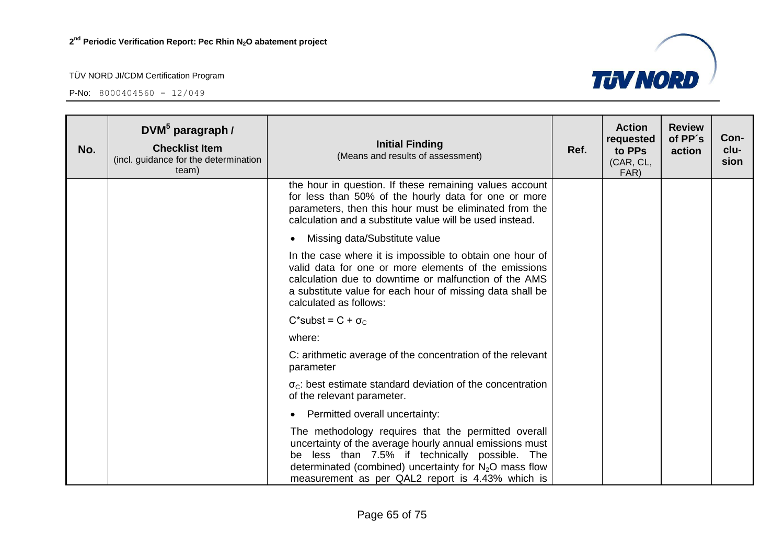

| No. | DVM <sup>5</sup> paragraph /<br><b>Checklist Item</b><br>(incl. guidance for the determination<br>team) | <b>Initial Finding</b><br>(Means and results of assessment)                                                                                                                                                                                                                      | Ref. | <b>Action</b><br>requested<br>to PPs<br>(CAR, CL,<br>FAR) | <b>Review</b><br>of PP's<br>action | Con-<br>clu-<br>sion |
|-----|---------------------------------------------------------------------------------------------------------|----------------------------------------------------------------------------------------------------------------------------------------------------------------------------------------------------------------------------------------------------------------------------------|------|-----------------------------------------------------------|------------------------------------|----------------------|
|     |                                                                                                         | the hour in question. If these remaining values account<br>for less than 50% of the hourly data for one or more<br>parameters, then this hour must be eliminated from the<br>calculation and a substitute value will be used instead.                                            |      |                                                           |                                    |                      |
|     |                                                                                                         | Missing data/Substitute value                                                                                                                                                                                                                                                    |      |                                                           |                                    |                      |
|     |                                                                                                         | In the case where it is impossible to obtain one hour of<br>valid data for one or more elements of the emissions<br>calculation due to downtime or malfunction of the AMS<br>a substitute value for each hour of missing data shall be<br>calculated as follows:                 |      |                                                           |                                    |                      |
|     |                                                                                                         | $C^*$ subst = $C + \sigma_C$                                                                                                                                                                                                                                                     |      |                                                           |                                    |                      |
|     |                                                                                                         | where:                                                                                                                                                                                                                                                                           |      |                                                           |                                    |                      |
|     |                                                                                                         | C: arithmetic average of the concentration of the relevant<br>parameter                                                                                                                                                                                                          |      |                                                           |                                    |                      |
|     |                                                                                                         | $\sigma_c$ : best estimate standard deviation of the concentration<br>of the relevant parameter.                                                                                                                                                                                 |      |                                                           |                                    |                      |
|     |                                                                                                         | Permitted overall uncertainty:                                                                                                                                                                                                                                                   |      |                                                           |                                    |                      |
|     |                                                                                                         | The methodology requires that the permitted overall<br>uncertainty of the average hourly annual emissions must<br>be less than 7.5% if technically possible. The<br>determinated (combined) uncertainty for $N_2O$ mass flow<br>measurement as per QAL2 report is 4.43% which is |      |                                                           |                                    |                      |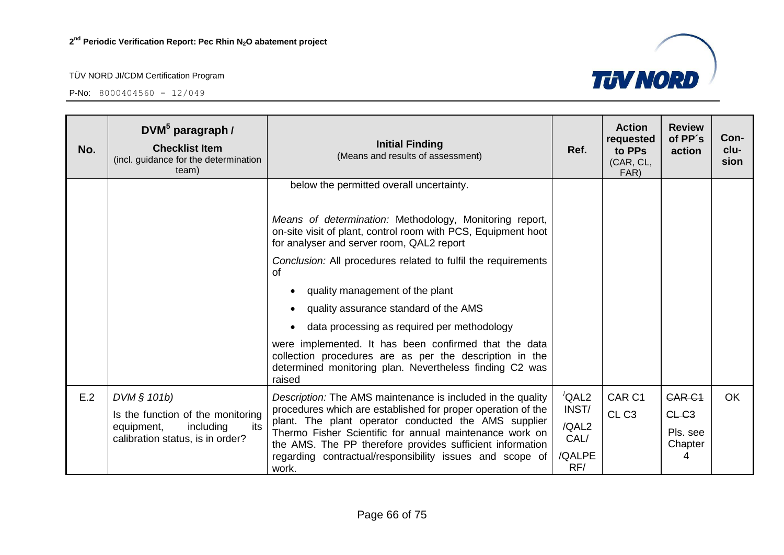

| No. | DVM <sup>5</sup> paragraph /<br><b>Checklist Item</b><br>(incl. guidance for the determination<br>team) | <b>Initial Finding</b><br>(Means and results of assessment)                                                                                                                           | Ref.          | <b>Action</b><br>requested<br>to PPs<br>(CAR, CL,<br>FAR) | <b>Review</b><br>of PP's<br>action | Con-<br>clu-<br>sion |
|-----|---------------------------------------------------------------------------------------------------------|---------------------------------------------------------------------------------------------------------------------------------------------------------------------------------------|---------------|-----------------------------------------------------------|------------------------------------|----------------------|
|     |                                                                                                         | below the permitted overall uncertainty.<br>Means of determination: Methodology, Monitoring report,                                                                                   |               |                                                           |                                    |                      |
|     |                                                                                                         | on-site visit of plant, control room with PCS, Equipment hoot<br>for analyser and server room, QAL2 report                                                                            |               |                                                           |                                    |                      |
|     |                                                                                                         | Conclusion: All procedures related to fulfil the requirements<br>of                                                                                                                   |               |                                                           |                                    |                      |
|     |                                                                                                         | quality management of the plant                                                                                                                                                       |               |                                                           |                                    |                      |
|     |                                                                                                         | quality assurance standard of the AMS                                                                                                                                                 |               |                                                           |                                    |                      |
|     |                                                                                                         | data processing as required per methodology                                                                                                                                           |               |                                                           |                                    |                      |
|     |                                                                                                         | were implemented. It has been confirmed that the data<br>collection procedures are as per the description in the<br>determined monitoring plan. Nevertheless finding C2 was<br>raised |               |                                                           |                                    |                      |
| E.2 | DVM § 101b)                                                                                             | Description: The AMS maintenance is included in the quality                                                                                                                           | QAL2          | CAR <sub>C1</sub>                                         | <b>CAR C1</b>                      | <b>OK</b>            |
|     | Is the function of the monitoring                                                                       | procedures which are established for proper operation of the<br>plant. The plant operator conducted the AMS supplier                                                                  | INST/         | CL <sub>C3</sub>                                          | GLC3                               |                      |
|     | including<br>equipment,<br>its<br>calibration status, is in order?                                      | Thermo Fisher Scientific for annual maintenance work on<br>the AMS. The PP therefore provides sufficient information                                                                  | /QAL2<br>CAL/ |                                                           | Pls. see<br>Chapter                |                      |
|     |                                                                                                         | regarding contractual/responsibility issues and scope of<br>work.                                                                                                                     | /QALPE<br>RF/ |                                                           | 4                                  |                      |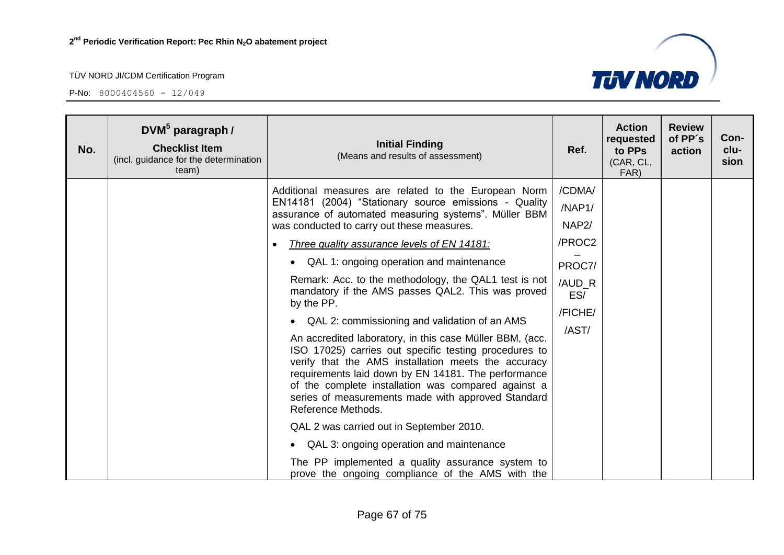

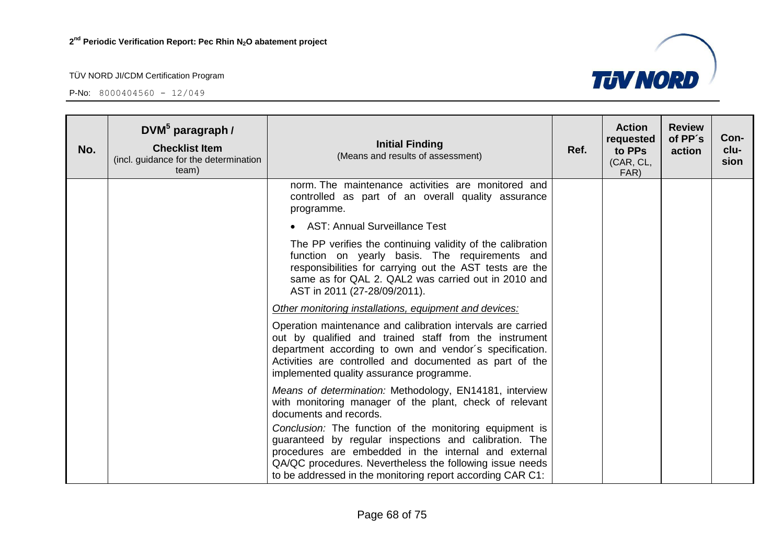**P-No:**  $8000404560 - 12/049$ 



| No. | $DWM5$ paragraph /<br><b>Checklist Item</b><br>(incl. guidance for the determination<br>team) | <b>Initial Finding</b><br>(Means and results of assessment)                                                                                                                                                                                                                                         | Ref. | <b>Action</b><br>requested<br>to PPs<br>(CAR, CL,<br>FAR) | <b>Review</b><br>of PP's<br>action | Con-<br>clu-<br>sion |
|-----|-----------------------------------------------------------------------------------------------|-----------------------------------------------------------------------------------------------------------------------------------------------------------------------------------------------------------------------------------------------------------------------------------------------------|------|-----------------------------------------------------------|------------------------------------|----------------------|
|     |                                                                                               | norm. The maintenance activities are monitored and<br>controlled as part of an overall quality assurance<br>programme.                                                                                                                                                                              |      |                                                           |                                    |                      |
|     |                                                                                               | • AST: Annual Surveillance Test                                                                                                                                                                                                                                                                     |      |                                                           |                                    |                      |
|     |                                                                                               | The PP verifies the continuing validity of the calibration<br>function on yearly basis. The requirements and<br>responsibilities for carrying out the AST tests are the<br>same as for QAL 2. QAL2 was carried out in 2010 and<br>AST in 2011 (27-28/09/2011).                                      |      |                                                           |                                    |                      |
|     |                                                                                               | Other monitoring installations, equipment and devices:                                                                                                                                                                                                                                              |      |                                                           |                                    |                      |
|     |                                                                                               | Operation maintenance and calibration intervals are carried<br>out by qualified and trained staff from the instrument<br>department according to own and vendor's specification.<br>Activities are controlled and documented as part of the<br>implemented quality assurance programme.             |      |                                                           |                                    |                      |
|     |                                                                                               | Means of determination: Methodology, EN14181, interview<br>with monitoring manager of the plant, check of relevant<br>documents and records.                                                                                                                                                        |      |                                                           |                                    |                      |
|     |                                                                                               | Conclusion: The function of the monitoring equipment is<br>guaranteed by regular inspections and calibration. The<br>procedures are embedded in the internal and external<br>QA/QC procedures. Nevertheless the following issue needs<br>to be addressed in the monitoring report according CAR C1: |      |                                                           |                                    |                      |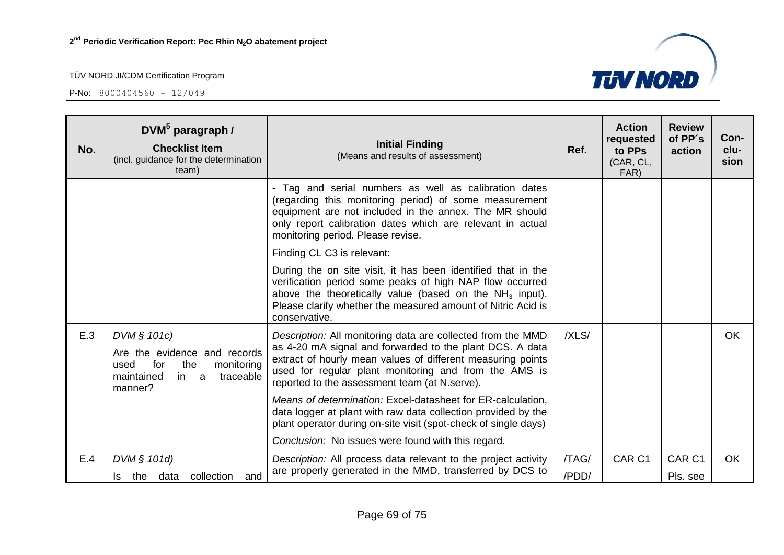

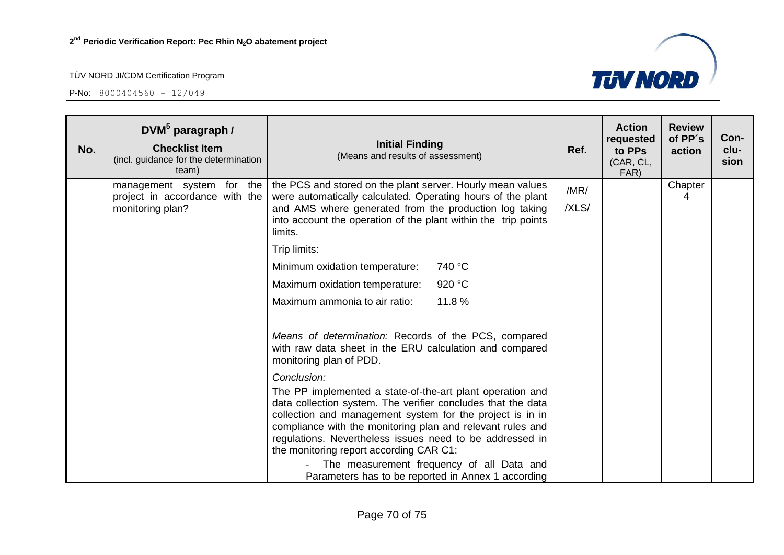

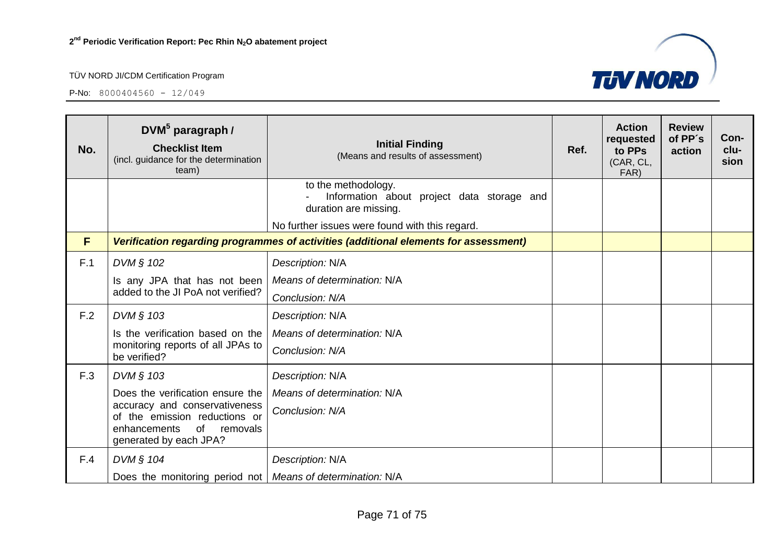

| No. | $DWM^5$ paragraph /<br><b>Checklist Item</b><br>(incl. guidance for the determination<br>team)                          | <b>Initial Finding</b><br>(Means and results of assessment)                                | Ref. | <b>Action</b><br>requested<br>to PPs<br>(CAR, CL,<br>FAR) | <b>Review</b><br>of PP's<br>action | Con-<br>clu-<br>sion |
|-----|-------------------------------------------------------------------------------------------------------------------------|--------------------------------------------------------------------------------------------|------|-----------------------------------------------------------|------------------------------------|----------------------|
|     |                                                                                                                         | to the methodology.<br>Information about project data storage and<br>duration are missing. |      |                                                           |                                    |                      |
|     |                                                                                                                         | No further issues were found with this regard.                                             |      |                                                           |                                    |                      |
| F   |                                                                                                                         | Verification regarding programmes of activities (additional elements for assessment)       |      |                                                           |                                    |                      |
| F.1 | DVM § 102                                                                                                               | Description: N/A                                                                           |      |                                                           |                                    |                      |
|     | Is any JPA that has not been                                                                                            | Means of determination: N/A                                                                |      |                                                           |                                    |                      |
|     | added to the JI PoA not verified?                                                                                       | Conclusion: N/A                                                                            |      |                                                           |                                    |                      |
| F.2 | DVM § 103                                                                                                               | Description: N/A                                                                           |      |                                                           |                                    |                      |
|     | Is the verification based on the                                                                                        | Means of determination: N/A                                                                |      |                                                           |                                    |                      |
|     | monitoring reports of all JPAs to<br>be verified?                                                                       | Conclusion: N/A                                                                            |      |                                                           |                                    |                      |
| F.3 | DVM § 103                                                                                                               | Description: N/A                                                                           |      |                                                           |                                    |                      |
|     | Does the verification ensure the                                                                                        | Means of determination: N/A                                                                |      |                                                           |                                    |                      |
|     | accuracy and conservativeness<br>of the emission reductions or<br>of removals<br>enhancements<br>generated by each JPA? | Conclusion: N/A                                                                            |      |                                                           |                                    |                      |
| F.4 | DVM § 104                                                                                                               | Description: N/A                                                                           |      |                                                           |                                    |                      |
|     | Does the monitoring period not   Means of determination: N/A                                                            |                                                                                            |      |                                                           |                                    |                      |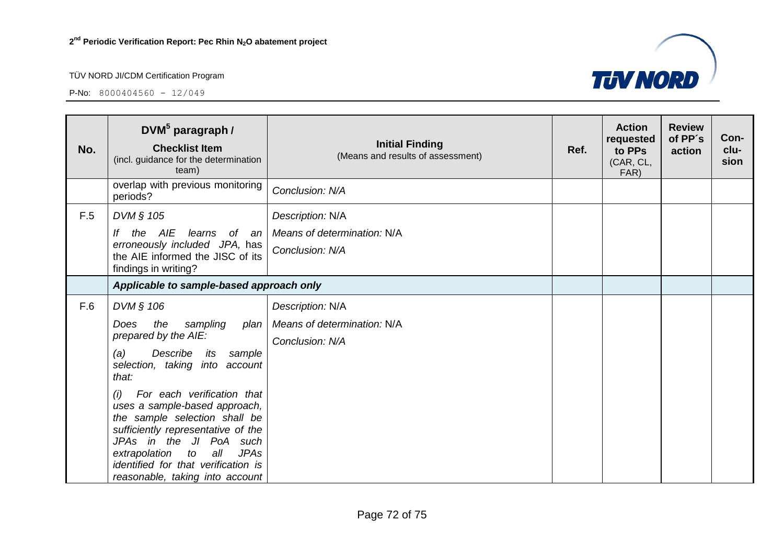

| No. | $DWM^5$ paragraph /<br><b>Checklist Item</b><br>(incl. guidance for the determination<br>team)                                                                                                                                                                                                                                                                                                                                                  | <b>Initial Finding</b><br>(Means and results of assessment)        | Ref. | <b>Action</b><br>requested<br>to PPs<br>(CAR, CL,<br>FAR) | <b>Review</b><br>of PP's<br>action | Con-<br>clu-<br>sion |
|-----|-------------------------------------------------------------------------------------------------------------------------------------------------------------------------------------------------------------------------------------------------------------------------------------------------------------------------------------------------------------------------------------------------------------------------------------------------|--------------------------------------------------------------------|------|-----------------------------------------------------------|------------------------------------|----------------------|
|     | overlap with previous monitoring<br>periods?                                                                                                                                                                                                                                                                                                                                                                                                    | Conclusion: N/A                                                    |      |                                                           |                                    |                      |
| F.5 | DVM § 105<br>the AIE<br>learns<br>of an $ $<br>lf<br>erroneously included JPA, has<br>the AIE informed the JISC of its<br>findings in writing?                                                                                                                                                                                                                                                                                                  | Description: N/A<br>Means of determination: N/A<br>Conclusion: N/A |      |                                                           |                                    |                      |
|     | Applicable to sample-based approach only                                                                                                                                                                                                                                                                                                                                                                                                        |                                                                    |      |                                                           |                                    |                      |
| F.6 | DVM § 106<br>the<br>Does<br>sampling<br>plan<br>prepared by the AIE:<br>Describe<br>(a)<br>its<br>sample<br>selection, taking into account<br>that:<br>For each verification that<br>(i)<br>uses a sample-based approach,<br>the sample selection shall be<br>sufficiently representative of the<br>JPAs in the JI PoA such<br>all<br><b>JPAs</b><br>extrapolation to<br>identified for that verification is<br>reasonable, taking into account | Description: N/A<br>Means of determination: N/A<br>Conclusion: N/A |      |                                                           |                                    |                      |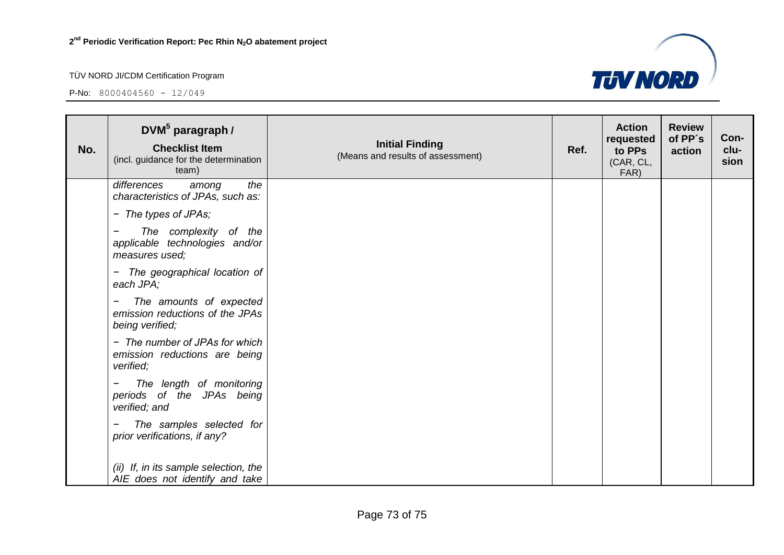## TÜV NORD JI/CDM Certification Program

P-No:  $8000404560 - 12/049$ 



| No. | DVM <sup>5</sup> paragraph /<br><b>Checklist Item</b><br>(incl. guidance for the determination<br>team) | <b>Initial Finding</b><br>(Means and results of assessment) | Ref. | <b>Action</b><br>requested<br>to PPs<br>(CAR, CL,<br>FAR) | <b>Review</b><br>of PP's<br>action | Con-<br>clu-<br>sion |
|-----|---------------------------------------------------------------------------------------------------------|-------------------------------------------------------------|------|-----------------------------------------------------------|------------------------------------|----------------------|
|     | differences<br>the<br>among<br>characteristics of JPAs, such as:                                        |                                                             |      |                                                           |                                    |                      |
|     | - The types of JPAs;                                                                                    |                                                             |      |                                                           |                                    |                      |
|     | The complexity of the<br>applicable technologies and/or<br>measures used;                               |                                                             |      |                                                           |                                    |                      |
|     | The geographical location of<br>$\blacksquare$<br>each JPA;                                             |                                                             |      |                                                           |                                    |                      |
|     | The amounts of expected<br>-<br>emission reductions of the JPAs<br>being verified;                      |                                                             |      |                                                           |                                    |                      |
|     | - The number of JPAs for which<br>emission reductions are being<br>verified;                            |                                                             |      |                                                           |                                    |                      |
|     | The length of monitoring<br>periods of the JPAs being<br>verified; and                                  |                                                             |      |                                                           |                                    |                      |
|     | The samples selected for<br>prior verifications, if any?                                                |                                                             |      |                                                           |                                    |                      |
|     | (ii) If, in its sample selection, the<br>AIE does not identify and take                                 |                                                             |      |                                                           |                                    |                      |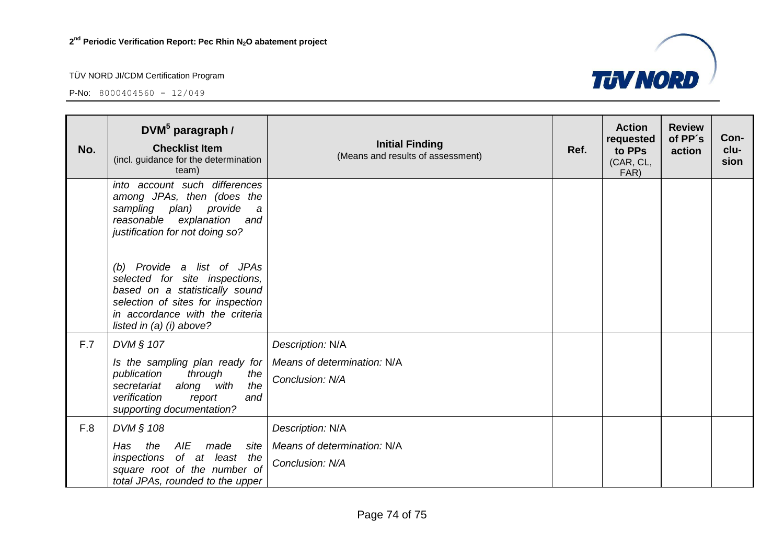## TÜV NORD JI/CDM Certification Program

P-No:  $8000404560 - 12/049$ 



| No. | DVM <sup>5</sup> paragraph /<br><b>Checklist Item</b><br>(incl. guidance for the determination<br>team)                                                                                                                                                                         | <b>Initial Finding</b><br>(Means and results of assessment) | Ref. | <b>Action</b><br>requested<br>to PPs<br>(CAR, CL,<br>FAR) | <b>Review</b><br>of PP's<br>action | Con-<br>clu-<br>sion |
|-----|---------------------------------------------------------------------------------------------------------------------------------------------------------------------------------------------------------------------------------------------------------------------------------|-------------------------------------------------------------|------|-----------------------------------------------------------|------------------------------------|----------------------|
|     | into account such differences<br>among JPAs, then (does the<br>sampling plan) provide<br>$\boldsymbol{a}$<br>reasonable explanation<br>and<br>justification for not doing so?<br>(b) Provide a list of JPAs<br>selected for site inspections,<br>based on a statistically sound |                                                             |      |                                                           |                                    |                      |
|     | selection of sites for inspection<br>in accordance with the criteria<br>listed in $(a)$ (i) above?                                                                                                                                                                              |                                                             |      |                                                           |                                    |                      |
| F.7 | DVM § 107                                                                                                                                                                                                                                                                       | Description: N/A                                            |      |                                                           |                                    |                      |
|     | Is the sampling plan ready for<br>publication<br>through<br>the<br>along with<br>secretariat<br>the<br>verification<br>and<br>report<br>supporting documentation?                                                                                                               | Means of determination: N/A<br>Conclusion: N/A              |      |                                                           |                                    |                      |
| F.8 | DVM § 108                                                                                                                                                                                                                                                                       | Description: N/A                                            |      |                                                           |                                    |                      |
|     | AIE<br>Has<br>made<br>the<br>site<br>of at least the<br>inspections<br>square root of the number of<br>total JPAs, rounded to the upper                                                                                                                                         | Means of determination: N/A<br>Conclusion: N/A              |      |                                                           |                                    |                      |